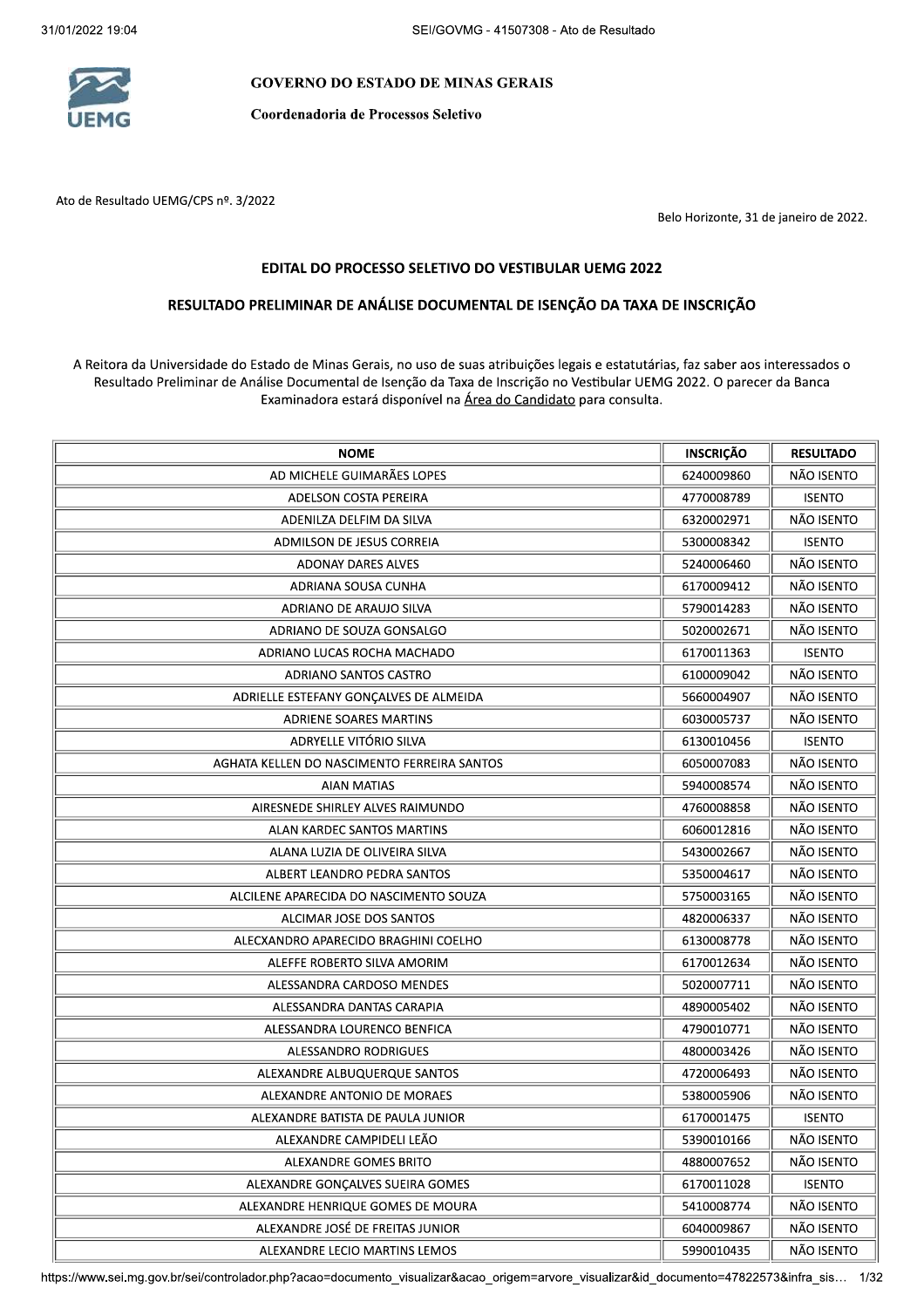

11 GOVERNO DO ESTADO DE MINAS GERAIS<br>Coordenadoria de Processos Seletivo

Ato de Resultado UEMG/CPS nº. 3/2022

Belo Horizonte, 31 de janeiro de 2022.

## EDITAL DO PROCESSO SELETIVO DO VESTIBULAR UEMG 2022

## RESULTADO PRELIMINAR DE ANÁLISE DOCUMENTAL DE ISENÇÃO DA TAXA DE INSCRIÇÃO

A Reitora da Universidade do Estado de Minas Gerais, no uso de suas atribuições legais e estatutárias, faz saber aos interessados o Resultado Preliminar de Análise Documental de Isenção da Taxa de Inscrição no Vestibular UEMG 2022. O parecer da Banca Examinadora estará disponível na Área do Candidato para consulta.

| <b>NOME</b>                                 | <b>INSCRIÇÃO</b> | <b>RESULTADO</b> |
|---------------------------------------------|------------------|------------------|
| AD MICHELE GUIMARÃES LOPES                  | 6240009860       | NÃO ISENTO       |
| <b>ADELSON COSTA PEREIRA</b>                | 4770008789       | <b>ISENTO</b>    |
| ADENILZA DELFIM DA SILVA                    | 6320002971       | NÃO ISENTO       |
| <b>ADMILSON DE JESUS CORREIA</b>            | 5300008342       | <b>ISENTO</b>    |
| ADONAY DARES ALVES                          | 5240006460       | NÃO ISENTO       |
| ADRIANA SOUSA CUNHA                         | 6170009412       | NÃO ISENTO       |
| ADRIANO DE ARAUJO SILVA                     | 5790014283       | NÃO ISENTO       |
| ADRIANO DE SOUZA GONSALGO                   | 5020002671       | NÃO ISENTO       |
| ADRIANO LUCAS ROCHA MACHADO                 | 6170011363       | <b>ISENTO</b>    |
| ADRIANO SANTOS CASTRO                       | 6100009042       | NÃO ISENTO       |
| ADRIELLE ESTEFANY GONÇALVES DE ALMEIDA      | 5660004907       | NÃO ISENTO       |
| <b>ADRIENE SOARES MARTINS</b>               | 6030005737       | NÃO ISENTO       |
| ADRYELLE VITÓRIO SILVA                      | 6130010456       | <b>ISENTO</b>    |
| AGHATA KELLEN DO NASCIMENTO FERREIRA SANTOS | 6050007083       | NÃO ISENTO       |
| AIAN MATIAS                                 | 5940008574       | NÃO ISENTO       |
| AIRESNEDE SHIRLEY ALVES RAIMUNDO            | 4760008858       | NÃO ISENTO       |
| ALAN KARDEC SANTOS MARTINS                  | 6060012816       | NÃO ISENTO       |
| ALANA LUZIA DE OLIVEIRA SILVA               | 5430002667       | NÃO ISENTO       |
| ALBERT LEANDRO PEDRA SANTOS                 | 5350004617       | NÃO ISENTO       |
| ALCILENE APARECIDA DO NASCIMENTO SOUZA      | 5750003165       | NÃO ISENTO       |
| ALCIMAR JOSE DOS SANTOS                     | 4820006337       | NÃO ISENTO       |
| ALECXANDRO APARECIDO BRAGHINI COELHO        | 6130008778       | NÃO ISENTO       |
| ALEFFE ROBERTO SILVA AMORIM                 | 6170012634       | NÃO ISENTO       |
| ALESSANDRA CARDOSO MENDES                   | 5020007711       | NÃO ISENTO       |
| ALESSANDRA DANTAS CARAPIA                   | 4890005402       | NÃO ISENTO       |
| ALESSANDRA LOURENCO BENFICA                 | 4790010771       | NÃO ISENTO       |
| ALESSANDRO RODRIGUES                        | 4800003426       | NÃO ISENTO       |
| ALEXANDRE ALBUQUERQUE SANTOS                | 4720006493       | NÃO ISENTO       |
| ALEXANDRE ANTONIO DE MORAES                 | 5380005906       | NÃO ISENTO       |
| ALEXANDRE BATISTA DE PAULA JUNIOR           | 6170001475       | <b>ISENTO</b>    |
| ALEXANDRE CAMPIDELI LEÃO                    | 5390010166       | NÃO ISENTO       |
| ALEXANDRE GOMES BRITO                       | 4880007652       | NÃO ISENTO       |
| ALEXANDRE GONÇALVES SUEIRA GOMES            | 6170011028       | <b>ISENTO</b>    |
| ALEXANDRE HENRIQUE GOMES DE MOURA           | 5410008774       | NÃO ISENTO       |
| ALEXANDRE JOSÉ DE FREITAS JUNIOR            | 6040009867       | NÃO ISENTO       |
| ALEXANDRE LECIO MARTINS LEMOS               | 5990010435       | NÃO ISENTO       |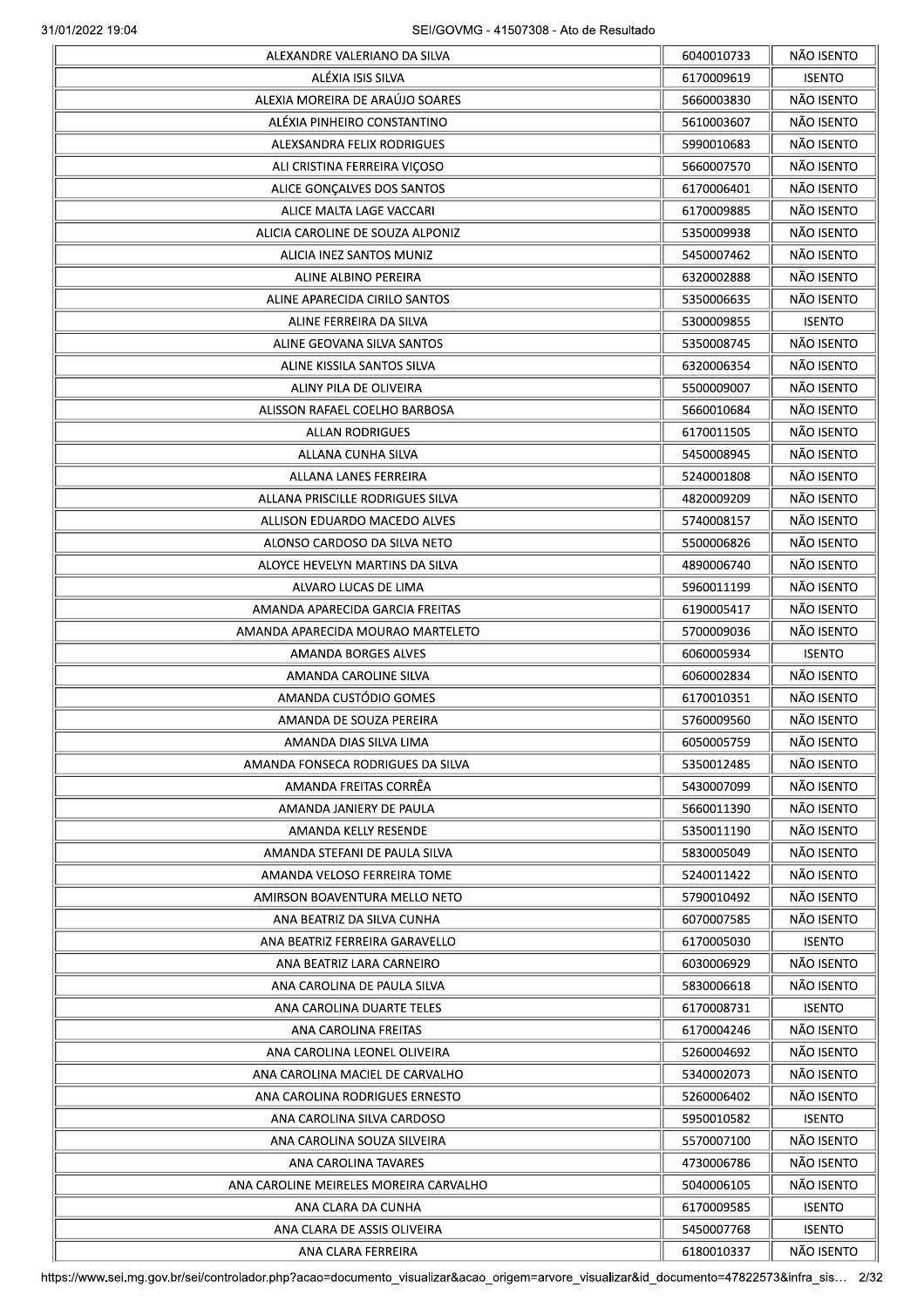|                                        | 6040010733 | NÃO ISENTO    |
|----------------------------------------|------------|---------------|
| ALÉXIA ISIS SILVA                      | 6170009619 | <b>ISENTO</b> |
| ALEXIA MOREIRA DE ARAÚJO SOARES        | 5660003830 | NÃO ISENTO    |
| ALÉXIA PINHEIRO CONSTANTINO            | 5610003607 | NÃO ISENTO    |
| ALEXSANDRA FELIX RODRIGUES             | 5990010683 | NÃO ISENTO    |
| ALI CRISTINA FERREIRA VIÇOSO           | 5660007570 | NÃO ISENTO    |
| ALICE GONÇALVES DOS SANTOS             | 6170006401 | NÃO ISENTO    |
| ALICE MALTA LAGE VACCARI               | 6170009885 | NÃO ISENTO    |
| ALICIA CAROLINE DE SOUZA ALPONIZ       | 5350009938 | NÃO ISENTO    |
| ALICIA INEZ SANTOS MUNIZ               | 5450007462 | NÃO ISENTO    |
| ALINE ALBINO PEREIRA                   | 6320002888 | NÃO ISENTO    |
| ALINE APARECIDA CIRILO SANTOS          | 5350006635 | NÃO ISENTO    |
| ALINE FERREIRA DA SILVA                | 5300009855 | <b>ISENTO</b> |
|                                        |            | NÃO ISENTO    |
| ALINE GEOVANA SILVA SANTOS             | 5350008745 |               |
| ALINE KISSILA SANTOS SILVA             | 6320006354 | NÃO ISENTO    |
| ALINY PILA DE OLIVEIRA                 | 5500009007 | NÃO ISENTO    |
| ALISSON RAFAEL COELHO BARBOSA          | 5660010684 | NÃO ISENTO    |
| <b>ALLAN RODRIGUES</b>                 | 6170011505 | NÃO ISENTO    |
| ALLANA CUNHA SILVA                     | 5450008945 | NÃO ISENTO    |
| ALLANA LANES FERREIRA                  | 5240001808 | NÃO ISENTO    |
| ALLANA PRISCILLE RODRIGUES SILVA       | 4820009209 | NÃO ISENTO    |
| ALLISON EDUARDO MACEDO ALVES           | 5740008157 | NÃO ISENTO    |
| ALONSO CARDOSO DA SILVA NETO           | 5500006826 | NÃO ISENTO    |
| ALOYCE HEVELYN MARTINS DA SILVA        | 4890006740 | NÃO ISENTO    |
| ALVARO LUCAS DE LIMA                   | 5960011199 | NÃO ISENTO    |
| AMANDA APARECIDA GARCIA FREITAS        | 6190005417 | NÃO ISENTO    |
| AMANDA APARECIDA MOURAO MARTELETO      | 5700009036 | NÃO ISENTO    |
| AMANDA BORGES ALVES                    | 6060005934 | <b>ISENTO</b> |
| AMANDA CAROLINE SILVA                  | 6060002834 | NÃO ISENTO    |
| AMANDA CUSTÓDIO GOMES                  | 6170010351 | NÃO ISENTO    |
| AMANDA DE SOUZA PEREIRA                | 5760009560 | NÃO ISENTO    |
| AMANDA DIAS SILVA LIMA                 | 6050005759 | NÃO ISENTO    |
| AMANDA FONSECA RODRIGUES DA SILVA      | 5350012485 | NÃO ISENTO    |
| AMANDA FREITAS CORREA                  | 5430007099 | NÃO ISENTO    |
| AMANDA JANIERY DE PAULA                | 5660011390 | NÃO ISENTO    |
|                                        | 5350011190 | NÃO ISENTO    |
| AMANDA KELLY RESENDE                   |            |               |
| AMANDA STEFANI DE PAULA SILVA          | 5830005049 | NÃO ISENTO    |
| AMANDA VELOSO FERREIRA TOME            | 5240011422 | NÃO ISENTO    |
| AMIRSON BOAVENTURA MELLO NETO          | 5790010492 | NÃO ISENTO    |
| ANA BEATRIZ DA SILVA CUNHA             | 6070007585 | NÃO ISENTO    |
| ANA BEATRIZ FERREIRA GARAVELLO         | 6170005030 | <b>ISENTO</b> |
| ANA BEATRIZ LARA CARNEIRO              | 6030006929 | NÃO ISENTO    |
| ANA CAROLINA DE PAULA SILVA            | 5830006618 | NÃO ISENTO    |
| ANA CAROLINA DUARTE TELES              | 6170008731 | <b>ISENTO</b> |
| ANA CAROLINA FREITAS                   | 6170004246 | NÃO ISENTO    |
| ANA CAROLINA LEONEL OLIVEIRA           | 5260004692 | NÃO ISENTO    |
| ANA CAROLINA MACIEL DE CARVALHO        | 5340002073 | NÃO ISENTO    |
| ANA CAROLINA RODRIGUES ERNESTO         | 5260006402 | NÃO ISENTO    |
| ANA CAROLINA SILVA CARDOSO             | 5950010582 | <b>ISENTO</b> |
| ANA CAROLINA SOUZA SILVEIRA            | 5570007100 | NÃO ISENTO    |
| ANA CAROLINA TAVARES                   | 4730006786 | NÃO ISENTO    |
| ANA CAROLINE MEIRELES MOREIRA CARVALHO | 5040006105 | NÃO ISENTO    |
| ANA CLARA DA CUNHA                     | 6170009585 | <b>ISENTO</b> |
| ANA CLARA DE ASSIS OLIVEIRA            | 5450007768 | <b>ISENTO</b> |
|                                        | 6180010337 | NÃO ISENTO    |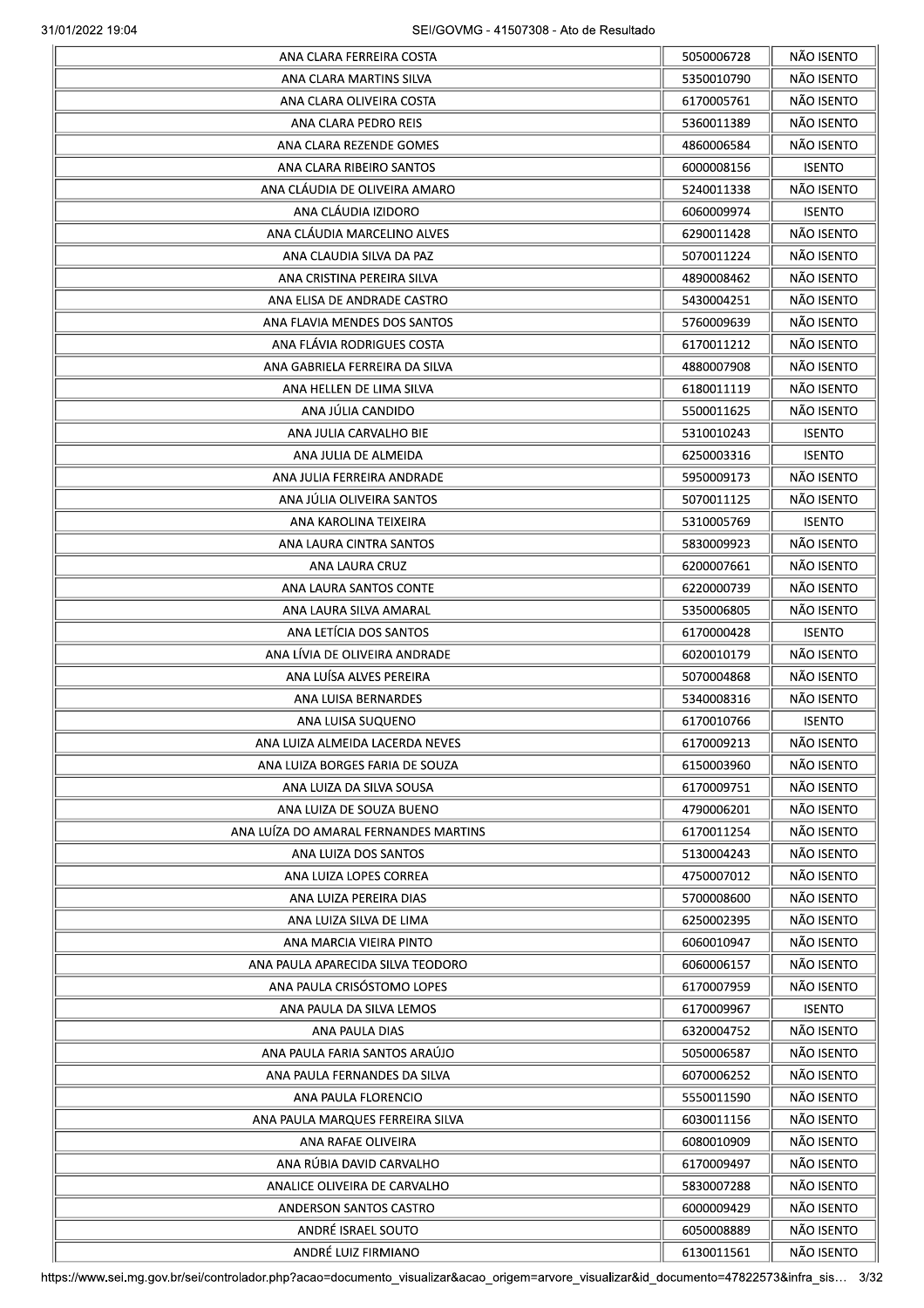| ANA CLARA FERREIRA COSTA              | 5050006728 | NÃO ISENTO               |
|---------------------------------------|------------|--------------------------|
| ANA CLARA MARTINS SILVA               | 5350010790 | NÃO ISENTO               |
| ANA CLARA OLIVEIRA COSTA              | 6170005761 | NÃO ISENTO               |
| ANA CLARA PEDRO REIS                  | 5360011389 | NÃO ISENTO               |
| ANA CLARA REZENDE GOMES               | 4860006584 | NÃO ISENTO               |
| ANA CLARA RIBEIRO SANTOS              | 6000008156 | <b>ISENTO</b>            |
| ANA CLÁUDIA DE OLIVEIRA AMARO         | 5240011338 | NÃO ISENTO               |
| ANA CLÁUDIA IZIDORO                   | 6060009974 | <b>ISENTO</b>            |
| ANA CLÁUDIA MARCELINO ALVES           | 6290011428 | NÃO ISENTO               |
| ANA CLAUDIA SILVA DA PAZ              | 5070011224 | NÃO ISENTO               |
| ANA CRISTINA PEREIRA SILVA            | 4890008462 | NÃO ISENTO               |
| ANA ELISA DE ANDRADE CASTRO           | 5430004251 | NÃO ISENTO               |
| ANA FLAVIA MENDES DOS SANTOS          | 5760009639 | NÃO ISENTO               |
| ANA FLÁVIA RODRIGUES COSTA            | 6170011212 | NÃO ISENTO               |
| ANA GABRIELA FERREIRA DA SILVA        | 4880007908 | NÃO ISENTO               |
| ANA HELLEN DE LIMA SILVA              | 6180011119 | NÃO ISENTO               |
| ANA JÚLIA CANDIDO                     | 5500011625 | NÃO ISENTO               |
| ANA JULIA CARVALHO BIE                | 5310010243 | <b>ISENTO</b>            |
| ANA JULIA DE ALMEIDA                  |            |                          |
|                                       | 6250003316 | <b>ISENTO</b>            |
| ANA JULIA FERREIRA ANDRADE            | 5950009173 | NÃO ISENTO<br>NÃO ISENTO |
| ANA JÚLIA OLIVEIRA SANTOS             | 5070011125 |                          |
| ANA KAROLINA TEIXEIRA                 | 5310005769 | <b>ISENTO</b>            |
| ANA LAURA CINTRA SANTOS               | 5830009923 | NÃO ISENTO               |
| ANA LAURA CRUZ                        | 6200007661 | NÃO ISENTO               |
| ANA LAURA SANTOS CONTE                | 6220000739 | NÃO ISENTO               |
| ANA LAURA SILVA AMARAL                | 5350006805 | NÃO ISENTO               |
| ANA LETÍCIA DOS SANTOS                | 6170000428 | <b>ISENTO</b>            |
| ANA LÍVIA DE OLIVEIRA ANDRADE         | 6020010179 | NÃO ISENTO               |
| ANA LUÍSA ALVES PEREIRA               | 5070004868 | NÃO ISENTO               |
| ANA LUISA BERNARDES                   | 5340008316 | NÃO ISENTO               |
| ANA LUISA SUQUENO                     | 6170010766 | <b>ISENTO</b>            |
| ANA LUIZA ALMEIDA LACERDA NEVES       | 6170009213 | NÃO ISENTO               |
| ANA LUIZA BORGES FARIA DE SOUZA       | 6150003960 | NÃO ISENTO               |
| ANA LUIZA DA SILVA SOUSA              | 6170009751 | NÃO ISENTO               |
| ANA LUIZA DE SOUZA BUENO              | 4790006201 | NÃO ISENTO               |
| ANA LUÍZA DO AMARAL FERNANDES MARTINS | 6170011254 | NÃO ISENTO               |
| ANA LUIZA DOS SANTOS                  | 5130004243 | NÃO ISENTO               |
| ANA LUIZA LOPES CORREA                | 4750007012 | NÃO ISENTO               |
| ANA LUIZA PEREIRA DIAS                | 5700008600 | NÃO ISENTO               |
| ANA LUIZA SILVA DE LIMA               | 6250002395 | NÃO ISENTO               |
| ANA MARCIA VIEIRA PINTO               | 6060010947 | NÃO ISENTO               |
| ANA PAULA APARECIDA SILVA TEODORO     | 6060006157 | NÃO ISENTO               |
| ANA PAULA CRISÓSTOMO LOPES            | 6170007959 | NÃO ISENTO               |
| ANA PAULA DA SILVA LEMOS              | 6170009967 | <b>ISENTO</b>            |
| ANA PAULA DIAS                        | 6320004752 | NÃO ISENTO               |
| ANA PAULA FARIA SANTOS ARAÚJO         | 5050006587 | NÃO ISENTO               |
|                                       |            | NÃO ISENTO               |
| ANA PAULA FERNANDES DA SILVA          | 6070006252 | NÃO ISENTO               |
| ANA PAULA FLORENCIO                   | 5550011590 |                          |
| ANA PAULA MARQUES FERREIRA SILVA      | 6030011156 | NÃO ISENTO               |
| ANA RAFAE OLIVEIRA                    | 6080010909 | NÃO ISENTO               |
| ANA RÚBIA DAVID CARVALHO              | 6170009497 | NÃO ISENTO               |
| ANALICE OLIVEIRA DE CARVALHO          | 5830007288 | NÃO ISENTO               |
| ANDERSON SANTOS CASTRO                | 6000009429 | NÃO ISENTO               |
| ANDRÉ ISRAEL SOUTO                    | 6050008889 | NÃO ISENTO               |
| ANDRÉ LUIZ FIRMIANO                   | 6130011561 | NÃO ISENTO               |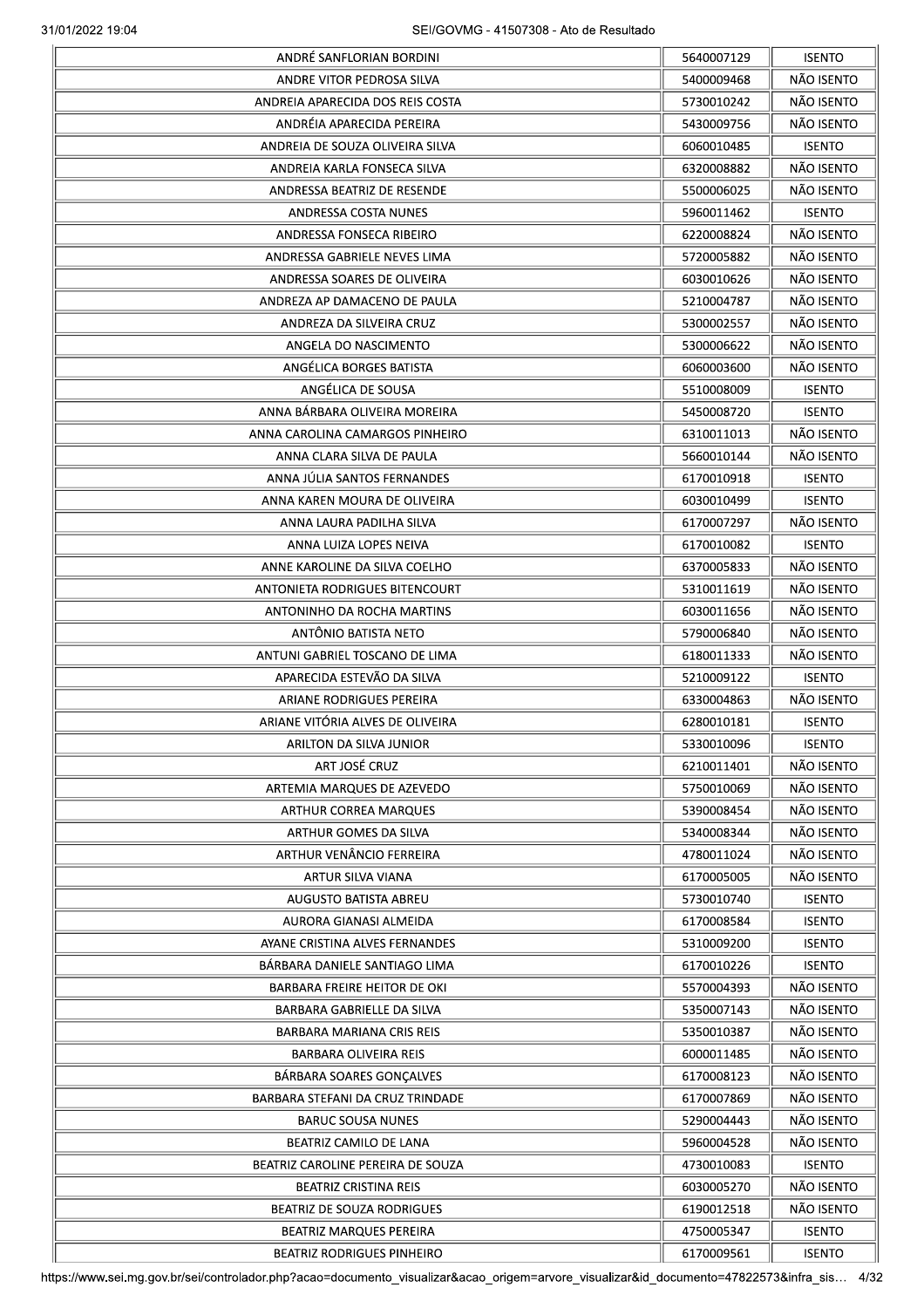|                                                                     | 5640007129               | <b>ISENTO</b>                  |
|---------------------------------------------------------------------|--------------------------|--------------------------------|
| ANDRE VITOR PEDROSA SILVA                                           | 5400009468               | NÃO ISENTO                     |
| ANDREIA APARECIDA DOS REIS COSTA                                    | 5730010242               | NÃO ISENTO                     |
| ANDRÉIA APARECIDA PEREIRA                                           | 5430009756               | NÃO ISENTO                     |
| ANDREIA DE SOUZA OLIVEIRA SILVA                                     | 6060010485               | <b>ISENTO</b>                  |
| ANDREIA KARLA FONSECA SILVA                                         | 6320008882               | NÃO ISENTO                     |
| ANDRESSA BEATRIZ DE RESENDE                                         | 5500006025               | NÃO ISENTO                     |
| ANDRESSA COSTA NUNES                                                | 5960011462               | <b>ISENTO</b>                  |
| ANDRESSA FONSECA RIBEIRO                                            | 6220008824               | NÃO ISENTO                     |
| ANDRESSA GABRIELE NEVES LIMA                                        | 5720005882               | NÃO ISENTO                     |
| ANDRESSA SOARES DE OLIVEIRA                                         | 6030010626               | NÃO ISENTO                     |
| ANDREZA AP DAMACENO DE PAULA                                        | 5210004787               | NÃO ISENTO                     |
| ANDREZA DA SILVEIRA CRUZ                                            | 5300002557               | NÃO ISENTO                     |
| ANGELA DO NASCIMENTO                                                | 5300006622               | NÃO ISENTO                     |
| ANGÉLICA BORGES BATISTA                                             | 6060003600               | NÃO ISENTO                     |
| ANGÉLICA DE SOUSA                                                   | 5510008009               | <b>ISENTO</b>                  |
| ANNA BÁRBARA OLIVEIRA MOREIRA                                       | 5450008720               | <b>ISENTO</b>                  |
| ANNA CAROLINA CAMARGOS PINHEIRO                                     | 6310011013               | NÃO ISENTO                     |
| ANNA CLARA SILVA DE PAULA                                           |                          | NÃO ISENTO                     |
| ANNA JÚLIA SANTOS FERNANDES                                         | 5660010144<br>6170010918 | <b>ISENTO</b>                  |
|                                                                     |                          | <b>ISENTO</b>                  |
| ANNA KAREN MOURA DE OLIVEIRA                                        | 6030010499               |                                |
| ANNA LAURA PADILHA SILVA                                            | 6170007297               | NÃO ISENTO                     |
| ANNA LUIZA LOPES NEIVA                                              | 6170010082               | <b>ISENTO</b>                  |
| ANNE KAROLINE DA SILVA COELHO                                       | 6370005833               | NÃO ISENTO                     |
| ANTONIETA RODRIGUES BITENCOURT                                      | 5310011619               | NÃO ISENTO                     |
| ANTONINHO DA ROCHA MARTINS                                          | 6030011656               | NÃO ISENTO                     |
| ANTÔNIO BATISTA NETO                                                | 5790006840               | NÃO ISENTO                     |
| ANTUNI GABRIEL TOSCANO DE LIMA                                      | 6180011333               | NÃO ISENTO                     |
| APARECIDA ESTEVÃO DA SILVA                                          | 5210009122               | <b>ISENTO</b>                  |
| ARIANE RODRIGUES PEREIRA                                            | 6330004863               | NÃO ISENTO                     |
| ARIANE VITÓRIA ALVES DE OLIVEIRA                                    | 6280010181               | <b>ISENTO</b>                  |
| ARILTON DA SILVA JUNIOR                                             | 5330010096               | <b>ISENTO</b>                  |
| ART JOSÉ CRUZ                                                       | 6210011401               | NÃO ISENTO                     |
| ARTEMIA MARQUES DE AZEVEDO                                          | 5750010069               | NÃO ISENTO                     |
| <b>ARTHUR CORREA MARQUES</b>                                        | 5390008454               | NÃO ISENTO                     |
| ARTHUR GOMES DA SILVA                                               | 5340008344               | NÃO ISENTO                     |
| ARTHUR VENÂNCIO FERREIRA                                            | 4780011024               | NÃO ISENTO                     |
| ARTUR SILVA VIANA                                                   | 6170005005               | NÃO ISENTO                     |
| AUGUSTO BATISTA ABREU                                               | 5730010740               | <b>ISENTO</b>                  |
| AURORA GIANASI ALMEIDA                                              | 6170008584               | <b>ISENTO</b>                  |
| AYANE CRISTINA ALVES FERNANDES                                      | 5310009200               | <b>ISENTO</b>                  |
| BÁRBARA DANIELE SANTIAGO LIMA                                       | 6170010226               | <b>ISENTO</b>                  |
| BARBARA FREIRE HEITOR DE OKI                                        | 5570004393               | NÃO ISENTO                     |
| BARBARA GABRIELLE DA SILVA                                          | 5350007143               | NÃO ISENTO                     |
| BARBARA MARIANA CRIS REIS                                           | 5350010387               | NÃO ISENTO                     |
| BARBARA OLIVEIRA REIS                                               | 6000011485               | NÃO ISENTO                     |
| BÁRBARA SOARES GONÇALVES                                            | 6170008123               | NÃO ISENTO                     |
| BARBARA STEFANI DA CRUZ TRINDADE                                    | 6170007869               | NÃO ISENTO                     |
| <b>BARUC SOUSA NUNES</b>                                            | 5290004443               | NÃO ISENTO                     |
| BEATRIZ CAMILO DE LANA                                              | 5960004528               | NÃO ISENTO                     |
| BEATRIZ CAROLINE PEREIRA DE SOUZA                                   | 4730010083               | <b>ISENTO</b>                  |
| <b>BEATRIZ CRISTINA REIS</b>                                        | 6030005270               | NÃO ISENTO                     |
| BEATRIZ DE SOUZA RODRIGUES                                          | 6190012518               | NÃO ISENTO                     |
|                                                                     |                          |                                |
| <b>BEATRIZ MARQUES PEREIRA</b><br><b>BEATRIZ RODRIGUES PINHEIRO</b> | 4750005347<br>6170009561 | <b>ISENTO</b><br><b>ISENTO</b> |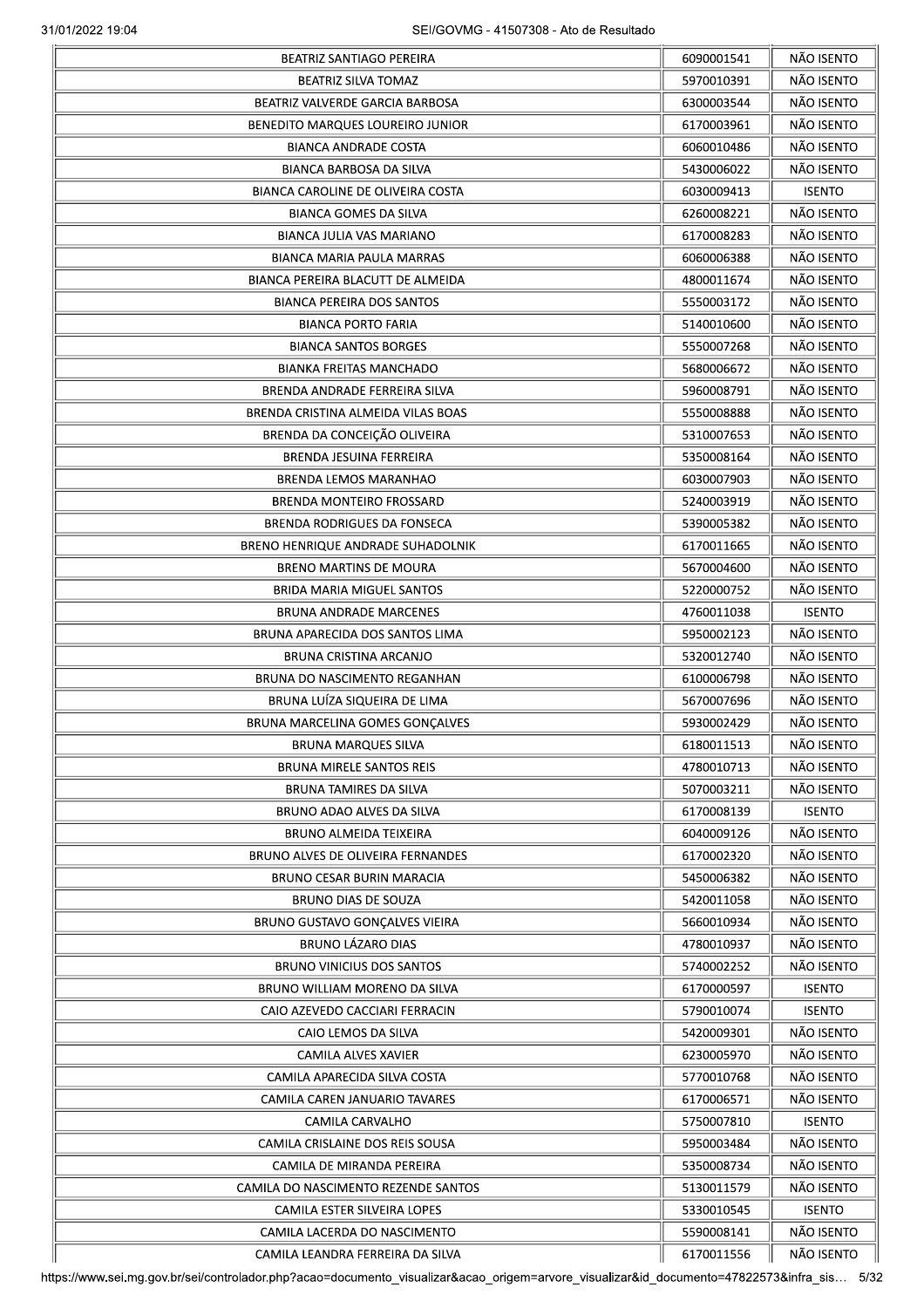|                                       | 6090001541 | NÃO ISENTO    |
|---------------------------------------|------------|---------------|
| BEATRIZ SILVA TOMAZ                   | 5970010391 | NÃO ISENTO    |
| BEATRIZ VALVERDE GARCIA BARBOSA       | 6300003544 | NÃO ISENTO    |
| BENEDITO MARQUES LOUREIRO JUNIOR      | 6170003961 | NÃO ISENTO    |
| <b>BIANCA ANDRADE COSTA</b>           | 6060010486 | NÃO ISENTO    |
| BIANCA BARBOSA DA SILVA               | 5430006022 | NÃO ISENTO    |
| BIANCA CAROLINE DE OLIVEIRA COSTA     | 6030009413 | <b>ISENTO</b> |
| BIANCA GOMES DA SILVA                 | 6260008221 | NÃO ISENTO    |
| <b>BIANCA JULIA VAS MARIANO</b>       | 6170008283 | NÃO ISENTO    |
| BIANCA MARIA PAULA MARRAS             | 6060006388 | NÃO ISENTO    |
| BIANCA PEREIRA BLACUTT DE ALMEIDA     | 4800011674 | NÃO ISENTO    |
|                                       |            | NÃO ISENTO    |
| <b>BIANCA PEREIRA DOS SANTOS</b>      | 5550003172 |               |
| <b>BIANCA PORTO FARIA</b>             | 5140010600 | NÃO ISENTO    |
| <b>BIANCA SANTOS BORGES</b>           | 5550007268 | NÃO ISENTO    |
| <b>BIANKA FREITAS MANCHADO</b>        | 5680006672 | NÃO ISENTO    |
| BRENDA ANDRADE FERREIRA SILVA         | 5960008791 | NÃO ISENTO    |
| BRENDA CRISTINA ALMEIDA VILAS BOAS    | 5550008888 | NÃO ISENTO    |
| BRENDA DA CONCEIÇÃO OLIVEIRA          | 5310007653 | NÃO ISENTO    |
| BRENDA JESUINA FERREIRA               | 5350008164 | NÃO ISENTO    |
| <b>BRENDA LEMOS MARANHAO</b>          | 6030007903 | NÃO ISENTO    |
| <b>BRENDA MONTEIRO FROSSARD</b>       | 5240003919 | NÃO ISENTO    |
| BRENDA RODRIGUES DA FONSECA           | 5390005382 | NÃO ISENTO    |
| BRENO HENRIQUE ANDRADE SUHADOLNIK     | 6170011665 | NÃO ISENTO    |
| <b>BRENO MARTINS DE MOURA</b>         | 5670004600 | NÃO ISENTO    |
| BRIDA MARIA MIGUEL SANTOS             | 5220000752 | NÃO ISENTO    |
| <b>BRUNA ANDRADE MARCENES</b>         | 4760011038 | <b>ISENTO</b> |
| BRUNA APARECIDA DOS SANTOS LIMA       | 5950002123 | NÃO ISENTO    |
| BRUNA CRISTINA ARCANJO                | 5320012740 | NÃO ISENTO    |
| BRUNA DO NASCIMENTO REGANHAN          | 6100006798 | NÃO ISENTO    |
| BRUNA LUÍZA SIQUEIRA DE LIMA          | 5670007696 | NÃO ISENTO    |
| BRUNA MARCELINA GOMES GONÇALVES       | 5930002429 | NÃO ISENTO    |
| BRUNA MARQUES SILVA                   | 6180011513 | NÃO ISENTO    |
| <b>BRUNA MIRELE SANTOS REIS</b>       | 4780010713 | NÃO ISENTO    |
| <b>BRUNA TAMIRES DA SILVA</b>         | 5070003211 | NÃO ISENTO    |
| BRUNO ADAO ALVES DA SILVA             | 6170008139 | <b>ISENTO</b> |
| <b>BRUNO ALMEIDA TEIXEIRA</b>         | 6040009126 | NÃO ISENTO    |
|                                       |            |               |
| BRUNO ALVES DE OLIVEIRA FERNANDES     | 6170002320 | NÃO ISENTO    |
| BRUNO CESAR BURIN MARACIA             | 5450006382 | NÃO ISENTO    |
| <b>BRUNO DIAS DE SOUZA</b>            | 5420011058 | NÃO ISENTO    |
| <b>BRUNO GUSTAVO GONÇALVES VIEIRA</b> | 5660010934 | NÃO ISENTO    |
| <b>BRUNO LÁZARO DIAS</b>              | 4780010937 | NÃO ISENTO    |
| <b>BRUNO VINICIUS DOS SANTOS</b>      | 5740002252 | NÃO ISENTO    |
| BRUNO WILLIAM MORENO DA SILVA         | 6170000597 | <b>ISENTO</b> |
| CAIO AZEVEDO CACCIARI FERRACIN        | 5790010074 | <b>ISENTO</b> |
| CAIO LEMOS DA SILVA                   | 5420009301 | NÃO ISENTO    |
| CAMILA ALVES XAVIER                   | 6230005970 | NÃO ISENTO    |
| CAMILA APARECIDA SILVA COSTA          | 5770010768 | NÃO ISENTO    |
| CAMILA CAREN JANUARIO TAVARES         | 6170006571 | NÃO ISENTO    |
| CAMILA CARVALHO                       | 5750007810 | <b>ISENTO</b> |
| CAMILA CRISLAINE DOS REIS SOUSA       | 5950003484 | NÃO ISENTO    |
| CAMILA DE MIRANDA PEREIRA             | 5350008734 | NÃO ISENTO    |
| CAMILA DO NASCIMENTO REZENDE SANTOS   | 5130011579 | NÃO ISENTO    |
| CAMILA ESTER SILVEIRA LOPES           | 5330010545 | <b>ISENTO</b> |
| CAMILA LACERDA DO NASCIMENTO          | 5590008141 | NÃO ISENTO    |
| CAMILA LEANDRA FERREIRA DA SILVA      | 6170011556 | NÃO ISENTO    |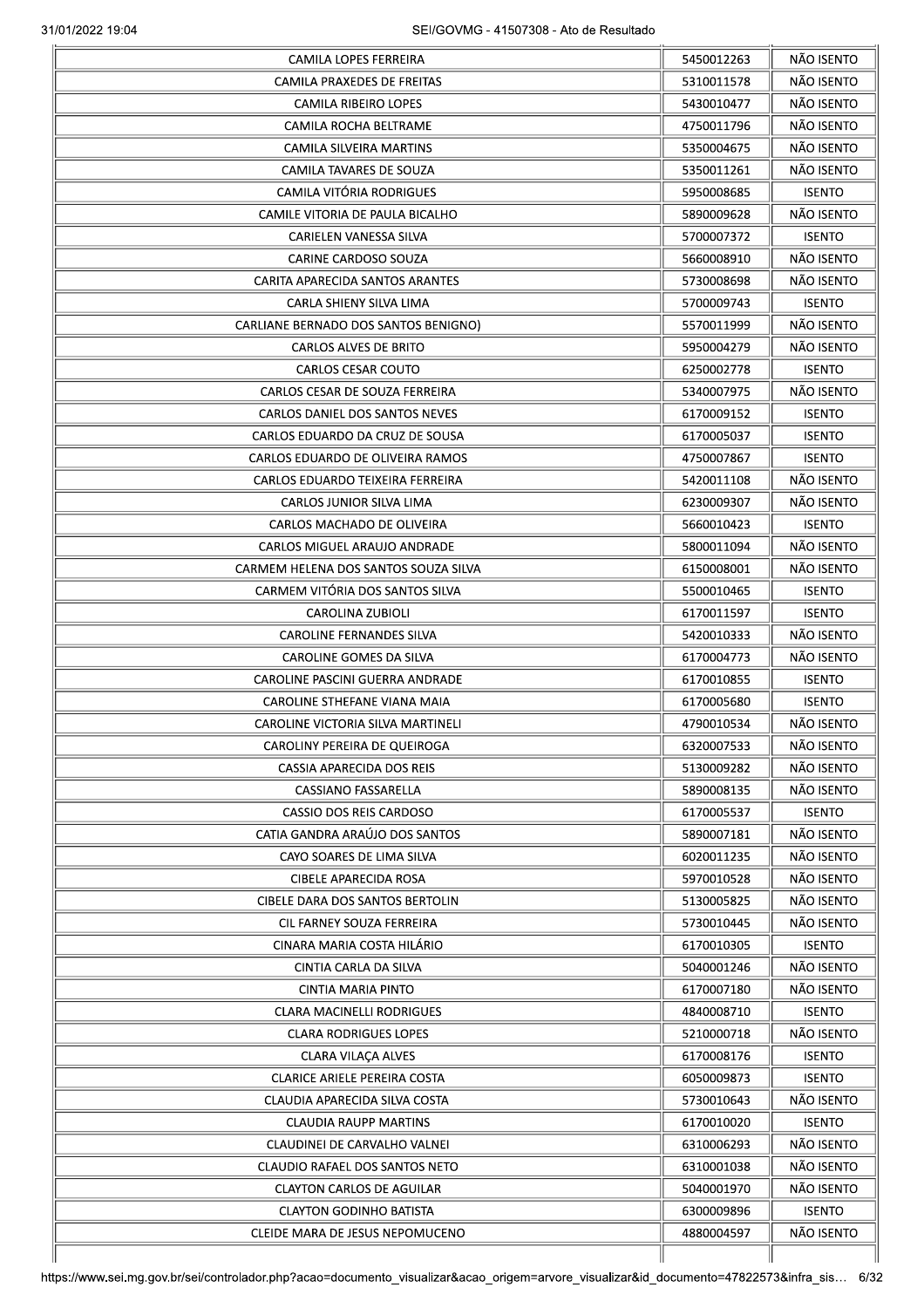| CAMILA LOPES FERREIRA                | 5450012263 | NÃO ISENTO    |
|--------------------------------------|------------|---------------|
| CAMILA PRAXEDES DE FREITAS           | 5310011578 | NÃO ISENTO    |
| <b>CAMILA RIBEIRO LOPES</b>          | 5430010477 | NÃO ISENTO    |
| CAMILA ROCHA BELTRAME                | 4750011796 | NÃO ISENTO    |
| CAMILA SILVEIRA MARTINS              | 5350004675 | NÃO ISENTO    |
| CAMILA TAVARES DE SOUZA              | 5350011261 | NÃO ISENTO    |
| <b>CAMILA VITÓRIA RODRIGUES</b>      | 5950008685 | <b>ISENTO</b> |
| CAMILE VITORIA DE PAULA BICALHO      | 5890009628 | NÃO ISENTO    |
| CARIELEN VANESSA SILVA               | 5700007372 | <b>ISENTO</b> |
| CARINE CARDOSO SOUZA                 | 5660008910 | NÃO ISENTO    |
| CARITA APARECIDA SANTOS ARANTES      | 5730008698 | NÃO ISENTO    |
| CARLA SHIENY SILVA LIMA              | 5700009743 | <b>ISENTO</b> |
| CARLIANE BERNADO DOS SANTOS BENIGNO) | 5570011999 | NÃO ISENTO    |
| <b>CARLOS ALVES DE BRITO</b>         | 5950004279 | NÃO ISENTO    |
| CARLOS CESAR COUTO                   | 6250002778 | <b>ISENTO</b> |
| CARLOS CESAR DE SOUZA FERREIRA       | 5340007975 | NÃO ISENTO    |
| CARLOS DANIEL DOS SANTOS NEVES       | 6170009152 | <b>ISENTO</b> |
| CARLOS EDUARDO DA CRUZ DE SOUSA      | 6170005037 | <b>ISENTO</b> |
|                                      |            |               |
| CARLOS EDUARDO DE OLIVEIRA RAMOS     | 4750007867 | <b>ISENTO</b> |
| CARLOS EDUARDO TEIXEIRA FERREIRA     | 5420011108 | NÃO ISENTO    |
| CARLOS JUNIOR SILVA LIMA             | 6230009307 | NÃO ISENTO    |
| CARLOS MACHADO DE OLIVEIRA           | 5660010423 | <b>ISENTO</b> |
| CARLOS MIGUEL ARAUJO ANDRADE         | 5800011094 | NÃO ISENTO    |
| CARMEM HELENA DOS SANTOS SOUZA SILVA | 6150008001 | NÃO ISENTO    |
| CARMEM VITÓRIA DOS SANTOS SILVA      | 5500010465 | <b>ISENTO</b> |
| CAROLINA ZUBIOLI                     | 6170011597 | <b>ISENTO</b> |
| CAROLINE FERNANDES SILVA             | 5420010333 | NÃO ISENTO    |
| CAROLINE GOMES DA SILVA              | 6170004773 | NÃO ISENTO    |
| CAROLINE PASCINI GUERRA ANDRADE      | 6170010855 | <b>ISENTO</b> |
| CAROLINE STHEFANE VIANA MAIA         | 6170005680 | <b>ISENTO</b> |
| CAROLINE VICTORIA SILVA MARTINELI    | 4790010534 | NÃO ISENTO    |
| CAROLINY PEREIRA DE QUEIROGA         | 6320007533 | NÃO ISENTO    |
| CASSIA APARECIDA DOS REIS            | 5130009282 | NÃO ISENTO    |
| CASSIANO FASSARELLA                  | 5890008135 | NÃO ISENTO    |
| CASSIO DOS REIS CARDOSO              | 6170005537 | <b>ISENTO</b> |
| CATIA GANDRA ARAÚJO DOS SANTOS       | 5890007181 | NÃO ISENTO    |
| CAYO SOARES DE LIMA SILVA            | 6020011235 | NÃO ISENTO    |
| <b>CIBELE APARECIDA ROSA</b>         | 5970010528 | NÃO ISENTO    |
| CIBELE DARA DOS SANTOS BERTOLIN      | 5130005825 | NÃO ISENTO    |
| CIL FARNEY SOUZA FERREIRA            | 5730010445 | NÃO ISENTO    |
| CINARA MARIA COSTA HILÁRIO           | 6170010305 | <b>ISENTO</b> |
| CINTIA CARLA DA SILVA                | 5040001246 | NÃO ISENTO    |
| CINTIA MARIA PINTO                   | 6170007180 | NÃO ISENTO    |
| <b>CLARA MACINELLI RODRIGUES</b>     | 4840008710 | <b>ISENTO</b> |
| <b>CLARA RODRIGUES LOPES</b>         | 5210000718 | NÃO ISENTO    |
| <b>CLARA VILAÇA ALVES</b>            | 6170008176 | <b>ISENTO</b> |
| <b>CLARICE ARIELE PEREIRA COSTA</b>  | 6050009873 | <b>ISENTO</b> |
| CLAUDIA APARECIDA SILVA COSTA        | 5730010643 | NÃO ISENTO    |
| <b>CLAUDIA RAUPP MARTINS</b>         | 6170010020 | <b>ISENTO</b> |
| CLAUDINEI DE CARVALHO VALNEI         | 6310006293 | NÃO ISENTO    |
|                                      |            | NÃO ISENTO    |
| CLAUDIO RAFAEL DOS SANTOS NETO       | 6310001038 |               |
| <b>CLAYTON CARLOS DE AGUILAR</b>     | 5040001970 | NÃO ISENTO    |
| <b>CLAYTON GODINHO BATISTA</b>       | 6300009896 | <b>ISENTO</b> |
|                                      | 4880004597 | NÃO ISENTO    |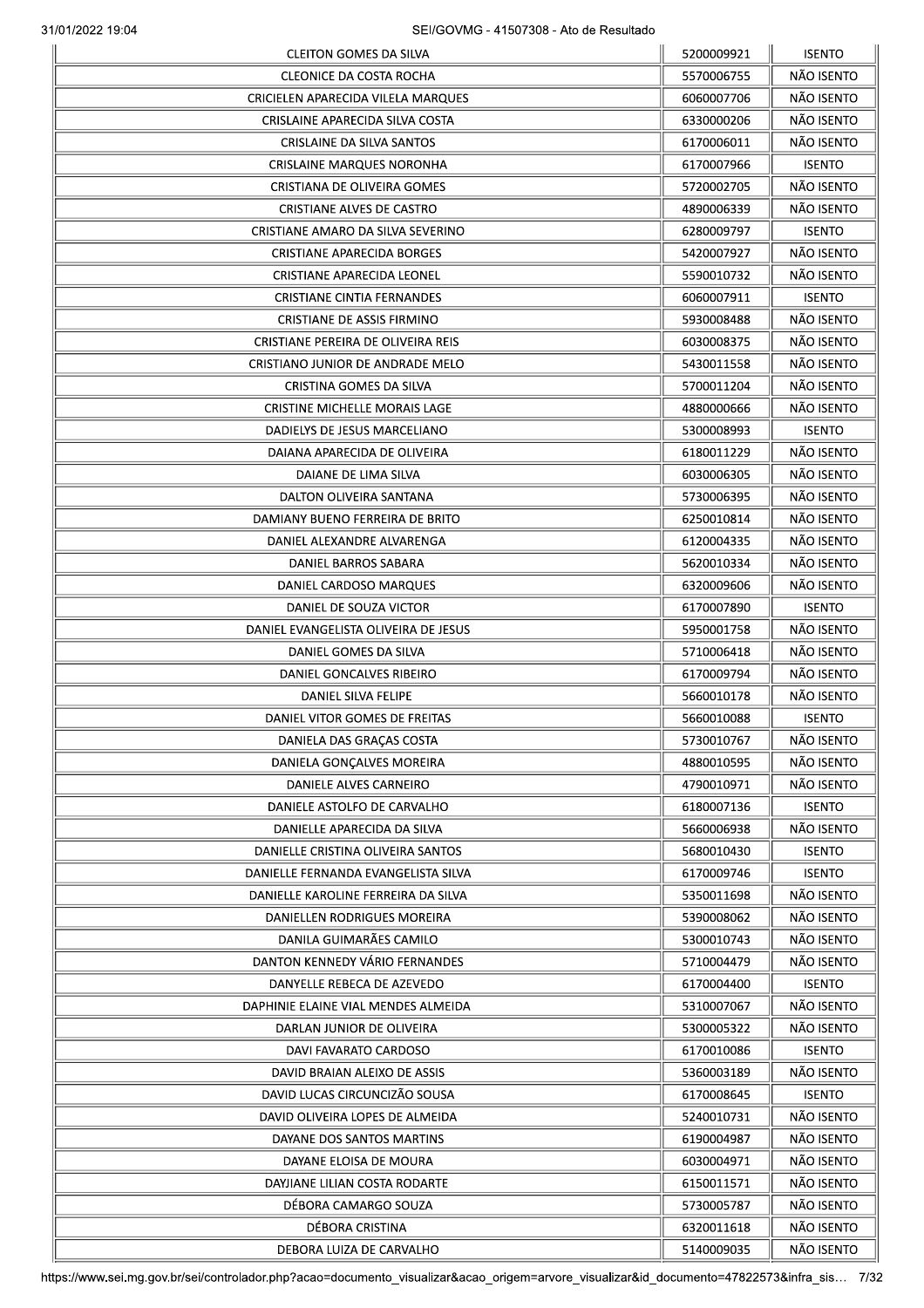|                                      | 5200009921 | <b>ISENTO</b> |
|--------------------------------------|------------|---------------|
| CLEONICE DA COSTA ROCHA              | 5570006755 | NÃO ISENTO    |
| CRICIELEN APARECIDA VILELA MARQUES   | 6060007706 | NÃO ISENTO    |
| CRISLAINE APARECIDA SILVA COSTA      | 6330000206 | NÃO ISENTO    |
| <b>CRISLAINE DA SILVA SANTOS</b>     | 6170006011 | NÃO ISENTO    |
| CRISLAINE MARQUES NORONHA            | 6170007966 | <b>ISENTO</b> |
| CRISTIANA DE OLIVEIRA GOMES          | 5720002705 | NÃO ISENTO    |
| <b>CRISTIANE ALVES DE CASTRO</b>     | 4890006339 | NÃO ISENTO    |
| CRISTIANE AMARO DA SILVA SEVERINO    | 6280009797 | <b>ISENTO</b> |
| <b>CRISTIANE APARECIDA BORGES</b>    | 5420007927 | NÃO ISENTO    |
| CRISTIANE APARECIDA LEONEL           | 5590010732 | NÃO ISENTO    |
| <b>CRISTIANE CINTIA FERNANDES</b>    | 6060007911 | <b>ISENTO</b> |
| <b>CRISTIANE DE ASSIS FIRMINO</b>    | 5930008488 | NÃO ISENTO    |
| CRISTIANE PEREIRA DE OLIVEIRA REIS   | 6030008375 | NÃO ISENTO    |
| CRISTIANO JUNIOR DE ANDRADE MELO     | 5430011558 | NÃO ISENTO    |
|                                      |            |               |
| CRISTINA GOMES DA SILVA              | 5700011204 | NÃO ISENTO    |
| CRISTINE MICHELLE MORAIS LAGE        | 4880000666 | NÃO ISENTO    |
| DADIELYS DE JESUS MARCELIANO         | 5300008993 | <b>ISENTO</b> |
| DAIANA APARECIDA DE OLIVEIRA         | 6180011229 | NÃO ISENTO    |
| DAIANE DE LIMA SILVA                 | 6030006305 | NÃO ISENTO    |
| DALTON OLIVEIRA SANTANA              | 5730006395 | NÃO ISENTO    |
| DAMIANY BUENO FERREIRA DE BRITO      | 6250010814 | NÃO ISENTO    |
| DANIEL ALEXANDRE ALVARENGA           | 6120004335 | NÃO ISENTO    |
| DANIEL BARROS SABARA                 | 5620010334 | NÃO ISENTO    |
| DANIEL CARDOSO MARQUES               | 6320009606 | NÃO ISENTO    |
| DANIEL DE SOUZA VICTOR               | 6170007890 | <b>ISENTO</b> |
| DANIEL EVANGELISTA OLIVEIRA DE JESUS | 5950001758 | NÃO ISENTO    |
| DANIEL GOMES DA SILVA                | 5710006418 | NÃO ISENTO    |
| DANIEL GONCALVES RIBEIRO             | 6170009794 | NÃO ISENTO    |
| DANIEL SILVA FELIPE                  | 5660010178 | NÃO ISENTO    |
| DANIEL VITOR GOMES DE FREITAS        | 5660010088 | <b>ISENTO</b> |
| DANIELA DAS GRAÇAS COSTA             | 5730010767 | NÃO ISENTO    |
| DANIELA GONÇALVES MOREIRA            | 4880010595 | NÃO ISENTO    |
| DANIELE ALVES CARNEIRO               | 4790010971 | NÃO ISENTO    |
| DANIELE ASTOLFO DE CARVALHO          | 6180007136 | <b>ISENTO</b> |
| DANIELLE APARECIDA DA SILVA          | 5660006938 | NÃO ISENTO    |
| DANIELLE CRISTINA OLIVEIRA SANTOS    | 5680010430 | <b>ISENTO</b> |
| DANIELLE FERNANDA EVANGELISTA SILVA  | 6170009746 | <b>ISENTO</b> |
| DANIELLE KAROLINE FERREIRA DA SILVA  | 5350011698 | NÃO ISENTO    |
| DANIELLEN RODRIGUES MOREIRA          | 5390008062 | NÃO ISENTO    |
| DANILA GUIMARÃES CAMILO              | 5300010743 | NÃO ISENTO    |
|                                      |            |               |
| DANTON KENNEDY VÁRIO FERNANDES       | 5710004479 | NÃO ISENTO    |
| DANYELLE REBECA DE AZEVEDO           | 6170004400 | <b>ISENTO</b> |
| DAPHINIE ELAINE VIAL MENDES ALMEIDA  | 5310007067 | NÃO ISENTO    |
| DARLAN JUNIOR DE OLIVEIRA            | 5300005322 | NÃO ISENTO    |
| DAVI FAVARATO CARDOSO                | 6170010086 | <b>ISENTO</b> |
| DAVID BRAIAN ALEIXO DE ASSIS         | 5360003189 | NÃO ISENTO    |
| DAVID LUCAS CIRCUNCIZÃO SOUSA        | 6170008645 | <b>ISENTO</b> |
| DAVID OLIVEIRA LOPES DE ALMEIDA      | 5240010731 | NÃO ISENTO    |
| DAYANE DOS SANTOS MARTINS            | 6190004987 | NÃO ISENTO    |
| DAYANE ELOISA DE MOURA               | 6030004971 | NÃO ISENTO    |
| DAYJIANE LILIAN COSTA RODARTE        | 6150011571 | NÃO ISENTO    |
| DÉBORA CAMARGO SOUZA                 | 5730005787 | NÃO ISENTO    |
| DÉBORA CRISTINA                      | 6320011618 | NÃO ISENTO    |
| DEBORA LUIZA DE CARVALHO             | 5140009035 | NÃO ISENTO    |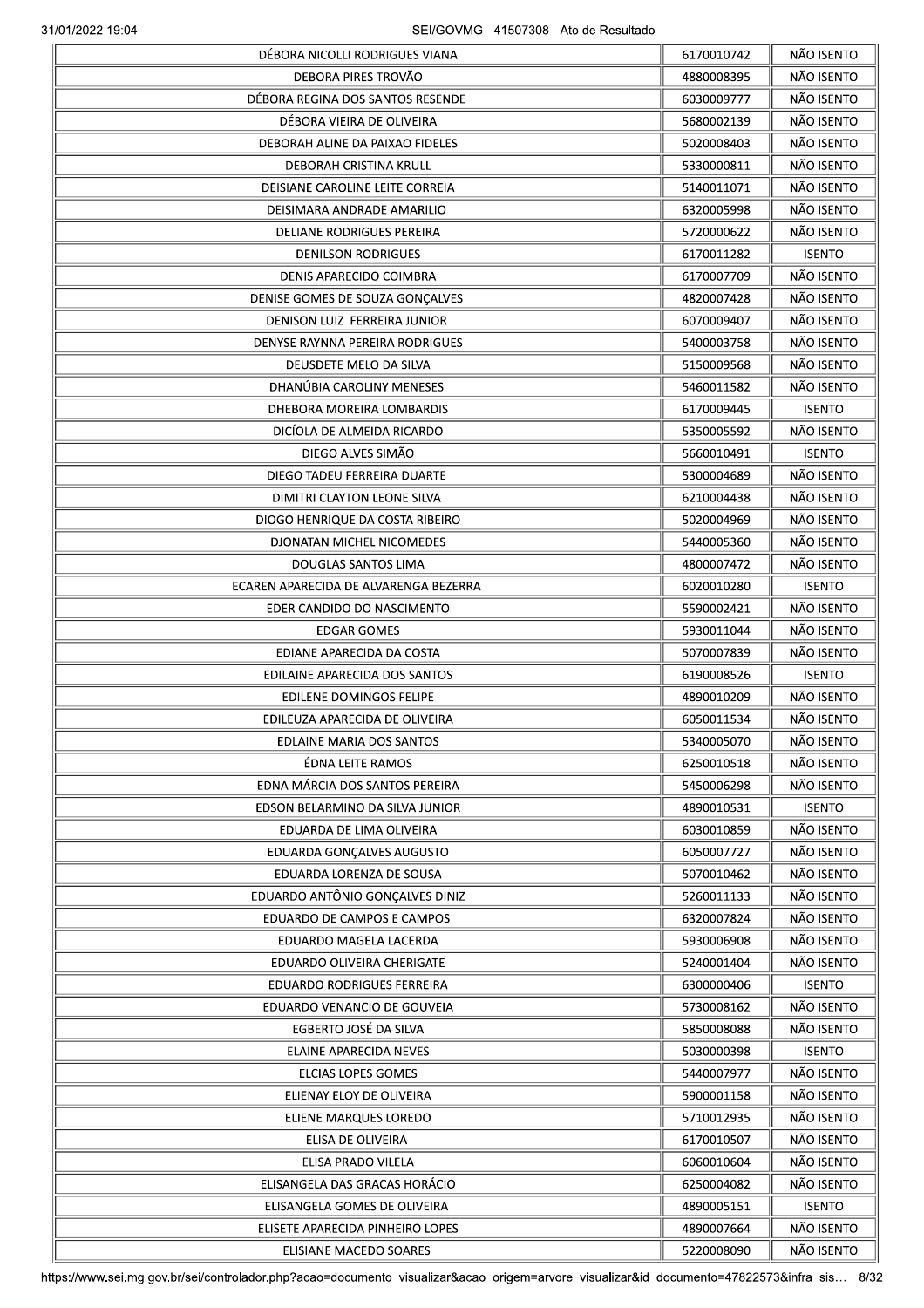| DÉBORA NICOLLI RODRIGUES VIANA        | 6170010742 | NÃO ISENTO    |
|---------------------------------------|------------|---------------|
| DEBORA PIRES TROVÃO                   | 4880008395 | NÃO ISENTO    |
| DÉBORA REGINA DOS SANTOS RESENDE      | 6030009777 | NÃO ISENTO    |
| DÉBORA VIEIRA DE OLIVEIRA             | 5680002139 | NÃO ISENTO    |
| DEBORAH ALINE DA PAIXAO FIDELES       | 5020008403 | NÃO ISENTO    |
| DEBORAH CRISTINA KRULL                | 5330000811 | NÃO ISENTO    |
| DEISIANE CAROLINE LEITE CORREIA       | 5140011071 | NÃO ISENTO    |
| DEISIMARA ANDRADE AMARILIO            | 6320005998 | NÃO ISENTO    |
| <b>DELIANE RODRIGUES PEREIRA</b>      | 5720000622 | NÃO ISENTO    |
|                                       |            |               |
| <b>DENILSON RODRIGUES</b>             | 6170011282 | <b>ISENTO</b> |
| DENIS APARECIDO COIMBRA               | 6170007709 | NÃO ISENTO    |
| DENISE GOMES DE SOUZA GONÇALVES       | 4820007428 | NÃO ISENTO    |
| DENISON LUIZ FERREIRA JUNIOR          | 6070009407 | NÃO ISENTO    |
| DENYSE RAYNNA PEREIRA RODRIGUES       | 5400003758 | NÃO ISENTO    |
| DEUSDETE MELO DA SILVA                | 5150009568 | NÃO ISENTO    |
| DHANÚBIA CAROLINY MENESES             | 5460011582 | NÃO ISENTO    |
| DHEBORA MOREIRA LOMBARDIS             | 6170009445 | <b>ISENTO</b> |
| DICÍOLA DE ALMEIDA RICARDO            | 5350005592 | NÃO ISENTO    |
| DIEGO ALVES SIMÃO                     | 5660010491 | <b>ISENTO</b> |
| DIEGO TADEU FERREIRA DUARTE           | 5300004689 | NÃO ISENTO    |
| DIMITRI CLAYTON LEONE SILVA           | 6210004438 | NÃO ISENTO    |
| DIOGO HENRIQUE DA COSTA RIBEIRO       | 5020004969 | NÃO ISENTO    |
| DJONATAN MICHEL NICOMEDES             | 5440005360 | NÃO ISENTO    |
| DOUGLAS SANTOS LIMA                   | 4800007472 | NÃO ISENTO    |
|                                       |            |               |
| ECAREN APARECIDA DE ALVARENGA BEZERRA | 6020010280 | <b>ISENTO</b> |
| EDER CANDIDO DO NASCIMENTO            | 5590002421 | NÃO ISENTO    |
| EDGAR GOMES                           | 5930011044 | NÃO ISENTO    |
| EDIANE APARECIDA DA COSTA             | 5070007839 | NÃO ISENTO    |
| EDILAINE APARECIDA DOS SANTOS         | 6190008526 | <b>ISENTO</b> |
| EDILENE DOMINGOS FELIPE               | 4890010209 | NÃO ISENTO    |
| EDILEUZA APARECIDA DE OLIVEIRA        | 6050011534 | NÃO ISENTO    |
| EDLAINE MARIA DOS SANTOS              | 5340005070 | NÃO ISENTO    |
| ÉDNA LEITE RAMOS                      | 6250010518 | NÃO ISENTO    |
| EDNA MÁRCIA DOS SANTOS PEREIRA        | 5450006298 | NÃO ISENTO    |
| EDSON BELARMINO DA SILVA JUNIOR       | 4890010531 | <b>ISENTO</b> |
| EDUARDA DE LIMA OLIVEIRA              | 6030010859 | NÃO ISENTO    |
| EDUARDA GONÇALVES AUGUSTO             | 6050007727 | NÃO ISENTO    |
| EDUARDA LORENZA DE SOUSA              | 5070010462 | NÃO ISENTO    |
| EDUARDO ANTÔNIO GONÇALVES DINIZ       | 5260011133 | NÃO ISENTO    |
|                                       |            | NÃO ISENTO    |
| EDUARDO DE CAMPOS E CAMPOS            | 6320007824 |               |
| EDUARDO MAGELA LACERDA                | 5930006908 | NÃO ISENTO    |
| EDUARDO OLIVEIRA CHERIGATE            | 5240001404 | NÃO ISENTO    |
| <b>EDUARDO RODRIGUES FERREIRA</b>     | 6300000406 | <b>ISENTO</b> |
| EDUARDO VENANCIO DE GOUVEIA           | 5730008162 | NÃO ISENTO    |
| EGBERTO JOSÉ DA SILVA                 | 5850008088 | NÃO ISENTO    |
| ELAINE APARECIDA NEVES                | 5030000398 | <b>ISENTO</b> |
| ELCIAS LOPES GOMES                    | 5440007977 | NÃO ISENTO    |
| ELIENAY ELOY DE OLIVEIRA              | 5900001158 | NÃO ISENTO    |
| ELIENE MARQUES LOREDO                 | 5710012935 | NÃO ISENTO    |
| ELISA DE OLIVEIRA                     | 6170010507 | NÃO ISENTO    |
| ELISA PRADO VILELA                    | 6060010604 | NÃO ISENTO    |
| ELISANGELA DAS GRACAS HORÁCIO         | 6250004082 | NÃO ISENTO    |
| ELISANGELA GOMES DE OLIVEIRA          | 4890005151 | <b>ISENTO</b> |
|                                       |            |               |
| ELISETE APARECIDA PINHEIRO LOPES      | 4890007664 | NÃO ISENTO    |
| ELISIANE MACEDO SOARES                | 5220008090 | NÃO ISENTO    |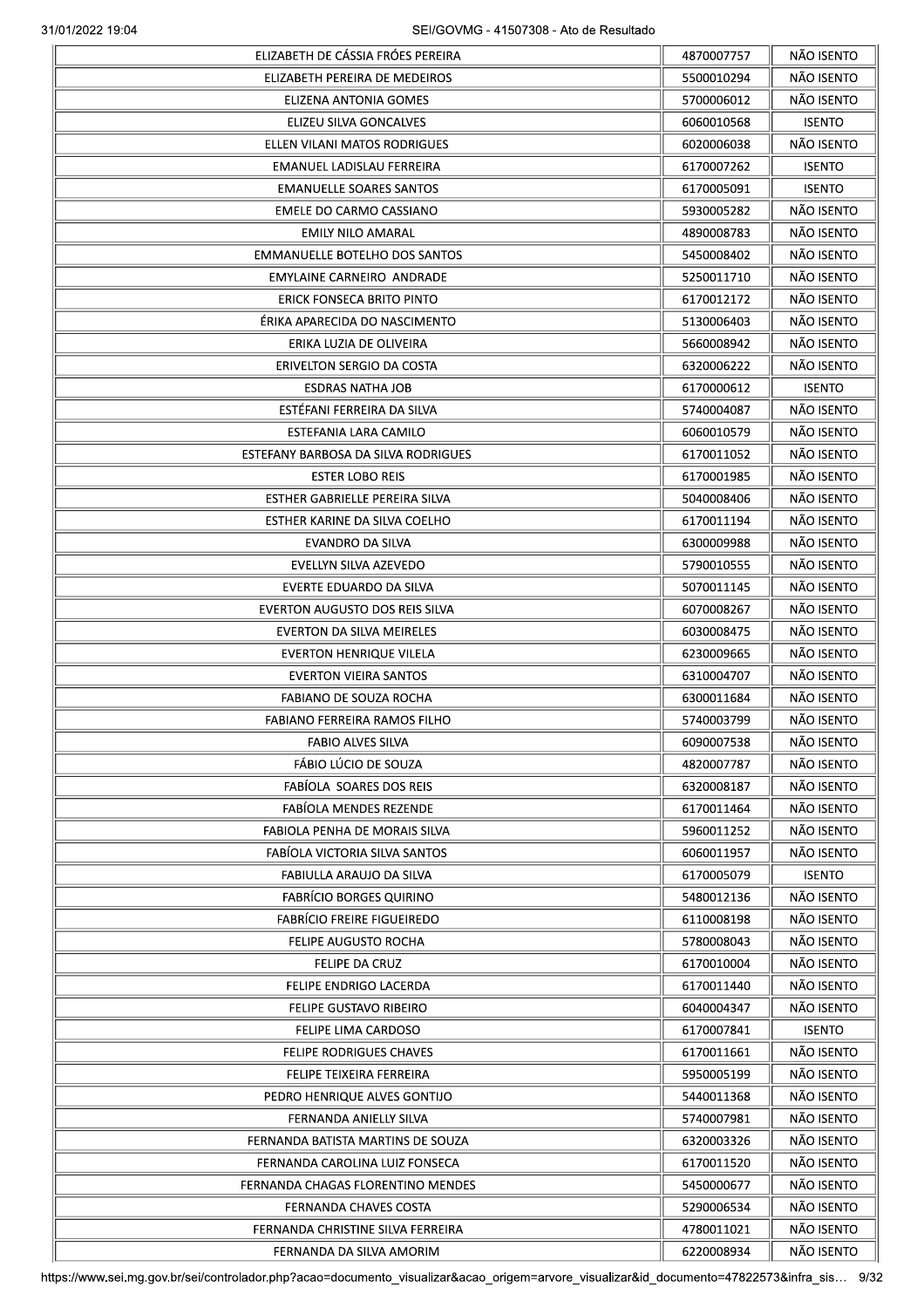|                                      | 4870007757 | NÃO ISENTO    |
|--------------------------------------|------------|---------------|
| ELIZABETH PEREIRA DE MEDEIROS        | 5500010294 | NÃO ISENTO    |
| ELIZENA ANTONIA GOMES                | 5700006012 | NÃO ISENTO    |
| ELIZEU SILVA GONCALVES               | 6060010568 | <b>ISENTO</b> |
| ELLEN VILANI MATOS RODRIGUES         | 6020006038 | NÃO ISENTO    |
| EMANUEL LADISLAU FERREIRA            | 6170007262 | <b>ISENTO</b> |
| <b>EMANUELLE SOARES SANTOS</b>       | 6170005091 | <b>ISENTO</b> |
| EMELE DO CARMO CASSIANO              | 5930005282 | NÃO ISENTO    |
| <b>EMILY NILO AMARAL</b>             | 4890008783 | NÃO ISENTO    |
| <b>EMMANUELLE BOTELHO DOS SANTOS</b> | 5450008402 | NÃO ISENTO    |
| EMYLAINE CARNEIRO ANDRADE            | 5250011710 | NÃO ISENTO    |
| ERICK FONSECA BRITO PINTO            | 6170012172 | NÃO ISENTO    |
| ÉRIKA APARECIDA DO NASCIMENTO        | 5130006403 | NÃO ISENTO    |
| ERIKA LUZIA DE OLIVEIRA              | 5660008942 | NÃO ISENTO    |
| ERIVELTON SERGIO DA COSTA            | 6320006222 | NÃO ISENTO    |
|                                      |            |               |
| <b>ESDRAS NATHA JOB</b>              | 6170000612 | <b>ISENTO</b> |
| ESTÉFANI FERREIRA DA SILVA           | 5740004087 | NÃO ISENTO    |
| ESTEFANIA LARA CAMILO                | 6060010579 | NÃO ISENTO    |
| ESTEFANY BARBOSA DA SILVA RODRIGUES  | 6170011052 | NÃO ISENTO    |
| <b>ESTER LOBO REIS</b>               | 6170001985 | NÃO ISENTO    |
| ESTHER GABRIELLE PEREIRA SILVA       | 5040008406 | NÃO ISENTO    |
| ESTHER KARINE DA SILVA COELHO        | 6170011194 | NÃO ISENTO    |
| EVANDRO DA SILVA                     | 6300009988 | NÃO ISENTO    |
| EVELLYN SILVA AZEVEDO                | 5790010555 | NÃO ISENTO    |
| EVERTE EDUARDO DA SILVA              | 5070011145 | NÃO ISENTO    |
| EVERTON AUGUSTO DOS REIS SILVA       | 6070008267 | NÃO ISENTO    |
| EVERTON DA SILVA MEIRELES            | 6030008475 | NÃO ISENTO    |
| <b>EVERTON HENRIQUE VILELA</b>       | 6230009665 | NÃO ISENTO    |
| <b>EVERTON VIEIRA SANTOS</b>         | 6310004707 | NÃO ISENTO    |
| FABIANO DE SOUZA ROCHA               | 6300011684 | NÃO ISENTO    |
| FABIANO FERREIRA RAMOS FILHO         | 5740003799 | NÃO ISENTO    |
| <b>FABIO ALVES SILVA</b>             | 6090007538 | NÃO ISENTO    |
| FÁBIO LÚCIO DE SOUZA                 | 4820007787 | NÃO ISENTO    |
| FABÍOLA SOARES DOS REIS              | 6320008187 | NÃO ISENTO    |
| FABÍOLA MENDES REZENDE               | 6170011464 | NÃO ISENTO    |
| FABIOLA PENHA DE MORAIS SILVA        | 5960011252 | NÃO ISENTO    |
| FABÍOLA VICTORIA SILVA SANTOS        | 6060011957 | NÃO ISENTO    |
| FABIULLA ARAUJO DA SILVA             | 6170005079 | <b>ISENTO</b> |
| <b>FABRÍCIO BORGES QUIRINO</b>       | 5480012136 | NÃO ISENTO    |
|                                      |            | NÃO ISENTO    |
| <b>FABRÍCIO FREIRE FIGUEIREDO</b>    | 6110008198 |               |
| <b>FELIPE AUGUSTO ROCHA</b>          | 5780008043 | NÃO ISENTO    |
| <b>FELIPE DA CRUZ</b>                | 6170010004 | NÃO ISENTO    |
| FELIPE ENDRIGO LACERDA               | 6170011440 | NÃO ISENTO    |
| FELIPE GUSTAVO RIBEIRO               | 6040004347 | NÃO ISENTO    |
| FELIPE LIMA CARDOSO                  | 6170007841 | <b>ISENTO</b> |
| <b>FELIPE RODRIGUES CHAVES</b>       | 6170011661 | NÃO ISENTO    |
| FELIPE TEIXEIRA FERREIRA             | 5950005199 | NÃO ISENTO    |
| PEDRO HENRIQUE ALVES GONTIJO         | 5440011368 | NÃO ISENTO    |
| FERNANDA ANIELLY SILVA               | 5740007981 | NÃO ISENTO    |
| FERNANDA BATISTA MARTINS DE SOUZA    | 6320003326 | NÃO ISENTO    |
| FERNANDA CAROLINA LUIZ FONSECA       | 6170011520 | NÃO ISENTO    |
| FERNANDA CHAGAS FLORENTINO MENDES    | 5450000677 | NÃO ISENTO    |
| FERNANDA CHAVES COSTA                | 5290006534 | NÃO ISENTO    |
| FERNANDA CHRISTINE SILVA FERREIRA    | 4780011021 | NÃO ISENTO    |
| FERNANDA DA SILVA AMORIM             | 6220008934 | NÃO ISENTO    |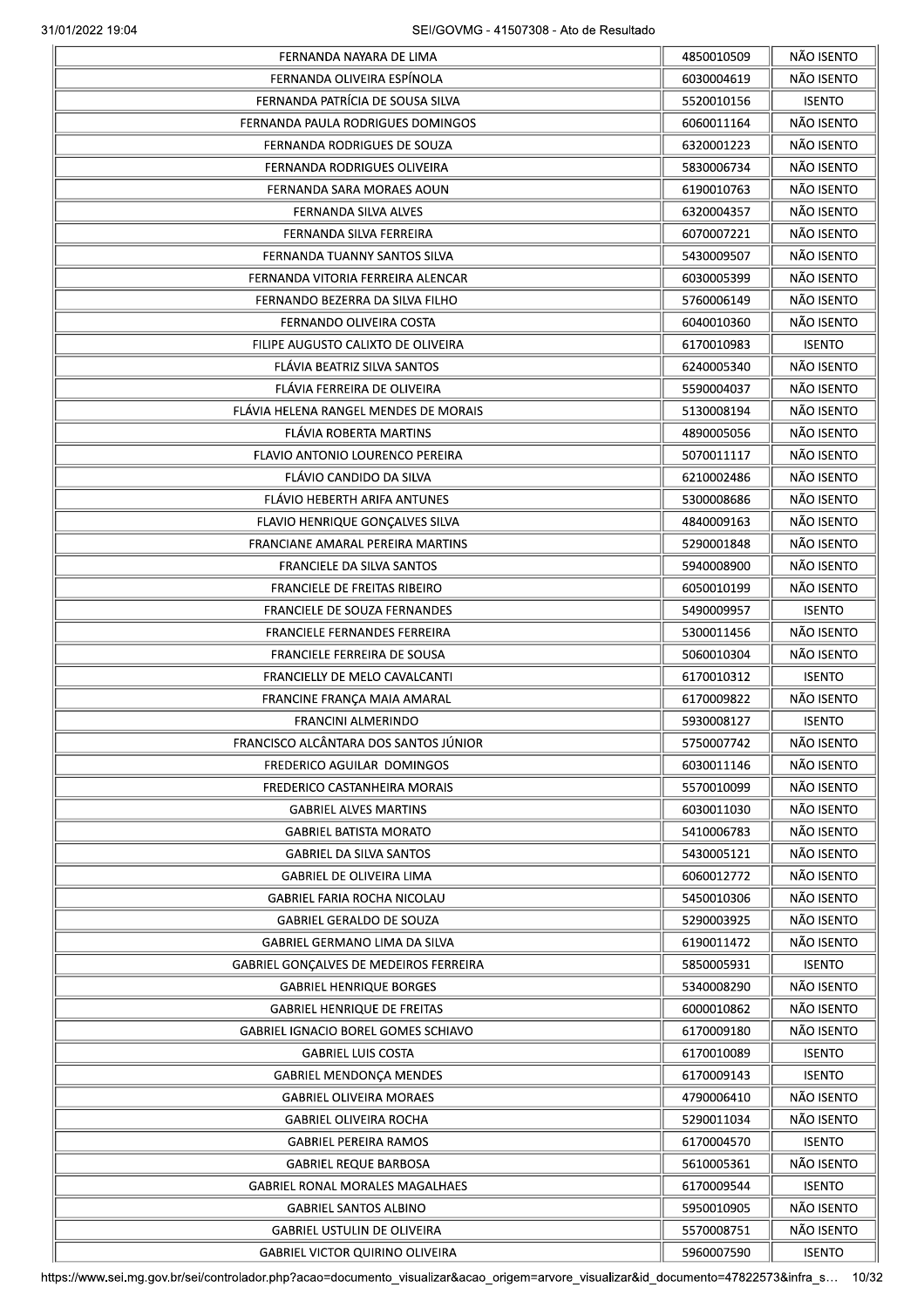|                                        | 4850010509 | NÃO ISENTO    |
|----------------------------------------|------------|---------------|
| FERNANDA OLIVEIRA ESPÍNOLA             | 6030004619 | NÃO ISENTO    |
| FERNANDA PATRÍCIA DE SOUSA SILVA       | 5520010156 | <b>ISENTO</b> |
| FERNANDA PAULA RODRIGUES DOMINGOS      | 6060011164 | NÃO ISENTO    |
| <b>FERNANDA RODRIGUES DE SOUZA</b>     | 6320001223 | NÃO ISENTO    |
| FERNANDA RODRIGUES OLIVEIRA            | 5830006734 | NÃO ISENTO    |
| FERNANDA SARA MORAES AOUN              | 6190010763 | NÃO ISENTO    |
| FERNANDA SILVA ALVES                   | 6320004357 | NÃO ISENTO    |
| FERNANDA SILVA FERREIRA                | 6070007221 | NÃO ISENTO    |
| FERNANDA TUANNY SANTOS SILVA           | 5430009507 | NÃO ISENTO    |
| FERNANDA VITORIA FERREIRA ALENCAR      | 6030005399 | NÃO ISENTO    |
| FERNANDO BEZERRA DA SILVA FILHO        | 5760006149 | NÃO ISENTO    |
| FERNANDO OLIVEIRA COSTA                | 6040010360 | NÃO ISENTO    |
| FILIPE AUGUSTO CALIXTO DE OLIVEIRA     | 6170010983 | <b>ISENTO</b> |
| FLÁVIA BEATRIZ SILVA SANTOS            | 6240005340 | NÃO ISENTO    |
| FLÁVIA FERREIRA DE OLIVEIRA            | 5590004037 | NÃO ISENTO    |
| FLÁVIA HELENA RANGEL MENDES DE MORAIS  | 5130008194 | NÃO ISENTO    |
|                                        |            | NÃO ISENTO    |
| FLÁVIA ROBERTA MARTINS                 | 4890005056 |               |
| FLAVIO ANTONIO LOURENCO PEREIRA        | 5070011117 | NÃO ISENTO    |
| FLÁVIO CANDIDO DA SILVA                | 6210002486 | NÃO ISENTO    |
| FLÁVIO HEBERTH ARIFA ANTUNES           | 5300008686 | NÃO ISENTO    |
| FLAVIO HENRIQUE GONÇALVES SILVA        | 4840009163 | NÃO ISENTO    |
| FRANCIANE AMARAL PEREIRA MARTINS       | 5290001848 | NÃO ISENTO    |
| <b>FRANCIELE DA SILVA SANTOS</b>       | 5940008900 | NÃO ISENTO    |
| <b>FRANCIELE DE FREITAS RIBEIRO</b>    | 6050010199 | NÃO ISENTO    |
| FRANCIELE DE SOUZA FERNANDES           | 5490009957 | <b>ISENTO</b> |
| FRANCIELE FERNANDES FERREIRA           | 5300011456 | NÃO ISENTO    |
| FRANCIELE FERREIRA DE SOUSA            | 5060010304 | NÃO ISENTO    |
| FRANCIELLY DE MELO CAVALCANTI          | 6170010312 | <b>ISENTO</b> |
| FRANCINE FRANÇA MAIA AMARAL            | 6170009822 | NÃO ISENTO    |
| <b>FRANCINI ALMERINDO</b>              | 5930008127 | <b>ISENTO</b> |
| FRANCISCO ALCÂNTARA DOS SANTOS JÚNIOR  | 5750007742 | NÃO ISENTO    |
| FREDERICO AGUILAR DOMINGOS             | 6030011146 | NÃO ISENTO    |
| FREDERICO CASTANHEIRA MORAIS           | 5570010099 | NÃO ISENTO    |
| <b>GABRIEL ALVES MARTINS</b>           | 6030011030 | NÃO ISENTO    |
| <b>GABRIEL BATISTA MORATO</b>          | 5410006783 | NÃO ISENTO    |
| <b>GABRIEL DA SILVA SANTOS</b>         | 5430005121 | NÃO ISENTO    |
| <b>GABRIEL DE OLIVEIRA LIMA</b>        | 6060012772 | NÃO ISENTO    |
| <b>GABRIEL FARIA ROCHA NICOLAU</b>     | 5450010306 | NÃO ISENTO    |
| <b>GABRIEL GERALDO DE SOUZA</b>        | 5290003925 | NÃO ISENTO    |
| GABRIEL GERMANO LIMA DA SILVA          | 6190011472 | NÃO ISENTO    |
|                                        |            |               |
| GABRIEL GONÇALVES DE MEDEIROS FERREIRA | 5850005931 | <b>ISENTO</b> |
| <b>GABRIEL HENRIQUE BORGES</b>         | 5340008290 | NÃO ISENTO    |
| <b>GABRIEL HENRIQUE DE FREITAS</b>     | 6000010862 | NÃO ISENTO    |
| GABRIEL IGNACIO BOREL GOMES SCHIAVO    | 6170009180 | NÃO ISENTO    |
| <b>GABRIEL LUIS COSTA</b>              | 6170010089 | <b>ISENTO</b> |
| <b>GABRIEL MENDONÇA MENDES</b>         | 6170009143 | <b>ISENTO</b> |
| <b>GABRIEL OLIVEIRA MORAES</b>         | 4790006410 | NÃO ISENTO    |
| <b>GABRIEL OLIVEIRA ROCHA</b>          | 5290011034 | NÃO ISENTO    |
| <b>GABRIEL PEREIRA RAMOS</b>           | 6170004570 | <b>ISENTO</b> |
| <b>GABRIEL REQUE BARBOSA</b>           | 5610005361 | NÃO ISENTO    |
| <b>GABRIEL RONAL MORALES MAGALHAES</b> | 6170009544 | <b>ISENTO</b> |
| <b>GABRIEL SANTOS ALBINO</b>           | 5950010905 | NÃO ISENTO    |
| <b>GABRIEL USTULIN DE OLIVEIRA</b>     | 5570008751 | NÃO ISENTO    |
| <b>GABRIEL VICTOR QUIRINO OLIVEIRA</b> | 5960007590 | <b>ISENTO</b> |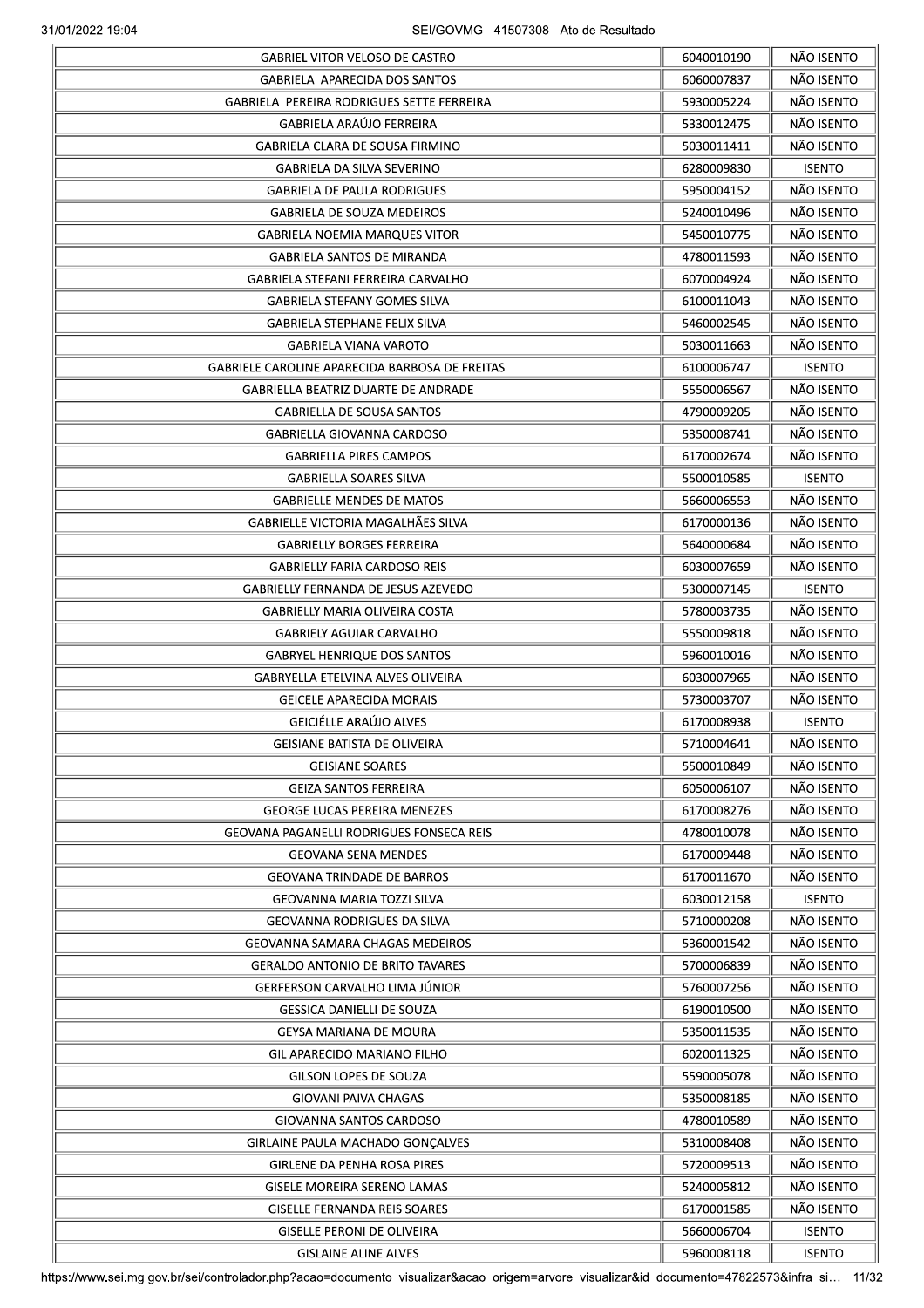| <b>GABRIEL VITOR VELOSO DE CASTRO</b>           | 6040010190 | NÃO ISENTO    |
|-------------------------------------------------|------------|---------------|
| GABRIELA APARECIDA DOS SANTOS                   | 6060007837 | NÃO ISENTO    |
| GABRIELA PEREIRA RODRIGUES SETTE FERREIRA       | 5930005224 | NÃO ISENTO    |
| <b>GABRIELA ARAÚJO FERREIRA</b>                 | 5330012475 | NÃO ISENTO    |
| <b>GABRIELA CLARA DE SOUSA FIRMINO</b>          | 5030011411 | NÃO ISENTO    |
| GABRIELA DA SILVA SEVERINO                      | 6280009830 | <b>ISENTO</b> |
| <b>GABRIELA DE PAULA RODRIGUES</b>              | 5950004152 | NÃO ISENTO    |
| <b>GABRIELA DE SOUZA MEDEIROS</b>               | 5240010496 | NÃO ISENTO    |
| <b>GABRIELA NOEMIA MARQUES VITOR</b>            | 5450010775 | NÃO ISENTO    |
| <b>GABRIELA SANTOS DE MIRANDA</b>               | 4780011593 | NÃO ISENTO    |
| GABRIELA STEFANI FERREIRA CARVALHO              | 6070004924 | NÃO ISENTO    |
| <b>GABRIELA STEFANY GOMES SILVA</b>             | 6100011043 | NÃO ISENTO    |
| GABRIELA STEPHANE FELIX SILVA                   | 5460002545 | NÃO ISENTO    |
| <b>GABRIELA VIANA VAROTO</b>                    | 5030011663 | NÃO ISENTO    |
| GABRIELE CAROLINE APARECIDA BARBOSA DE FREITAS  | 6100006747 | <b>ISENTO</b> |
| <b>GABRIELLA BEATRIZ DUARTE DE ANDRADE</b>      | 5550006567 | NÃO ISENTO    |
| <b>GABRIELLA DE SOUSA SANTOS</b>                | 4790009205 | NÃO ISENTO    |
| GABRIELLA GIOVANNA CARDOSO                      | 5350008741 | NÃO ISENTO    |
| <b>GABRIELLA PIRES CAMPOS</b>                   | 6170002674 | NÃO ISENTO    |
| <b>GABRIELLA SOARES SILVA</b>                   | 5500010585 | <b>ISENTO</b> |
| <b>GABRIELLE MENDES DE MATOS</b>                | 5660006553 | NÃO ISENTO    |
| GABRIELLE VICTORIA MAGALHÃES SILVA              | 6170000136 | NÃO ISENTO    |
| <b>GABRIELLY BORGES FERREIRA</b>                | 5640000684 | NÃO ISENTO    |
| <b>GABRIELLY FARIA CARDOSO REIS</b>             |            | NÃO ISENTO    |
|                                                 | 6030007659 |               |
| <b>GABRIELLY FERNANDA DE JESUS AZEVEDO</b>      | 5300007145 | <b>ISENTO</b> |
| GABRIELLY MARIA OLIVEIRA COSTA                  | 5780003735 | NÃO ISENTO    |
| <b>GABRIELY AGUIAR CARVALHO</b>                 | 5550009818 | NÃO ISENTO    |
| <b>GABRYEL HENRIQUE DOS SANTOS</b>              | 5960010016 | NÃO ISENTO    |
| GABRYELLA ETELVINA ALVES OLIVEIRA               | 6030007965 | NÃO ISENTO    |
| <b>GEICELE APARECIDA MORAIS</b>                 | 5730003707 | NÃO ISENTO    |
| GEICIÉLLE ARAÚJO ALVES                          | 6170008938 | <b>ISENTO</b> |
| GEISIANE BATISTA DE OLIVEIRA                    | 5710004641 | NÃO ISENTO    |
| <b>GEISIANE SOARES</b>                          | 5500010849 | NÃO ISENTO    |
| <b>GEIZA SANTOS FERREIRA</b>                    | 6050006107 | NÃO ISENTO    |
| <b>GEORGE LUCAS PEREIRA MENEZES</b>             | 6170008276 | NÃO ISENTO    |
| <b>GEOVANA PAGANELLI RODRIGUES FONSECA REIS</b> | 4780010078 | NÃO ISENTO    |
| <b>GEOVANA SENA MENDES</b>                      | 6170009448 | NÃO ISENTO    |
| <b>GEOVANA TRINDADE DE BARROS</b>               | 6170011670 | NÃO ISENTO    |
| GEOVANNA MARIA TOZZI SILVA                      | 6030012158 | <b>ISENTO</b> |
| GEOVANNA RODRIGUES DA SILVA                     | 5710000208 | NÃO ISENTO    |
| <b>GEOVANNA SAMARA CHAGAS MEDEIROS</b>          | 5360001542 | NÃO ISENTO    |
| <b>GERALDO ANTONIO DE BRITO TAVARES</b>         | 5700006839 | NÃO ISENTO    |
| GERFERSON CARVALHO LIMA JÚNIOR                  | 5760007256 | NÃO ISENTO    |
| <b>GESSICA DANIELLI DE SOUZA</b>                | 6190010500 | NÃO ISENTO    |
| GEYSA MARIANA DE MOURA                          | 5350011535 | NÃO ISENTO    |
| GIL APARECIDO MARIANO FILHO                     | 6020011325 | NÃO ISENTO    |
| GILSON LOPES DE SOUZA                           | 5590005078 | NÃO ISENTO    |
| GIOVANI PAIVA CHAGAS                            | 5350008185 | NÃO ISENTO    |
| GIOVANNA SANTOS CARDOSO                         | 4780010589 | NÃO ISENTO    |
| <b>GIRLAINE PAULA MACHADO GONÇALVES</b>         | 5310008408 | NÃO ISENTO    |
| <b>GIRLENE DA PENHA ROSA PIRES</b>              | 5720009513 | NÃO ISENTO    |
| GISELE MOREIRA SERENO LAMAS                     | 5240005812 | NÃO ISENTO    |
| <b>GISELLE FERNANDA REIS SOARES</b>             | 6170001585 | NÃO ISENTO    |
| <b>GISELLE PERONI DE OLIVEIRA</b>               | 5660006704 | <b>ISENTO</b> |
| <b>GISLAINE ALINE ALVES</b>                     | 5960008118 | <b>ISENTO</b> |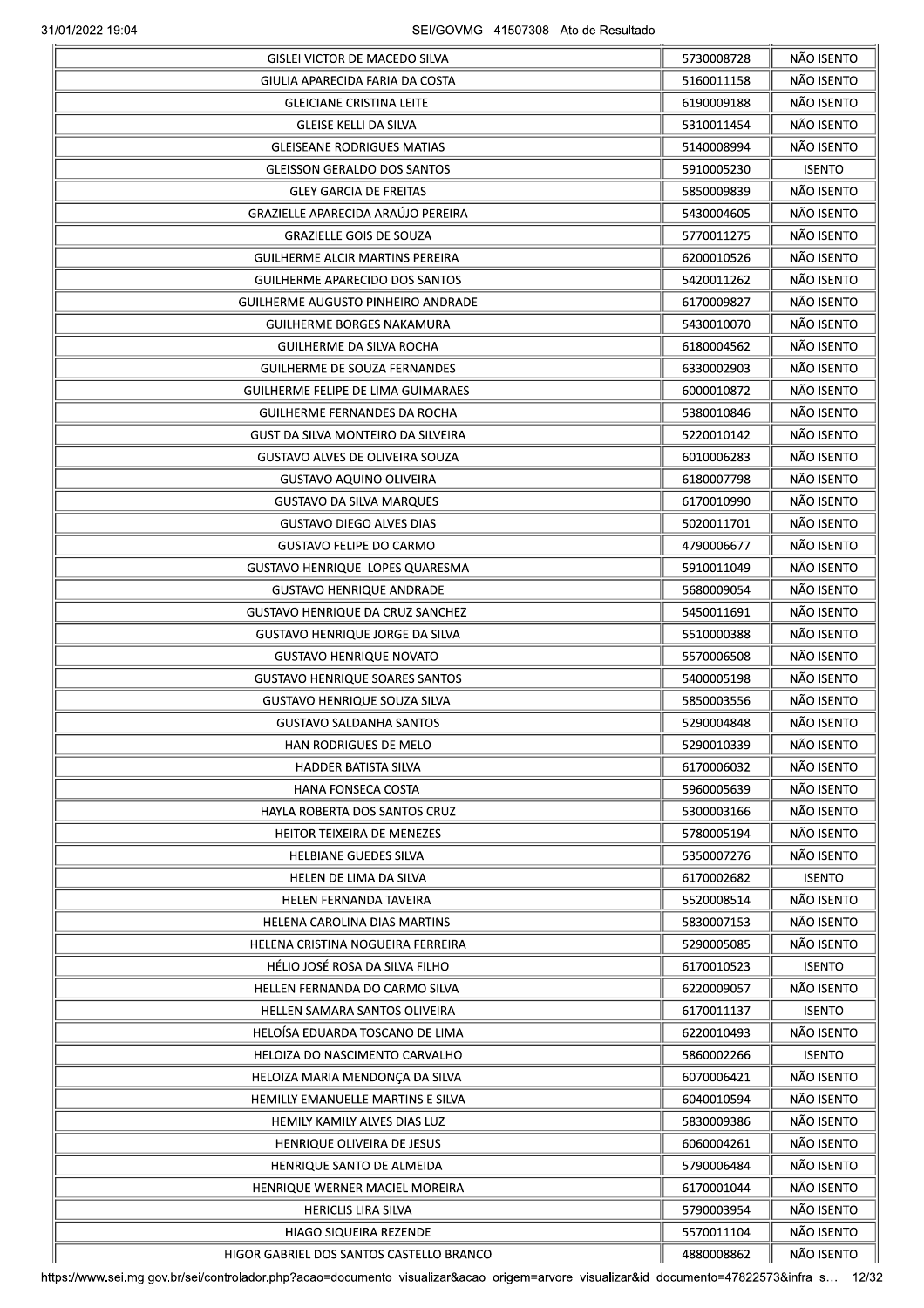| GIULIA APARECIDA FARIA DA COSTA           |                          | NÃO ISENTO    |
|-------------------------------------------|--------------------------|---------------|
|                                           | 5160011158               | NÃO ISENTO    |
| <b>GLEICIANE CRISTINA LEITE</b>           | 6190009188               | NÃO ISENTO    |
| <b>GLEISE KELLI DA SILVA</b>              | 5310011454               | NÃO ISENTO    |
|                                           |                          | NÃO ISENTO    |
| <b>GLEISEANE RODRIGUES MATIAS</b>         | 5140008994               |               |
| <b>GLEISSON GERALDO DOS SANTOS</b>        | 5910005230               | <b>ISENTO</b> |
| <b>GLEY GARCIA DE FREITAS</b>             | 5850009839               | NÃO ISENTO    |
| <b>GRAZIELLE APARECIDA ARAÚJO PEREIRA</b> | 5430004605               | NÃO ISENTO    |
| <b>GRAZIELLE GOIS DE SOUZA</b>            | 5770011275               | NÃO ISENTO    |
| <b>GUILHERME ALCIR MARTINS PEREIRA</b>    | 6200010526               | NÃO ISENTO    |
| <b>GUILHERME APARECIDO DOS SANTOS</b>     | 5420011262               | NÃO ISENTO    |
| GUILHERME AUGUSTO PINHEIRO ANDRADE        | 6170009827               | NÃO ISENTO    |
| GUILHERME BORGES NAKAMURA                 | 5430010070               | NÃO ISENTO    |
| GUILHERME DA SILVA ROCHA                  | 6180004562               | NÃO ISENTO    |
| <b>GUILHERME DE SOUZA FERNANDES</b>       | 6330002903               | NÃO ISENTO    |
| GUILHERME FELIPE DE LIMA GUIMARAES        | 6000010872               | NÃO ISENTO    |
| GUILHERME FERNANDES DA ROCHA              | 5380010846               | NÃO ISENTO    |
|                                           |                          | NÃO ISENTO    |
| GUST DA SILVA MONTEIRO DA SILVEIRA        | 5220010142               |               |
| <b>GUSTAVO ALVES DE OLIVEIRA SOUZA</b>    | 6010006283               | NÃO ISENTO    |
| <b>GUSTAVO AQUINO OLIVEIRA</b>            | 6180007798               | NÃO ISENTO    |
| <b>GUSTAVO DA SILVA MARQUES</b>           | 6170010990               | NÃO ISENTO    |
| <b>GUSTAVO DIEGO ALVES DIAS</b>           | 5020011701               | NÃO ISENTO    |
| <b>GUSTAVO FELIPE DO CARMO</b>            | 4790006677               | NÃO ISENTO    |
| <b>GUSTAVO HENRIQUE LOPES QUARESMA</b>    | 5910011049               | NÃO ISENTO    |
| <b>GUSTAVO HENRIQUE ANDRADE</b>           | 5680009054               | NÃO ISENTO    |
| <b>GUSTAVO HENRIQUE DA CRUZ SANCHEZ</b>   | 5450011691               | NÃO ISENTO    |
| <b>GUSTAVO HENRIQUE JORGE DA SILVA</b>    | 5510000388               | NÃO ISENTO    |
| <b>GUSTAVO HENRIQUE NOVATO</b>            | 5570006508               | NÃO ISENTO    |
| <b>GUSTAVO HENRIQUE SOARES SANTOS</b>     | 5400005198               | NÃO ISENTO    |
| <b>GUSTAVO HENRIQUE SOUZA SILVA</b>       | 5850003556               | NÃO ISENTO    |
|                                           |                          |               |
| <b>GUSTAVO SALDANHA SANTOS</b>            | 5290004848               | NÃO ISENTO    |
| HAN RODRIGUES DE MELO                     | 5290010339               | NÃO ISENTO    |
| <b>HADDER BATISTA SILVA</b>               | 6170006032               | NÃO ISENTO    |
| HANA FONSECA COSTA                        | 5960005639               | NÃO ISENTO    |
| HAYLA ROBERTA DOS SANTOS CRUZ             | 5300003166               | NÃO ISENTO    |
| HEITOR TEIXEIRA DE MENEZES                | 5780005194               | NÃO ISENTO    |
| <b>HELBIANE GUEDES SILVA</b>              | 5350007276               | NÃO ISENTO    |
| HELEN DE LIMA DA SILVA                    | 6170002682               | <b>ISENTO</b> |
| HELEN FERNANDA TAVEIRA                    | 5520008514               | NÃO ISENTO    |
| HELENA CAROLINA DIAS MARTINS              | 5830007153               | NÃO ISENTO    |
| HELENA CRISTINA NOGUEIRA FERREIRA         | 5290005085               | NÃO ISENTO    |
| HÉLIO JOSÉ ROSA DA SILVA FILHO            | 6170010523               | <b>ISENTO</b> |
|                                           |                          | NÃO ISENTO    |
| HELLEN FERNANDA DO CARMO SILVA            | 6220009057               |               |
| HELLEN SAMARA SANTOS OLIVEIRA             | 6170011137               | <b>ISENTO</b> |
| HELOÍSA EDUARDA TOSCANO DE LIMA           | 6220010493               | NÃO ISENTO    |
| HELOIZA DO NASCIMENTO CARVALHO            | 5860002266               | <b>ISENTO</b> |
| HELOIZA MARIA MENDONÇA DA SILVA           | 6070006421               | NÃO ISENTO    |
| HEMILLY EMANUELLE MARTINS E SILVA         | 6040010594               | NÃO ISENTO    |
| HEMILY KAMILY ALVES DIAS LUZ              | 5830009386               | NÃO ISENTO    |
| HENRIQUE OLIVEIRA DE JESUS                | 6060004261               | NÃO ISENTO    |
| HENRIQUE SANTO DE ALMEIDA                 | 5790006484               | NÃO ISENTO    |
| HENRIQUE WERNER MACIEL MOREIRA            | 6170001044               | NÃO ISENTO    |
| <b>HERICLIS LIRA SILVA</b>                | 5790003954               | NÃO ISENTO    |
|                                           |                          | NÃO ISENTO    |
| HIAGO SIQUEIRA REZENDE                    | 5570011104<br>4880008862 | NÃO ISENTO    |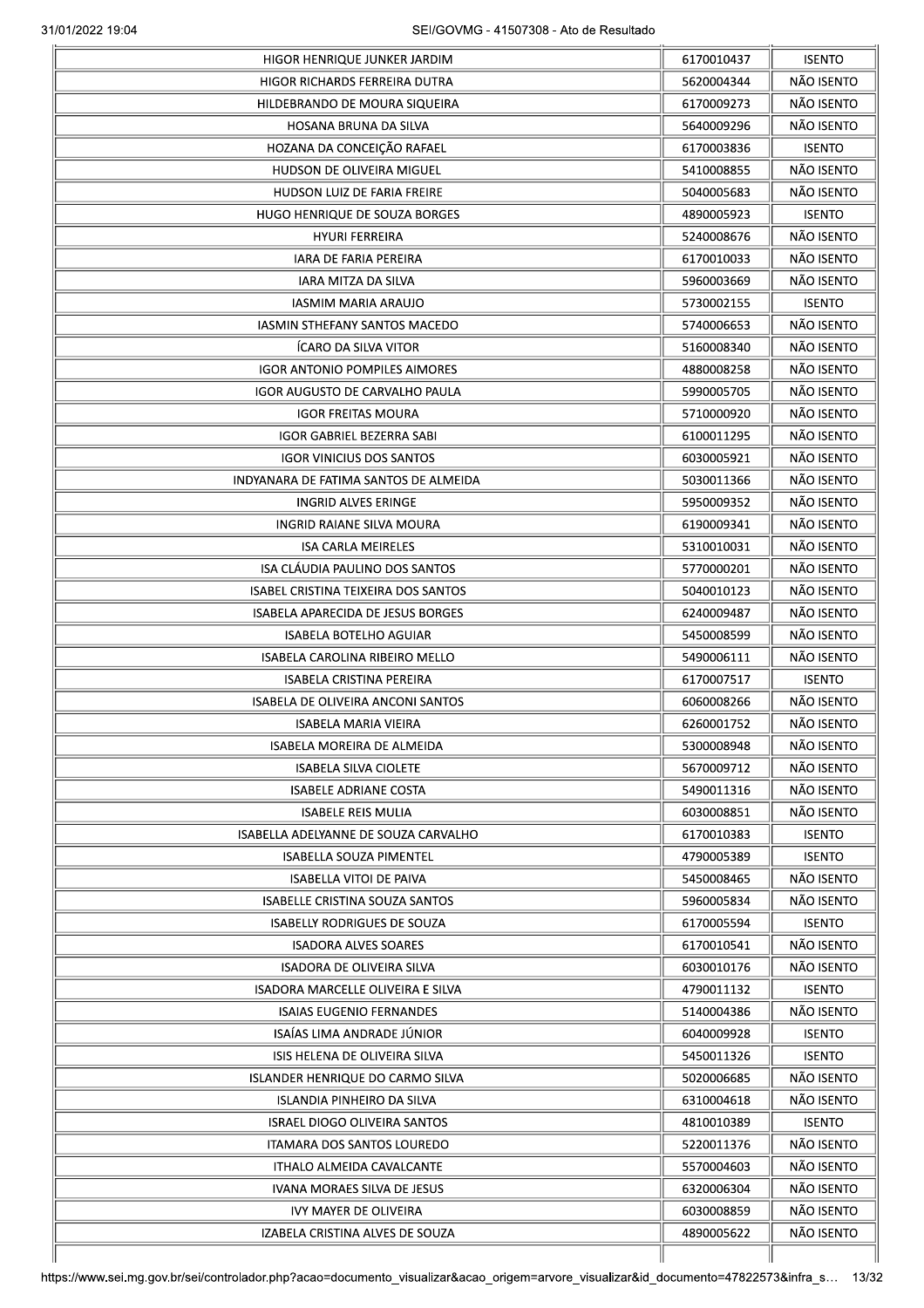|                                          | 6170010437 | <b>ISENTO</b> |
|------------------------------------------|------------|---------------|
| HIGOR RICHARDS FERREIRA DUTRA            | 5620004344 | NÃO ISENTO    |
| HILDEBRANDO DE MOURA SIQUEIRA            | 6170009273 | NÃO ISENTO    |
| HOSANA BRUNA DA SILVA                    | 5640009296 | NÃO ISENTO    |
| HOZANA DA CONCEIÇÃO RAFAEL               | 6170003836 | <b>ISENTO</b> |
| HUDSON DE OLIVEIRA MIGUEL                | 5410008855 | NÃO ISENTO    |
| HUDSON LUIZ DE FARIA FREIRE              | 5040005683 | NÃO ISENTO    |
| HUGO HENRIQUE DE SOUZA BORGES            | 4890005923 | <b>ISENTO</b> |
| <b>HYURI FERREIRA</b>                    | 5240008676 | NÃO ISENTO    |
| IARA DE FARIA PEREIRA                    | 6170010033 | NÃO ISENTO    |
| IARA MITZA DA SILVA                      | 5960003669 | NÃO ISENTO    |
| IASMIM MARIA ARAUJO                      | 5730002155 | <b>ISENTO</b> |
| IASMIN STHEFANY SANTOS MACEDO            | 5740006653 | NÃO ISENTO    |
| <b>ICARO DA SILVA VITOR</b>              | 5160008340 | NÃO ISENTO    |
| <b>IGOR ANTONIO POMPILES AIMORES</b>     | 4880008258 | NÃO ISENTO    |
| IGOR AUGUSTO DE CARVALHO PAULA           | 5990005705 | NÃO ISENTO    |
|                                          |            | NÃO ISENTO    |
| <b>IGOR FREITAS MOURA</b>                | 5710000920 |               |
| <b>IGOR GABRIEL BEZERRA SABI</b>         | 6100011295 | NÃO ISENTO    |
| <b>IGOR VINICIUS DOS SANTOS</b>          | 6030005921 | NÃO ISENTO    |
| INDYANARA DE FATIMA SANTOS DE ALMEIDA    | 5030011366 | NÃO ISENTO    |
| <b>INGRID ALVES ERINGE</b>               | 5950009352 | NÃO ISENTO    |
| INGRID RAIANE SILVA MOURA                | 6190009341 | NÃO ISENTO    |
| <b>ISA CARLA MEIRELES</b>                | 5310010031 | NÃO ISENTO    |
| ISA CLÁUDIA PAULINO DOS SANTOS           | 5770000201 | NÃO ISENTO    |
| ISABEL CRISTINA TEIXEIRA DOS SANTOS      | 5040010123 | NÃO ISENTO    |
| <b>ISABELA APARECIDA DE JESUS BORGES</b> | 6240009487 | NÃO ISENTO    |
| ISABELA BOTELHO AGUIAR                   | 5450008599 | NÃO ISENTO    |
| ISABELA CAROLINA RIBEIRO MELLO           | 5490006111 | NÃO ISENTO    |
| <b>ISABELA CRISTINA PEREIRA</b>          | 6170007517 | <b>ISENTO</b> |
| <b>ISABELA DE OLIVEIRA ANCONI SANTOS</b> | 6060008266 | NÃO ISENTO    |
| <b>ISABELA MARIA VIEIRA</b>              | 6260001752 | NÃO ISENTO    |
| ISABELA MOREIRA DE ALMEIDA               | 5300008948 | NÃO ISENTO    |
| <b>ISABELA SILVA CIOLETE</b>             | 5670009712 | NÃO ISENTO    |
| <b>ISABELE ADRIANE COSTA</b>             | 5490011316 | NÃO ISENTO    |
| <b>ISABELE REIS MULIA</b>                | 6030008851 | NÃO ISENTO    |
| ISABELLA ADELYANNE DE SOUZA CARVALHO     | 6170010383 | <b>ISENTO</b> |
| <b>ISABELLA SOUZA PIMENTEL</b>           | 4790005389 | <b>ISENTO</b> |
| <b>ISABELLA VITOI DE PAIVA</b>           | 5450008465 | NÃO ISENTO    |
| <b>ISABELLE CRISTINA SOUZA SANTOS</b>    | 5960005834 | NÃO ISENTO    |
| ISABELLY RODRIGUES DE SOUZA              | 6170005594 | <b>ISENTO</b> |
| <b>ISADORA ALVES SOARES</b>              | 6170010541 | NÃO ISENTO    |
| <b>ISADORA DE OLIVEIRA SILVA</b>         | 6030010176 | NÃO ISENTO    |
|                                          |            |               |
| ISADORA MARCELLE OLIVEIRA E SILVA        | 4790011132 | <b>ISENTO</b> |
| <b>ISAIAS EUGENIO FERNANDES</b>          | 5140004386 | NÃO ISENTO    |
| ISAÍAS LIMA ANDRADE JÚNIOR               | 6040009928 | <b>ISENTO</b> |
| ISIS HELENA DE OLIVEIRA SILVA            | 5450011326 | <b>ISENTO</b> |
| ISLANDER HENRIQUE DO CARMO SILVA         | 5020006685 | NÃO ISENTO    |
| ISLANDIA PINHEIRO DA SILVA               | 6310004618 | NÃO ISENTO    |
| <b>ISRAEL DIOGO OLIVEIRA SANTOS</b>      | 4810010389 | <b>ISENTO</b> |
| <b>ITAMARA DOS SANTOS LOUREDO</b>        | 5220011376 | NÃO ISENTO    |
| ITHALO ALMEIDA CAVALCANTE                | 5570004603 | NÃO ISENTO    |
| IVANA MORAES SILVA DE JESUS              | 6320006304 | NÃO ISENTO    |
| IVY MAYER DE OLIVEIRA                    | 6030008859 | NÃO ISENTO    |
| IZABELA CRISTINA ALVES DE SOUZA          | 4890005622 | NÃO ISENTO    |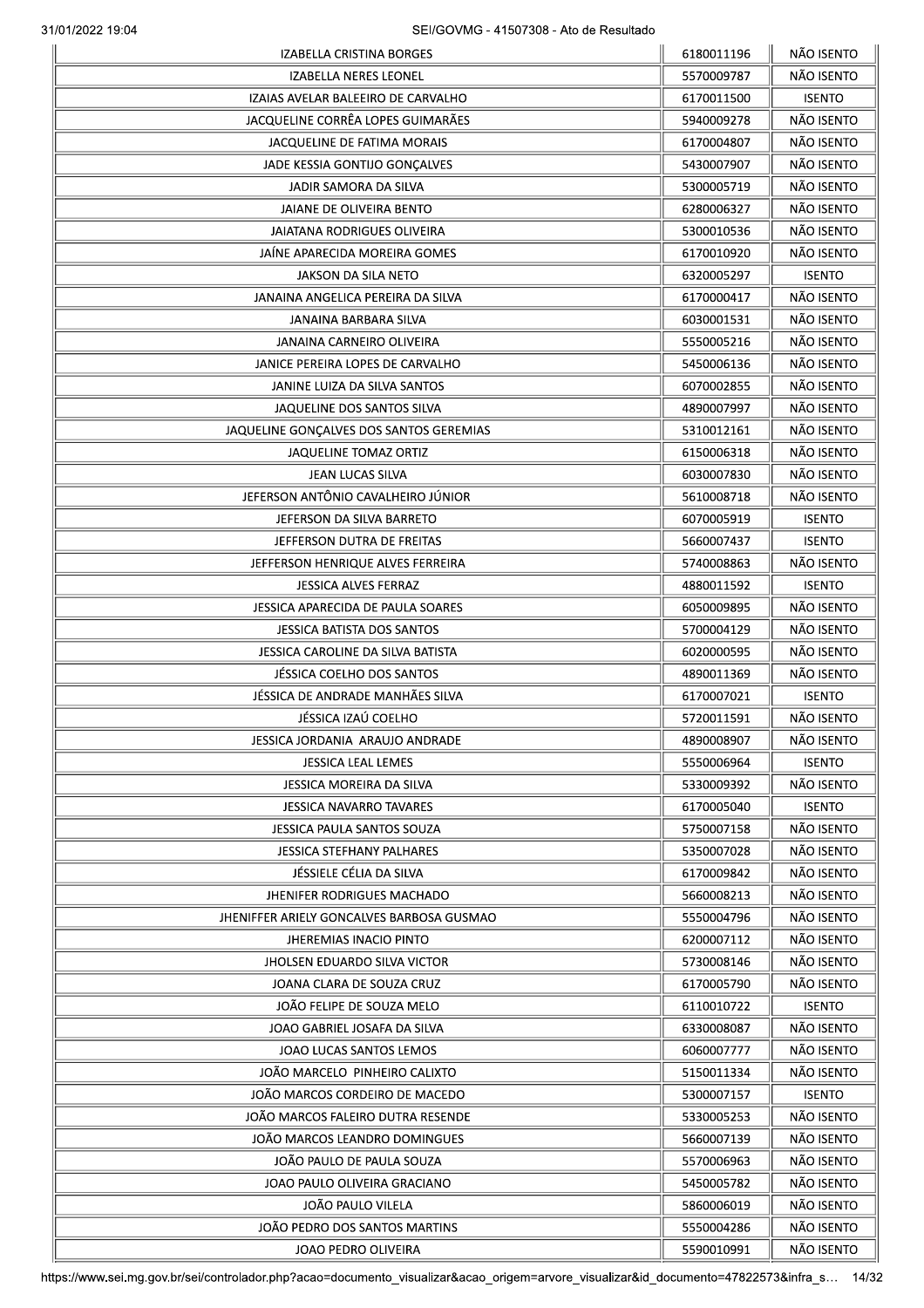| IZABELLA CRISTINA BORGES                  | 6180011196 | NÃO ISENTO    |
|-------------------------------------------|------------|---------------|
| <b>IZABELLA NERES LEONEL</b>              | 5570009787 | NÃO ISENTO    |
| IZAIAS AVELAR BALEEIRO DE CARVALHO        | 6170011500 | <b>ISENTO</b> |
| JACQUELINE CORRÊA LOPES GUIMARÃES         | 5940009278 | NÃO ISENTO    |
| JACQUELINE DE FATIMA MORAIS               | 6170004807 | NÃO ISENTO    |
| JADE KESSIA GONTIJO GONÇALVES             | 5430007907 | NÃO ISENTO    |
| JADIR SAMORA DA SILVA                     | 5300005719 | NÃO ISENTO    |
| <b>JAIANE DE OLIVEIRA BENTO</b>           | 6280006327 | NÃO ISENTO    |
| JAIATANA RODRIGUES OLIVEIRA               | 5300010536 | NÃO ISENTO    |
| JAÍNE APARECIDA MOREIRA GOMES             | 6170010920 | NÃO ISENTO    |
| JAKSON DA SILA NETO                       | 6320005297 | <b>ISENTO</b> |
| JANAINA ANGELICA PEREIRA DA SILVA         | 6170000417 | NÃO ISENTO    |
| JANAINA BARBARA SILVA                     | 6030001531 | NÃO ISENTO    |
| JANAINA CARNEIRO OLIVEIRA                 | 5550005216 | NÃO ISENTO    |
| JANICE PEREIRA LOPES DE CARVALHO          | 5450006136 | NÃO ISENTO    |
|                                           |            | NÃO ISENTO    |
| JANINE LUIZA DA SILVA SANTOS              | 6070002855 |               |
| JAQUELINE DOS SANTOS SILVA                | 4890007997 | NÃO ISENTO    |
| JAQUELINE GONÇALVES DOS SANTOS GEREMIAS   | 5310012161 | NÃO ISENTO    |
| <b>JAQUELINE TOMAZ ORTIZ</b>              | 6150006318 | NÃO ISENTO    |
| JEAN LUCAS SILVA                          | 6030007830 | NÃO ISENTO    |
| JEFERSON ANTÔNIO CAVALHEIRO JÚNIOR        | 5610008718 | NÃO ISENTO    |
| JEFERSON DA SILVA BARRETO                 | 6070005919 | <b>ISENTO</b> |
| JEFFERSON DUTRA DE FREITAS                | 5660007437 | <b>ISENTO</b> |
| JEFFERSON HENRIQUE ALVES FERREIRA         | 5740008863 | NÃO ISENTO    |
| <b>JESSICA ALVES FERRAZ</b>               | 4880011592 | <b>ISENTO</b> |
| JESSICA APARECIDA DE PAULA SOARES         | 6050009895 | NÃO ISENTO    |
| JESSICA BATISTA DOS SANTOS                | 5700004129 | NÃO ISENTO    |
| JESSICA CAROLINE DA SILVA BATISTA         | 6020000595 | NÃO ISENTO    |
| JÉSSICA COELHO DOS SANTOS                 | 4890011369 | NÃO ISENTO    |
| JÉSSICA DE ANDRADE MANHÃES SILVA          | 6170007021 | <b>ISENTO</b> |
| JÉSSICA IZAÚ COELHO                       | 5720011591 | NÃO ISENTO    |
| JESSICA JORDANIA ARAUJO ANDRADE           | 4890008907 | NÃO ISENTO    |
| JESSICA LEAL LEMES                        | 5550006964 | <b>ISENTO</b> |
| JESSICA MOREIRA DA SILVA                  | 5330009392 | NÃO ISENTO    |
| <b>JESSICA NAVARRO TAVARES</b>            | 6170005040 | <b>ISENTO</b> |
| JESSICA PAULA SANTOS SOUZA                | 5750007158 | NÃO ISENTO    |
| <b>JESSICA STEFHANY PALHARES</b>          | 5350007028 | NÃO ISENTO    |
| JÉSSIELE CÉLIA DA SILVA                   | 6170009842 | NÃO ISENTO    |
| JHENIFER RODRIGUES MACHADO                | 5660008213 | NÃO ISENTO    |
| JHENIFFER ARIELY GONCALVES BARBOSA GUSMAO | 5550004796 | NÃO ISENTO    |
| <b>JHEREMIAS INACIO PINTO</b>             | 6200007112 | NÃO ISENTO    |
| <b>JHOLSEN EDUARDO SILVA VICTOR</b>       | 5730008146 | NÃO ISENTO    |
| JOANA CLARA DE SOUZA CRUZ                 | 6170005790 | NÃO ISENTO    |
| JOÃO FELIPE DE SOUZA MELO                 | 6110010722 | <b>ISENTO</b> |
|                                           |            |               |
| JOAO GABRIEL JOSAFA DA SILVA              | 6330008087 | NÃO ISENTO    |
| JOAO LUCAS SANTOS LEMOS                   | 6060007777 | NÃO ISENTO    |
| JOÃO MARCELO PINHEIRO CALIXTO             | 5150011334 | NÃO ISENTO    |
| JOÃO MARCOS CORDEIRO DE MACEDO            | 5300007157 | <b>ISENTO</b> |
| JOÃO MARCOS FALEIRO DUTRA RESENDE         | 5330005253 | NÃO ISENTO    |
| JOÃO MARCOS LEANDRO DOMINGUES             | 5660007139 | NÃO ISENTO    |
| JOÃO PAULO DE PAULA SOUZA                 | 5570006963 | NÃO ISENTO    |
| JOAO PAULO OLIVEIRA GRACIANO              | 5450005782 | NÃO ISENTO    |
| JOÃO PAULO VILELA                         | 5860006019 | NÃO ISENTO    |
| JOÃO PEDRO DOS SANTOS MARTINS             | 5550004286 | NÃO ISENTO    |
| JOAO PEDRO OLIVEIRA                       | 5590010991 | NÃO ISENTO    |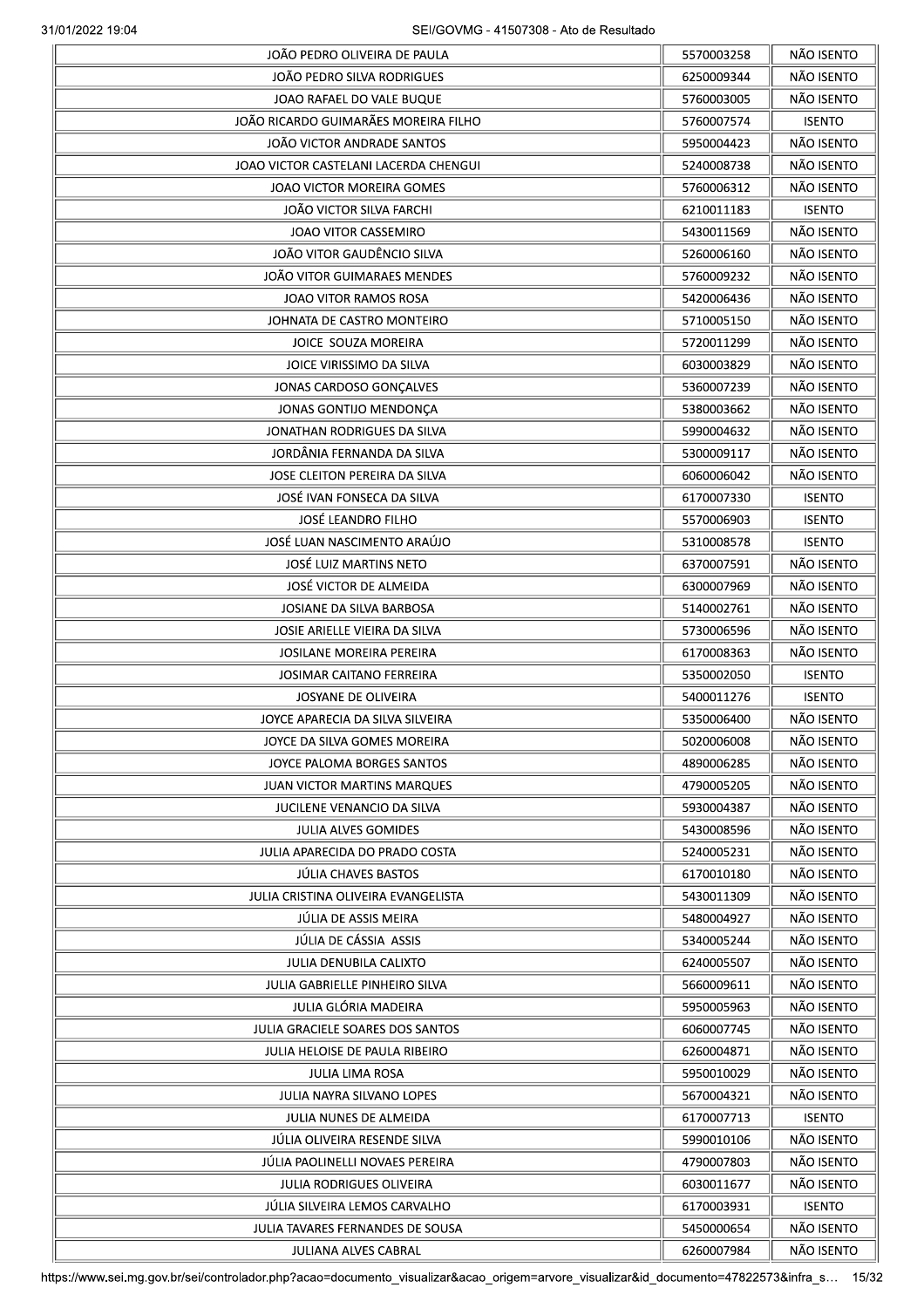|                                       | 5570003258 | NÃO ISENTO    |
|---------------------------------------|------------|---------------|
| JOÃO PEDRO SILVA RODRIGUES            | 6250009344 | NÃO ISENTO    |
| JOAO RAFAEL DO VALE BUQUE             | 5760003005 | NÃO ISENTO    |
| JOÃO RICARDO GUIMARÃES MOREIRA FILHO  | 5760007574 | <b>ISENTO</b> |
| <b>JOÃO VICTOR ANDRADE SANTOS</b>     | 5950004423 | NÃO ISENTO    |
| JOAO VICTOR CASTELANI LACERDA CHENGUI | 5240008738 | NÃO ISENTO    |
| JOAO VICTOR MOREIRA GOMES             | 5760006312 | NÃO ISENTO    |
| JOÃO VICTOR SILVA FARCHI              | 6210011183 | <b>ISENTO</b> |
| <b>JOAO VITOR CASSEMIRO</b>           | 5430011569 | NÃO ISENTO    |
| JOÃO VITOR GAUDÊNCIO SILVA            | 5260006160 | NÃO ISENTO    |
| JOÃO VITOR GUIMARAES MENDES           | 5760009232 | NÃO ISENTO    |
| JOAO VITOR RAMOS ROSA                 | 5420006436 | NÃO ISENTO    |
| JOHNATA DE CASTRO MONTEIRO            | 5710005150 | NÃO ISENTO    |
| JOICE SOUZA MOREIRA                   | 5720011299 | NÃO ISENTO    |
| JOICE VIRISSIMO DA SILVA              | 6030003829 | NÃO ISENTO    |
|                                       |            | NÃO ISENTO    |
| JONAS CARDOSO GONÇALVES               | 5360007239 |               |
| JONAS GONTIJO MENDONÇA                | 5380003662 | NÃO ISENTO    |
| JONATHAN RODRIGUES DA SILVA           | 5990004632 | NÃO ISENTO    |
| JORDÂNIA FERNANDA DA SILVA            | 5300009117 | NÃO ISENTO    |
| JOSE CLEITON PEREIRA DA SILVA         | 6060006042 | NÃO ISENTO    |
| JOSÉ IVAN FONSECA DA SILVA            | 6170007330 | <b>ISENTO</b> |
| JOSÉ LEANDRO FILHO                    | 5570006903 | <b>ISENTO</b> |
| JOSÉ LUAN NASCIMENTO ARAÚJO           | 5310008578 | <b>ISENTO</b> |
| JOSÉ LUIZ MARTINS NETO                | 6370007591 | NÃO ISENTO    |
| JOSÉ VICTOR DE ALMEIDA                | 6300007969 | NÃO ISENTO    |
| JOSIANE DA SILVA BARBOSA              | 5140002761 | NÃO ISENTO    |
| JOSIE ARIELLE VIEIRA DA SILVA         | 5730006596 | NÃO ISENTO    |
| <b>JOSILANE MOREIRA PEREIRA</b>       | 6170008363 | NÃO ISENTO    |
| JOSIMAR CAITANO FERREIRA              | 5350002050 | <b>ISENTO</b> |
| JOSYANE DE OLIVEIRA                   | 5400011276 | <b>ISENTO</b> |
| JOYCE APARECIA DA SILVA SILVEIRA      | 5350006400 | NÃO ISENTO    |
| JOYCE DA SILVA GOMES MOREIRA          | 5020006008 | NÃO ISENTO    |
| JOYCE PALOMA BORGES SANTOS            | 4890006285 | NÃO ISENTO    |
| <b>JUAN VICTOR MARTINS MARQUES</b>    | 4790005205 | NÃO ISENTO    |
| JUCILENE VENANCIO DA SILVA            | 5930004387 | NÃO ISENTO    |
| <b>JULIA ALVES GOMIDES</b>            | 5430008596 | NÃO ISENTO    |
| JULIA APARECIDA DO PRADO COSTA        | 5240005231 | NÃO ISENTO    |
| JÚLIA CHAVES BASTOS                   | 6170010180 | NÃO ISENTO    |
| JULIA CRISTINA OLIVEIRA EVANGELISTA   | 5430011309 | NÃO ISENTO    |
| JÚLIA DE ASSIS MEIRA                  |            | NÃO ISENTO    |
| JÚLIA DE CÁSSIA ASSIS                 | 5480004927 |               |
|                                       | 5340005244 | NÃO ISENTO    |
| JULIA DENUBILA CALIXTO                | 6240005507 | NÃO ISENTO    |
| JULIA GABRIELLE PINHEIRO SILVA        | 5660009611 | NÃO ISENTO    |
| JULIA GLÓRIA MADEIRA                  | 5950005963 | NÃO ISENTO    |
| JULIA GRACIELE SOARES DOS SANTOS      | 6060007745 | NÃO ISENTO    |
| JULIA HELOISE DE PAULA RIBEIRO        | 6260004871 | NÃO ISENTO    |
| <b>JULIA LIMA ROSA</b>                | 5950010029 | NÃO ISENTO    |
| JULIA NAYRA SILVANO LOPES             | 5670004321 | NÃO ISENTO    |
| JULIA NUNES DE ALMEIDA                | 6170007713 | <b>ISENTO</b> |
| JÚLIA OLIVEIRA RESENDE SILVA          | 5990010106 | NÃO ISENTO    |
| JÚLIA PAOLINELLI NOVAES PEREIRA       | 4790007803 | NÃO ISENTO    |
| <b>JULIA RODRIGUES OLIVEIRA</b>       | 6030011677 | NÃO ISENTO    |
| JULIA SILVEIRA LEMOS CARVALHO         | 6170003931 | <b>ISENTO</b> |
| JULIA TAVARES FERNANDES DE SOUSA      | 5450000654 | NÃO ISENTO    |
| JULIANA ALVES CABRAL                  | 6260007984 | NÃO ISENTO    |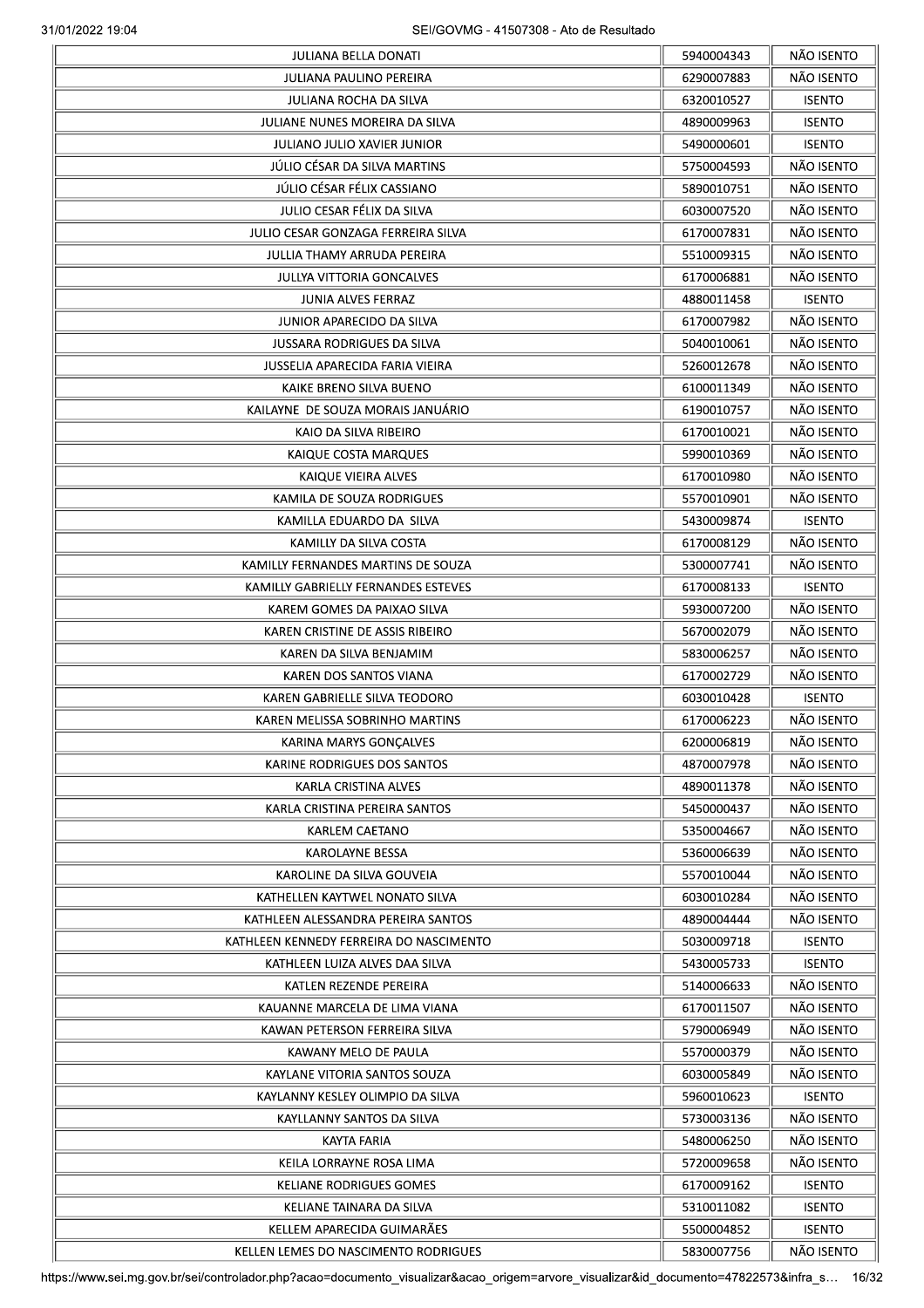|                                         | 5940004343 | NÃO ISENTO    |
|-----------------------------------------|------------|---------------|
| JULIANA PAULINO PEREIRA                 | 6290007883 | NÃO ISENTO    |
| JULIANA ROCHA DA SILVA                  | 6320010527 | <b>ISENTO</b> |
| JULIANE NUNES MOREIRA DA SILVA          | 4890009963 | <b>ISENTO</b> |
| <b>JULIANO JULIO XAVIER JUNIOR</b>      | 5490000601 | <b>ISENTO</b> |
| JÚLIO CÉSAR DA SILVA MARTINS            | 5750004593 | NÃO ISENTO    |
| JÚLIO CÉSAR FÉLIX CASSIANO              | 5890010751 | NÃO ISENTO    |
| JULIO CESAR FÉLIX DA SILVA              | 6030007520 | NÃO ISENTO    |
| JULIO CESAR GONZAGA FERREIRA SILVA      | 6170007831 | NÃO ISENTO    |
| JULLIA THAMY ARRUDA PEREIRA             | 5510009315 | NÃO ISENTO    |
| <b>JULLYA VITTORIA GONCALVES</b>        | 6170006881 | NÃO ISENTO    |
| <b>JUNIA ALVES FERRAZ</b>               | 4880011458 | <b>ISENTO</b> |
| JUNIOR APARECIDO DA SILVA               | 6170007982 | NÃO ISENTO    |
| <b>JUSSARA RODRIGUES DA SILVA</b>       | 5040010061 | NÃO ISENTO    |
| JUSSELIA APARECIDA FARIA VIEIRA         | 5260012678 | NÃO ISENTO    |
|                                         |            | NÃO ISENTO    |
| KAIKE BRENO SILVA BUENO                 | 6100011349 |               |
| KAILAYNE DE SOUZA MORAIS JANUÁRIO       | 6190010757 | NÃO ISENTO    |
| KAIO DA SILVA RIBEIRO                   | 6170010021 | NÃO ISENTO    |
| KAIQUE COSTA MARQUES                    | 5990010369 | NÃO ISENTO    |
| KAIQUE VIEIRA ALVES                     | 6170010980 | NÃO ISENTO    |
| KAMILA DE SOUZA RODRIGUES               | 5570010901 | NÃO ISENTO    |
| KAMILLA EDUARDO DA SILVA                | 5430009874 | <b>ISENTO</b> |
| KAMILLY DA SILVA COSTA                  | 6170008129 | NÃO ISENTO    |
| KAMILLY FERNANDES MARTINS DE SOUZA      | 5300007741 | NÃO ISENTO    |
| KAMILLY GABRIELLY FERNANDES ESTEVES     | 6170008133 | <b>ISENTO</b> |
| KAREM GOMES DA PAIXAO SILVA             | 5930007200 | NÃO ISENTO    |
| KAREN CRISTINE DE ASSIS RIBEIRO         | 5670002079 | NÃO ISENTO    |
| KAREN DA SILVA BENJAMIM                 | 5830006257 | NÃO ISENTO    |
| KAREN DOS SANTOS VIANA                  | 6170002729 | NÃO ISENTO    |
| KAREN GABRIELLE SILVA TEODORO           | 6030010428 | <b>ISENTO</b> |
| KAREN MELISSA SOBRINHO MARTINS          | 6170006223 | NÃO ISENTO    |
| KARINA MARYS GONÇALVES                  | 6200006819 | NÃO ISENTO    |
| KARINE RODRIGUES DOS SANTOS             | 4870007978 | NÃO ISENTO    |
| KARLA CRISTINA ALVES                    | 4890011378 | NÃO ISENTO    |
| KARLA CRISTINA PEREIRA SANTOS           | 5450000437 | NÃO ISENTO    |
| <b>KARLEM CAETANO</b>                   | 5350004667 | NÃO ISENTO    |
| <b>KAROLAYNE BESSA</b>                  | 5360006639 | NÃO ISENTO    |
| KAROLINE DA SILVA GOUVEIA               | 5570010044 | NÃO ISENTO    |
| KATHELLEN KAYTWEL NONATO SILVA          |            | NÃO ISENTO    |
|                                         | 6030010284 | NÃO ISENTO    |
| KATHLEEN ALESSANDRA PEREIRA SANTOS      | 4890004444 |               |
| KATHLEEN KENNEDY FERREIRA DO NASCIMENTO | 5030009718 | <b>ISENTO</b> |
| KATHLEEN LUIZA ALVES DAA SILVA          | 5430005733 | <b>ISENTO</b> |
| KATLEN REZENDE PEREIRA                  | 5140006633 | NÃO ISENTO    |
| KAUANNE MARCELA DE LIMA VIANA           | 6170011507 | NÃO ISENTO    |
| KAWAN PETERSON FERREIRA SILVA           | 5790006949 | NÃO ISENTO    |
| KAWANY MELO DE PAULA                    | 5570000379 | NÃO ISENTO    |
| KAYLANE VITORIA SANTOS SOUZA            | 6030005849 | NÃO ISENTO    |
| KAYLANNY KESLEY OLIMPIO DA SILVA        | 5960010623 | <b>ISENTO</b> |
| KAYLLANNY SANTOS DA SILVA               | 5730003136 | NÃO ISENTO    |
| <b>KAYTA FARIA</b>                      | 5480006250 | NÃO ISENTO    |
| KEILA LORRAYNE ROSA LIMA                | 5720009658 | NÃO ISENTO    |
| <b>KELIANE RODRIGUES GOMES</b>          | 6170009162 | <b>ISENTO</b> |
| KELIANE TAINARA DA SILVA                | 5310011082 | <b>ISENTO</b> |
| KELLEM APARECIDA GUIMARÃES              | 5500004852 | <b>ISENTO</b> |
| KELLEN LEMES DO NASCIMENTO RODRIGUES    | 5830007756 | NÃO ISENTO    |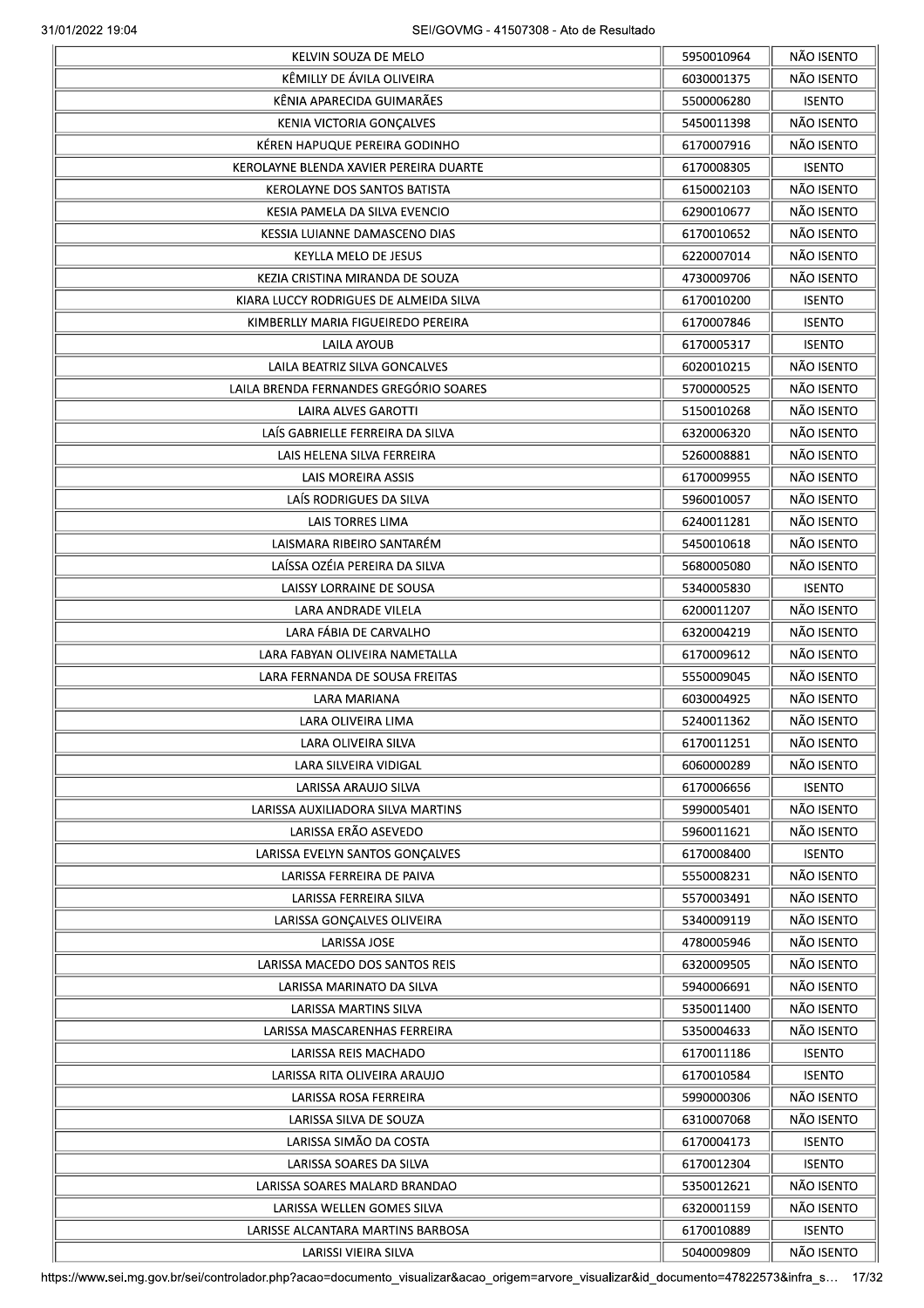|                                        | 5950010964 | NÃO ISENTO    |
|----------------------------------------|------------|---------------|
| KÊMILLY DE ÁVILA OLIVEIRA              | 6030001375 | NÃO ISENTO    |
| KÊNIA APARECIDA GUIMARÃES              | 5500006280 | <b>ISENTO</b> |
| KENIA VICTORIA GONÇALVES               | 5450011398 | NÃO ISENTO    |
| KÉREN HAPUQUE PEREIRA GODINHO          | 6170007916 | NÃO ISENTO    |
| KEROLAYNE BLENDA XAVIER PEREIRA DUARTE | 6170008305 | <b>ISENTO</b> |
| KEROLAYNE DOS SANTOS BATISTA           | 6150002103 | NÃO ISENTO    |
| KESIA PAMELA DA SILVA EVENCIO          | 6290010677 | NÃO ISENTO    |
| KESSIA LUIANNE DAMASCENO DIAS          | 6170010652 | NÃO ISENTO    |
| <b>KEYLLA MELO DE JESUS</b>            | 6220007014 | NÃO ISENTO    |
| KEZIA CRISTINA MIRANDA DE SOUZA        | 4730009706 | NÃO ISENTO    |
| KIARA LUCCY RODRIGUES DE ALMEIDA SILVA | 6170010200 | <b>ISENTO</b> |
| KIMBERLLY MARIA FIGUEIREDO PEREIRA     | 6170007846 | <b>ISENTO</b> |
| LAILA AYOUB                            | 6170005317 | <b>ISENTO</b> |
| LAILA BEATRIZ SILVA GONCALVES          | 6020010215 | NÃO ISENTO    |
| LAILA BRENDA FERNANDES GREGÓRIO SOARES | 5700000525 | NÃO ISENTO    |
|                                        |            | NÃO ISENTO    |
| LAIRA ALVES GAROTTI                    | 5150010268 |               |
| LAÍS GABRIELLE FERREIRA DA SILVA       | 6320006320 | NÃO ISENTO    |
| LAIS HELENA SILVA FERREIRA             | 5260008881 | NÃO ISENTO    |
| LAIS MOREIRA ASSIS                     | 6170009955 | NÃO ISENTO    |
| LAÍS RODRIGUES DA SILVA                | 5960010057 | NÃO ISENTO    |
| LAIS TORRES LIMA                       | 6240011281 | NÃO ISENTO    |
| LAISMARA RIBEIRO SANTARÉM              | 5450010618 | NÃO ISENTO    |
| LAÍSSA OZÉIA PEREIRA DA SILVA          | 5680005080 | NÃO ISENTO    |
| LAISSY LORRAINE DE SOUSA               | 5340005830 | <b>ISENTO</b> |
| LARA ANDRADE VILELA                    | 6200011207 | NÃO ISENTO    |
| LARA FÁBIA DE CARVALHO                 | 6320004219 | NÃO ISENTO    |
| LARA FABYAN OLIVEIRA NAMETALLA         | 6170009612 | NÃO ISENTO    |
| LARA FERNANDA DE SOUSA FREITAS         | 5550009045 | NÃO ISENTO    |
| LARA MARIANA                           | 6030004925 | NÃO ISENTO    |
| LARA OLIVEIRA LIMA                     | 5240011362 | NÃO ISENTO    |
| LARA OLIVEIRA SILVA                    | 6170011251 | NÃO ISENTO    |
| LARA SILVEIRA VIDIGAL                  | 6060000289 | NÃO ISENTO    |
| LARISSA ARAUJO SILVA                   | 6170006656 | <b>ISENTO</b> |
| LARISSA AUXILIADORA SILVA MARTINS      | 5990005401 | NÃO ISENTO    |
| LARISSA ERÃO ASEVEDO                   | 5960011621 | NÃO ISENTO    |
| LARISSA EVELYN SANTOS GONÇALVES        | 6170008400 | <b>ISENTO</b> |
|                                        |            | NÃO ISENTO    |
| LARISSA FERREIRA DE PAIVA              | 5550008231 |               |
| LARISSA FERREIRA SILVA                 | 5570003491 | NÃO ISENTO    |
| LARISSA GONÇALVES OLIVEIRA             | 5340009119 | NÃO ISENTO    |
| LARISSA JOSE                           | 4780005946 | NÃO ISENTO    |
| LARISSA MACEDO DOS SANTOS REIS         | 6320009505 | NÃO ISENTO    |
| LARISSA MARINATO DA SILVA              | 5940006691 | NÃO ISENTO    |
| LARISSA MARTINS SILVA                  | 5350011400 | NÃO ISENTO    |
| LARISSA MASCARENHAS FERREIRA           | 5350004633 | NÃO ISENTO    |
| LARISSA REIS MACHADO                   | 6170011186 | <b>ISENTO</b> |
| LARISSA RITA OLIVEIRA ARAUJO           | 6170010584 | <b>ISENTO</b> |
| LARISSA ROSA FERREIRA                  | 5990000306 | NÃO ISENTO    |
| LARISSA SILVA DE SOUZA                 | 6310007068 | NÃO ISENTO    |
| LARISSA SIMÃO DA COSTA                 | 6170004173 | <b>ISENTO</b> |
| LARISSA SOARES DA SILVA                | 6170012304 | <b>ISENTO</b> |
| LARISSA SOARES MALARD BRANDAO          | 5350012621 | NÃO ISENTO    |
| LARISSA WELLEN GOMES SILVA             | 6320001159 | NÃO ISENTO    |
| LARISSE ALCANTARA MARTINS BARBOSA      | 6170010889 | <b>ISENTO</b> |
| LARISSI VIEIRA SILVA                   | 5040009809 | NÃO ISENTO    |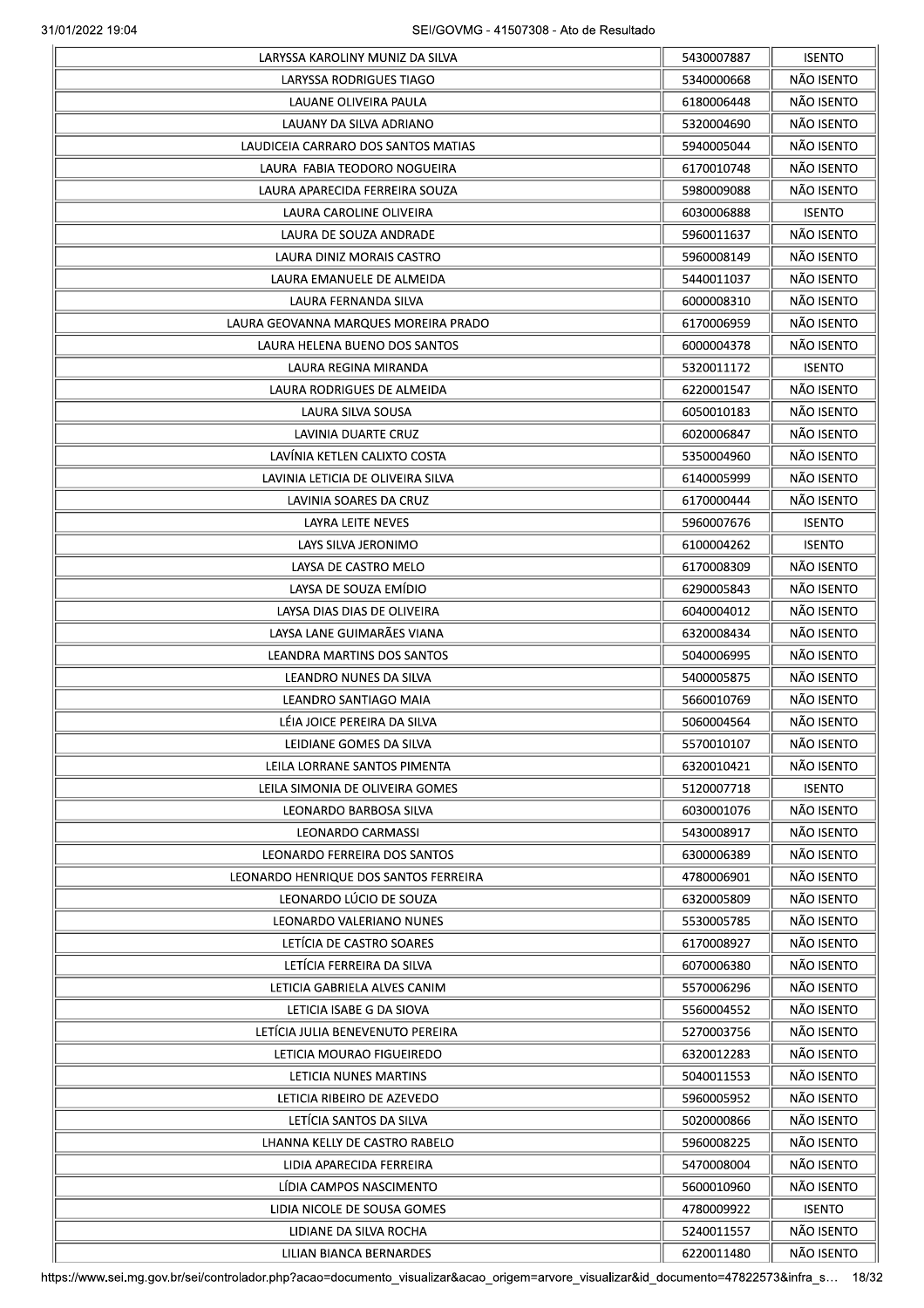| LARYSSA RODRIGUES TIAGO<br>LAUANE OLIVEIRA PAULA |            |               |
|--------------------------------------------------|------------|---------------|
|                                                  | 5340000668 | NÃO ISENTO    |
|                                                  | 6180006448 | NÃO ISENTO    |
| LAUANY DA SILVA ADRIANO                          | 5320004690 | NÃO ISENTO    |
| LAUDICEIA CARRARO DOS SANTOS MATIAS              | 5940005044 | NÃO ISENTO    |
| LAURA FABIA TEODORO NOGUEIRA                     | 6170010748 | NÃO ISENTO    |
| LAURA APARECIDA FERREIRA SOUZA                   | 5980009088 | NÃO ISENTO    |
| LAURA CAROLINE OLIVEIRA                          | 6030006888 | <b>ISENTO</b> |
| LAURA DE SOUZA ANDRADE                           | 5960011637 | NÃO ISENTO    |
|                                                  |            | NÃO ISENTO    |
| LAURA DINIZ MORAIS CASTRO                        | 5960008149 |               |
| LAURA EMANUELE DE ALMEIDA                        | 5440011037 | NÃO ISENTO    |
| LAURA FERNANDA SILVA                             | 6000008310 | NÃO ISENTO    |
| LAURA GEOVANNA MARQUES MOREIRA PRADO             | 6170006959 | NÃO ISENTO    |
| LAURA HELENA BUENO DOS SANTOS                    | 6000004378 | NÃO ISENTO    |
| LAURA REGINA MIRANDA                             | 5320011172 | <b>ISENTO</b> |
| LAURA RODRIGUES DE ALMEIDA                       | 6220001547 | NÃO ISENTO    |
| LAURA SILVA SOUSA                                | 6050010183 | NÃO ISENTO    |
| LAVINIA DUARTE CRUZ                              | 6020006847 | NÃO ISENTO    |
| LAVINIA KETLEN CALIXTO COSTA                     | 5350004960 | NÃO ISENTO    |
| LAVINIA LETICIA DE OLIVEIRA SILVA                | 6140005999 | NÃO ISENTO    |
| LAVINIA SOARES DA CRUZ                           | 6170000444 | NÃO ISENTO    |
| LAYRA LEITE NEVES                                | 5960007676 | <b>ISENTO</b> |
| LAYS SILVA JERONIMO                              | 6100004262 | <b>ISENTO</b> |
| LAYSA DE CASTRO MELO                             | 6170008309 | NÃO ISENTO    |
| LAYSA DE SOUZA EMÍDIO                            | 6290005843 | NÃO ISENTO    |
|                                                  |            |               |
| LAYSA DIAS DIAS DE OLIVEIRA                      | 6040004012 | NÃO ISENTO    |
| LAYSA LANE GUIMARÃES VIANA                       | 6320008434 | NÃO ISENTO    |
| LEANDRA MARTINS DOS SANTOS                       | 5040006995 | NÃO ISENTO    |
| LEANDRO NUNES DA SILVA                           | 5400005875 | NÃO ISENTO    |
| LEANDRO SANTIAGO MAIA                            | 5660010769 | NÃO ISENTO    |
| LÉIA JOICE PEREIRA DA SILVA                      | 5060004564 | NÃO ISENTO    |
| LEIDIANE GOMES DA SILVA                          | 5570010107 | NÃO ISENTO    |
| LEILA LORRANE SANTOS PIMENTA                     | 6320010421 | NÃO ISENTO    |
| LEILA SIMONIA DE OLIVEIRA GOMES                  | 5120007718 | <b>ISENTO</b> |
| LEONARDO BARBOSA SILVA                           | 6030001076 | NÃO ISENTO    |
| LEONARDO CARMASSI                                | 5430008917 | NÃO ISENTO    |
| LEONARDO FERREIRA DOS SANTOS                     | 6300006389 | NÃO ISENTO    |
| LEONARDO HENRIQUE DOS SANTOS FERREIRA            | 4780006901 | NÃO ISENTO    |
| LEONARDO LÚCIO DE SOUZA                          | 6320005809 | NÃO ISENTO    |
| LEONARDO VALERIANO NUNES                         |            | NÃO ISENTO    |
|                                                  | 5530005785 |               |
| LETÍCIA DE CASTRO SOARES                         | 6170008927 | NÃO ISENTO    |
| LETÍCIA FERREIRA DA SILVA                        | 6070006380 | NÃO ISENTO    |
| LETICIA GABRIELA ALVES CANIM                     | 5570006296 | NÃO ISENTO    |
| LETICIA ISABE G DA SIOVA                         | 5560004552 | NÃO ISENTO    |
| LETÍCIA JULIA BENEVENUTO PEREIRA                 | 5270003756 | NÃO ISENTO    |
| LETICIA MOURAO FIGUEIREDO                        | 6320012283 | NÃO ISENTO    |
| LETICIA NUNES MARTINS                            | 5040011553 | NÃO ISENTO    |
| LETICIA RIBEIRO DE AZEVEDO                       | 5960005952 | NÃO ISENTO    |
| LETÍCIA SANTOS DA SILVA                          | 5020000866 | NÃO ISENTO    |
| LHANNA KELLY DE CASTRO RABELO                    | 5960008225 | NÃO ISENTO    |
| LIDIA APARECIDA FERREIRA                         | 5470008004 | NÃO ISENTO    |
| LÍDIA CAMPOS NASCIMENTO                          | 5600010960 | NÃO ISENTO    |
| LIDIA NICOLE DE SOUSA GOMES                      | 4780009922 | <b>ISENTO</b> |
| LIDIANE DA SILVA ROCHA                           | 5240011557 | NÃO ISENTO    |
|                                                  | 6220011480 | NÃO ISENTO    |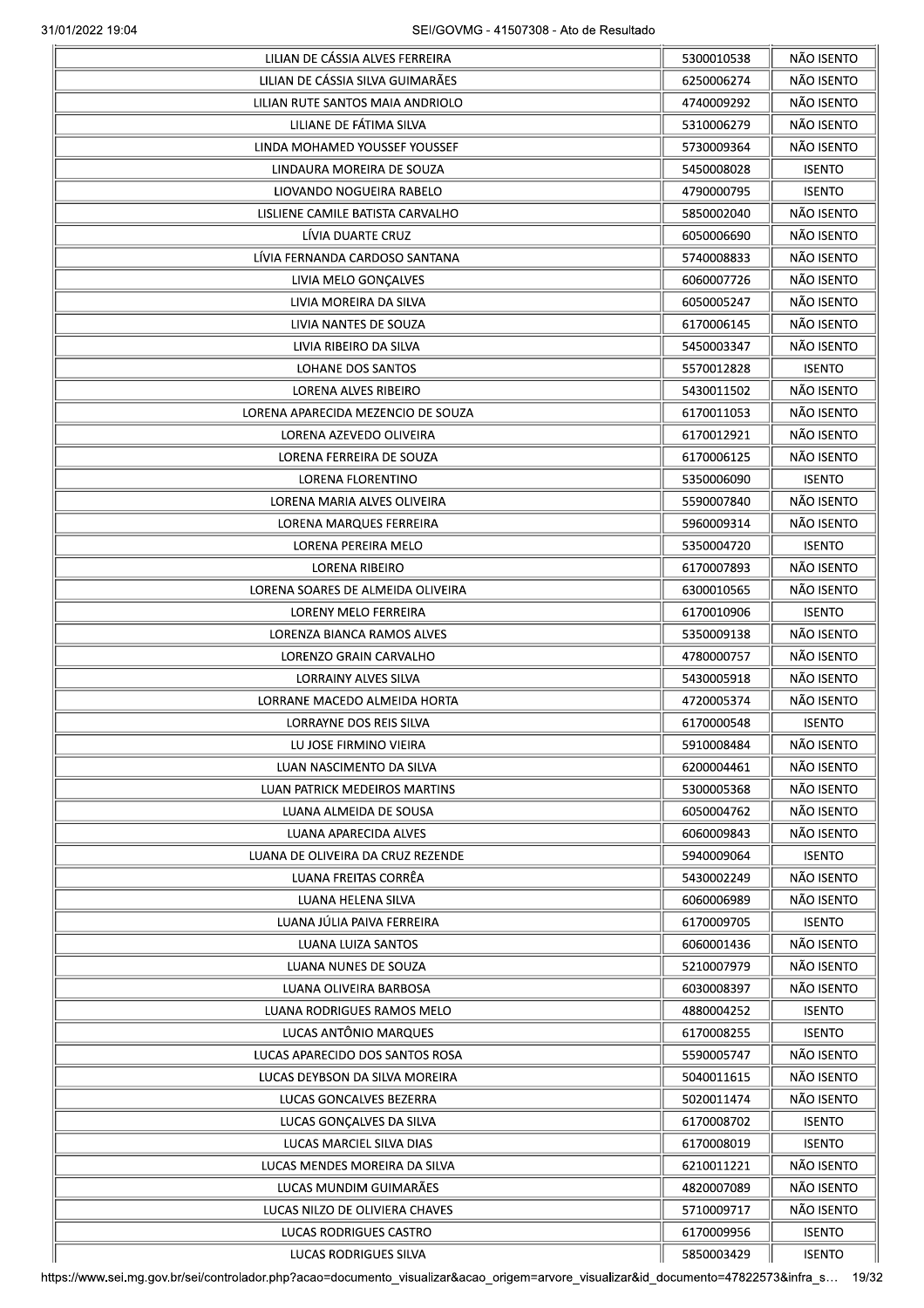| LILIAN DE CASSIA ALVES FERREIRA    | 5300010538 | NÃO ISENTO    |
|------------------------------------|------------|---------------|
| LILIAN DE CÁSSIA SILVA GUIMARÃES   | 6250006274 | NÃO ISENTO    |
| LILIAN RUTE SANTOS MAIA ANDRIOLO   | 4740009292 | NÃO ISENTO    |
| LILIANE DE FÁTIMA SILVA            | 5310006279 | NÃO ISENTO    |
| LINDA MOHAMED YOUSSEF YOUSSEF      | 5730009364 | NÃO ISENTO    |
| LINDAURA MOREIRA DE SOUZA          | 5450008028 | <b>ISENTO</b> |
| LIOVANDO NOGUEIRA RABELO           | 4790000795 | <b>ISENTO</b> |
| LISLIENE CAMILE BATISTA CARVALHO   | 5850002040 | NÃO ISENTO    |
| LIVIA DUARTE CRUZ                  | 6050006690 | NÃO ISENTO    |
| LÍVIA FERNANDA CARDOSO SANTANA     | 5740008833 | NÃO ISENTO    |
| LIVIA MELO GONÇALVES               | 6060007726 | NÃO ISENTO    |
| LIVIA MOREIRA DA SILVA             | 6050005247 | NÃO ISENTO    |
| LIVIA NANTES DE SOUZA              | 6170006145 | NÃO ISENTO    |
| LIVIA RIBEIRO DA SILVA             | 5450003347 | NÃO ISENTO    |
| LOHANE DOS SANTOS                  | 5570012828 | <b>ISENTO</b> |
| <b>LORENA ALVES RIBEIRO</b>        | 5430011502 | NÃO ISENTO    |
| LORENA APARECIDA MEZENCIO DE SOUZA | 6170011053 | NÃO ISENTO    |
| LORENA AZEVEDO OLIVEIRA            | 6170012921 | NÃO ISENTO    |
| LORENA FERREIRA DE SOUZA           | 6170006125 | NÃO ISENTO    |
| LORENA FLORENTINO                  | 5350006090 | <b>ISENTO</b> |
| LORENA MARIA ALVES OLIVEIRA        | 5590007840 | NÃO ISENTO    |
| LORENA MARQUES FERREIRA            | 5960009314 | NÃO ISENTO    |
| LORENA PEREIRA MELO                | 5350004720 | <b>ISENTO</b> |
| LORENA RIBEIRO                     | 6170007893 | NÃO ISENTO    |
| LORENA SOARES DE ALMEIDA OLIVEIRA  | 6300010565 | NÃO ISENTO    |
| LORENY MELO FERREIRA               | 6170010906 | <b>ISENTO</b> |
| LORENZA BIANCA RAMOS ALVES         | 5350009138 | NÃO ISENTO    |
| LORENZO GRAIN CARVALHO             | 4780000757 | NÃO ISENTO    |
| <b>LORRAINY ALVES SILVA</b>        | 5430005918 | NÃO ISENTO    |
| LORRANE MACEDO ALMEIDA HORTA       | 4720005374 | NÃO ISENTO    |
| LORRAYNE DOS REIS SILVA            | 6170000548 | <b>ISENTO</b> |
| LU JOSE FIRMINO VIEIRA             | 5910008484 | NÃO ISENTO    |
| LUAN NASCIMENTO DA SILVA           | 6200004461 | NÃO ISENTO    |
| LUAN PATRICK MEDEIROS MARTINS      | 5300005368 | NÃO ISENTO    |
| LUANA ALMEIDA DE SOUSA             | 6050004762 | NÃO ISENTO    |
| LUANA APARECIDA ALVES              | 6060009843 | NÃO ISENTO    |
| LUANA DE OLIVEIRA DA CRUZ REZENDE  | 5940009064 | <b>ISENTO</b> |
| LUANA FREITAS CORRÊA               | 5430002249 | NÃO ISENTO    |
| LUANA HELENA SILVA                 | 6060006989 | NÃO ISENTO    |
| LUANA JÚLIA PAIVA FERREIRA         | 6170009705 | <b>ISENTO</b> |
| LUANA LUIZA SANTOS                 | 6060001436 | NÃO ISENTO    |
| LUANA NUNES DE SOUZA               | 5210007979 | NÃO ISENTO    |
| LUANA OLIVEIRA BARBOSA             | 6030008397 | NÃO ISENTO    |
| LUANA RODRIGUES RAMOS MELO         | 4880004252 | <b>ISENTO</b> |
| LUCAS ANTÔNIO MARQUES              | 6170008255 | <b>ISENTO</b> |
| LUCAS APARECIDO DOS SANTOS ROSA    | 5590005747 | NÃO ISENTO    |
| LUCAS DEYBSON DA SILVA MOREIRA     | 5040011615 | NÃO ISENTO    |
| LUCAS GONCALVES BEZERRA            | 5020011474 | NÃO ISENTO    |
| LUCAS GONÇALVES DA SILVA           | 6170008702 | <b>ISENTO</b> |
| LUCAS MARCIEL SILVA DIAS           | 6170008019 | <b>ISENTO</b> |
| LUCAS MENDES MOREIRA DA SILVA      | 6210011221 | NÃO ISENTO    |
| LUCAS MUNDIM GUIMARÃES             | 4820007089 | NÃO ISENTO    |
| LUCAS NILZO DE OLIVIERA CHAVES     | 5710009717 | NÃO ISENTO    |
| LUCAS RODRIGUES CASTRO             | 6170009956 | <b>ISENTO</b> |
| LUCAS RODRIGUES SILVA              | 5850003429 | <b>ISENTO</b> |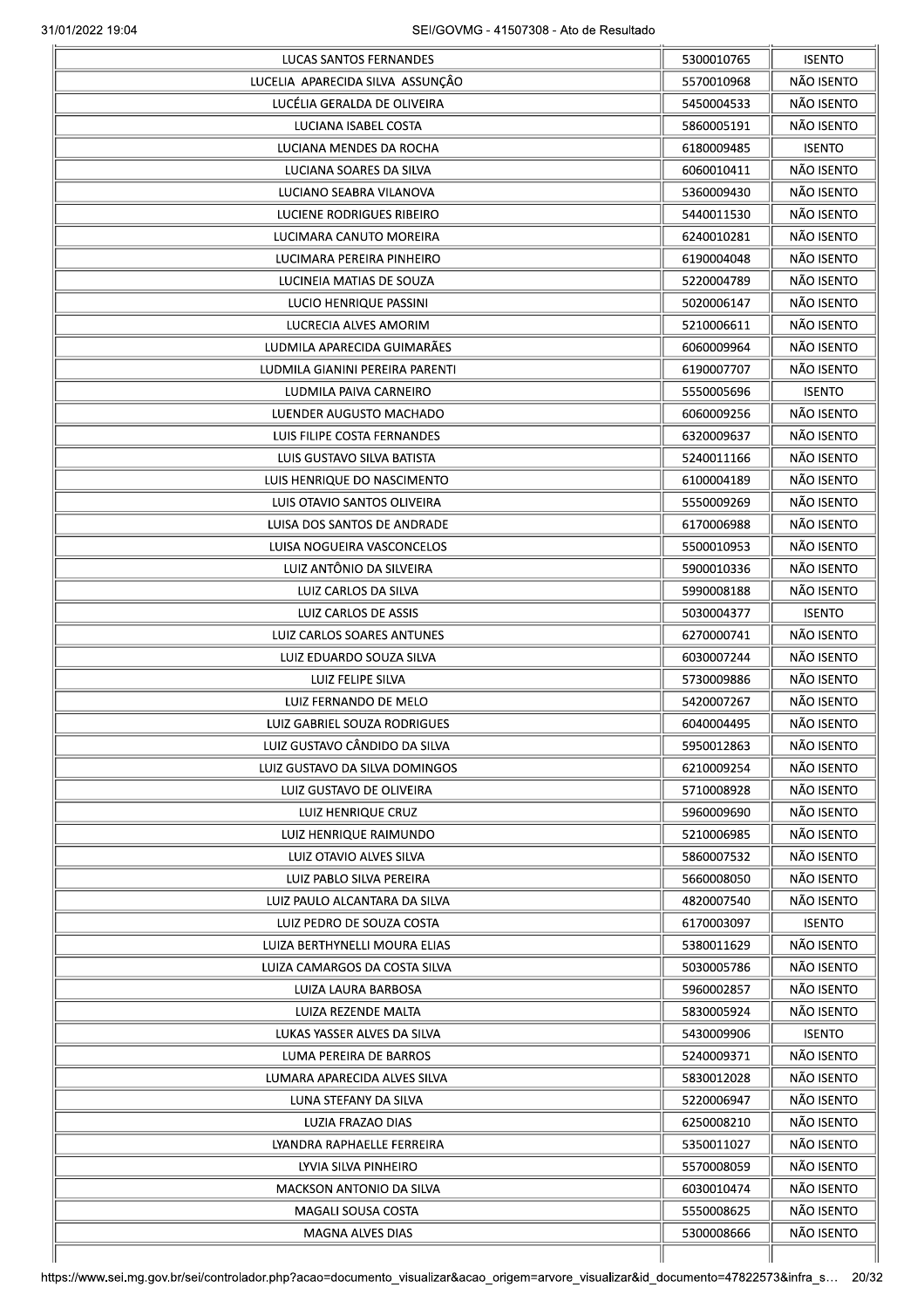|                                  | 5300010765 | <b>ISENTO</b> |
|----------------------------------|------------|---------------|
| LUCELIA APARECIDA SILVA ASSUNÇÃO | 5570010968 | NÃO ISENTO    |
| LUCÉLIA GERALDA DE OLIVEIRA      | 5450004533 | NÃO ISENTO    |
| LUCIANA ISABEL COSTA             | 5860005191 | NÃO ISENTO    |
| LUCIANA MENDES DA ROCHA          | 6180009485 | <b>ISENTO</b> |
| LUCIANA SOARES DA SILVA          | 6060010411 | NÃO ISENTO    |
| LUCIANO SEABRA VILANOVA          | 5360009430 | NÃO ISENTO    |
| LUCIENE RODRIGUES RIBEIRO        | 5440011530 | NÃO ISENTO    |
| LUCIMARA CANUTO MOREIRA          | 6240010281 | NÃO ISENTO    |
| LUCIMARA PEREIRA PINHEIRO        | 6190004048 | NÃO ISENTO    |
| LUCINEIA MATIAS DE SOUZA         | 5220004789 | NÃO ISENTO    |
| LUCIO HENRIQUE PASSINI           | 5020006147 | NÃO ISENTO    |
| LUCRECIA ALVES AMORIM            | 5210006611 | NÃO ISENTO    |
| LUDMILA APARECIDA GUIMARÃES      | 6060009964 | NÃO ISENTO    |
| LUDMILA GIANINI PEREIRA PARENTI  | 6190007707 | NÃO ISENTO    |
|                                  |            |               |
| LUDMILA PAIVA CARNEIRO           | 5550005696 | <b>ISENTO</b> |
| LUENDER AUGUSTO MACHADO          | 6060009256 | NÃO ISENTO    |
| LUIS FILIPE COSTA FERNANDES      | 6320009637 | NÃO ISENTO    |
| LUIS GUSTAVO SILVA BATISTA       | 5240011166 | NÃO ISENTO    |
| LUIS HENRIQUE DO NASCIMENTO      | 6100004189 | NÃO ISENTO    |
| LUIS OTAVIO SANTOS OLIVEIRA      | 5550009269 | NÃO ISENTO    |
| LUISA DOS SANTOS DE ANDRADE      | 6170006988 | NÃO ISENTO    |
| LUISA NOGUEIRA VASCONCELOS       | 5500010953 | NÃO ISENTO    |
| LUIZ ANTÔNIO DA SILVEIRA         | 5900010336 | NÃO ISENTO    |
| LUIZ CARLOS DA SILVA             | 5990008188 | NÃO ISENTO    |
| LUIZ CARLOS DE ASSIS             | 5030004377 | <b>ISENTO</b> |
| LUIZ CARLOS SOARES ANTUNES       | 6270000741 | NÃO ISENTO    |
| LUIZ EDUARDO SOUZA SILVA         | 6030007244 | NÃO ISENTO    |
| LUIZ FELIPE SILVA                | 5730009886 | NÃO ISENTO    |
| LUIZ FERNANDO DE MELO            | 5420007267 | NÃO ISENTO    |
| LUIZ GABRIEL SOUZA RODRIGUES     | 6040004495 | NÃO ISENTO    |
| LUIZ GUSTAVO CÂNDIDO DA SILVA    | 5950012863 | NÃO ISENTO    |
| LUIZ GUSTAVO DA SILVA DOMINGOS   | 6210009254 | NÃO ISENTO    |
| LUIZ GUSTAVO DE OLIVEIRA         | 5710008928 | NÃO ISENTO    |
| LUIZ HENRIQUE CRUZ               | 5960009690 | NÃO ISENTO    |
| LUIZ HENRIQUE RAIMUNDO           | 5210006985 | NÃO ISENTO    |
| LUIZ OTAVIO ALVES SILVA          | 5860007532 | NÃO ISENTO    |
|                                  |            |               |
| LUIZ PABLO SILVA PEREIRA         | 5660008050 | NÃO ISENTO    |
| LUIZ PAULO ALCANTARA DA SILVA    | 4820007540 | NÃO ISENTO    |
| LUIZ PEDRO DE SOUZA COSTA        | 6170003097 | <b>ISENTO</b> |
| LUIZA BERTHYNELLI MOURA ELIAS    | 5380011629 | NÃO ISENTO    |
| LUIZA CAMARGOS DA COSTA SILVA    | 5030005786 | NÃO ISENTO    |
| LUIZA LAURA BARBOSA              | 5960002857 | NÃO ISENTO    |
| LUIZA REZENDE MALTA              | 5830005924 | NÃO ISENTO    |
| LUKAS YASSER ALVES DA SILVA      | 5430009906 | <b>ISENTO</b> |
| LUMA PEREIRA DE BARROS           | 5240009371 | NÃO ISENTO    |
| LUMARA APARECIDA ALVES SILVA     | 5830012028 | NÃO ISENTO    |
| LUNA STEFANY DA SILVA            | 5220006947 | NÃO ISENTO    |
| LUZIA FRAZAO DIAS                | 6250008210 | NÃO ISENTO    |
| LYANDRA RAPHAELLE FERREIRA       | 5350011027 | NÃO ISENTO    |
| LYVIA SILVA PINHEIRO             | 5570008059 | NÃO ISENTO    |
|                                  | 6030010474 | NÃO ISENTO    |
| <b>MACKSON ANTONIO DA SILVA</b>  |            |               |
| MAGALI SOUSA COSTA               | 5550008625 | NÃO ISENTO    |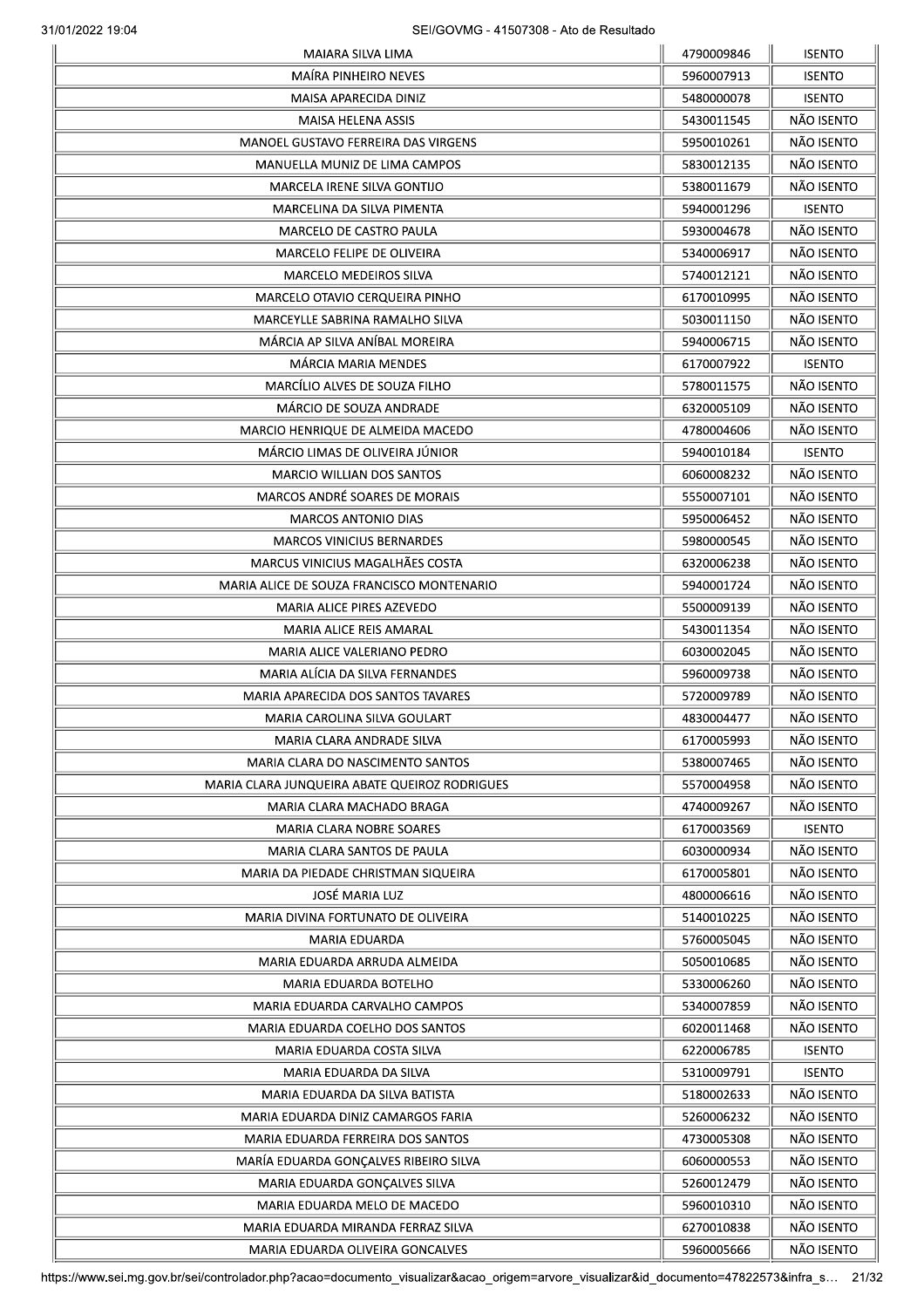|                                               | 4790009846 | <b>ISENTO</b> |
|-----------------------------------------------|------------|---------------|
| <b>MAÍRA PINHEIRO NEVES</b>                   | 5960007913 | <b>ISENTO</b> |
| MAISA APARECIDA DINIZ                         | 5480000078 | <b>ISENTO</b> |
| MAISA HELENA ASSIS                            | 5430011545 | NÃO ISENTO    |
| MANOEL GUSTAVO FERREIRA DAS VIRGENS           | 5950010261 | NÃO ISENTO    |
| MANUELLA MUNIZ DE LIMA CAMPOS                 | 5830012135 | NÃO ISENTO    |
| MARCELA IRENE SILVA GONTIJO                   | 5380011679 | NÃO ISENTO    |
| MARCELINA DA SILVA PIMENTA                    | 5940001296 | <b>ISENTO</b> |
| MARCELO DE CASTRO PAULA                       | 5930004678 | NÃO ISENTO    |
| MARCELO FELIPE DE OLIVEIRA                    | 5340006917 | NÃO ISENTO    |
| <b>MARCELO MEDEIROS SILVA</b>                 | 5740012121 | NÃO ISENTO    |
| MARCELO OTAVIO CERQUEIRA PINHO                | 6170010995 | NÃO ISENTO    |
| MARCEYLLE SABRINA RAMALHO SILVA               | 5030011150 | NÃO ISENTO    |
| MÁRCIA AP SILVA ANÍBAL MOREIRA                | 5940006715 | NÃO ISENTO    |
| MÁRCIA MARIA MENDES                           | 6170007922 | <b>ISENTO</b> |
| MARCÍLIO ALVES DE SOUZA FILHO                 | 5780011575 | NÃO ISENTO    |
| MÁRCIO DE SOUZA ANDRADE                       | 6320005109 | NÃO ISENTO    |
|                                               |            |               |
| MARCIO HENRIQUE DE ALMEIDA MACEDO             | 4780004606 | NÃO ISENTO    |
| MÁRCIO LIMAS DE OLIVEIRA JÚNIOR               | 5940010184 | <b>ISENTO</b> |
| <b>MARCIO WILLIAN DOS SANTOS</b>              | 6060008232 | NÃO ISENTO    |
| MARCOS ANDRÉ SOARES DE MORAIS                 | 5550007101 | NÃO ISENTO    |
| <b>MARCOS ANTONIO DIAS</b>                    | 5950006452 | NÃO ISENTO    |
| <b>MARCOS VINICIUS BERNARDES</b>              | 5980000545 | NÃO ISENTO    |
| MARCUS VINICIUS MAGALHÃES COSTA               | 6320006238 | NÃO ISENTO    |
| MARIA ALICE DE SOUZA FRANCISCO MONTENARIO     | 5940001724 | NÃO ISENTO    |
| <b>MARIA ALICE PIRES AZEVEDO</b>              | 5500009139 | NÃO ISENTO    |
| <b>MARIA ALICE REIS AMARAL</b>                | 5430011354 | NÃO ISENTO    |
| MARIA ALICE VALERIANO PEDRO                   | 6030002045 | NÃO ISENTO    |
| MARIA ALÍCIA DA SILVA FERNANDES               | 5960009738 | NÃO ISENTO    |
| MARIA APARECIDA DOS SANTOS TAVARES            | 5720009789 | NÃO ISENTO    |
| MARIA CAROLINA SILVA GOULART                  | 4830004477 | NÃO ISENTO    |
| MARIA CLARA ANDRADE SILVA                     | 6170005993 | NÃO ISENTO    |
| MARIA CLARA DO NASCIMENTO SANTOS              | 5380007465 | NÃO ISENTO    |
| MARIA CLARA JUNQUEIRA ABATE QUEIROZ RODRIGUES | 5570004958 | NÃO ISENTO    |
| MARIA CLARA MACHADO BRAGA                     | 4740009267 | NÃO ISENTO    |
| MARIA CLARA NOBRE SOARES                      | 6170003569 | <b>ISENTO</b> |
| MARIA CLARA SANTOS DE PAULA                   | 6030000934 | NÃO ISENTO    |
| MARIA DA PIEDADE CHRISTMAN SIQUEIRA           | 6170005801 | NÃO ISENTO    |
| <b>JOSÉ MARIA LUZ</b>                         | 4800006616 | NÃO ISENTO    |
| MARIA DIVINA FORTUNATO DE OLIVEIRA            | 5140010225 | NÃO ISENTO    |
| <b>MARIA EDUARDA</b>                          | 5760005045 | NÃO ISENTO    |
| MARIA EDUARDA ARRUDA ALMEIDA                  | 5050010685 | NÃO ISENTO    |
| MARIA EDUARDA BOTELHO                         | 5330006260 | NÃO ISENTO    |
|                                               | 5340007859 | NÃO ISENTO    |
| MARIA EDUARDA CARVALHO CAMPOS                 |            |               |
| MARIA EDUARDA COELHO DOS SANTOS               | 6020011468 | NÃO ISENTO    |
| MARIA EDUARDA COSTA SILVA                     | 6220006785 | <b>ISENTO</b> |
| MARIA EDUARDA DA SILVA                        | 5310009791 | <b>ISENTO</b> |
| MARIA EDUARDA DA SILVA BATISTA                | 5180002633 | NÃO ISENTO    |
| MARIA EDUARDA DINIZ CAMARGOS FARIA            | 5260006232 | NÃO ISENTO    |
| MARIA EDUARDA FERREIRA DOS SANTOS             | 4730005308 | NÃO ISENTO    |
| MARÍA EDUARDA GONÇALVES RIBEIRO SILVA         | 6060000553 | NÃO ISENTO    |
| MARIA EDUARDA GONÇALVES SILVA                 | 5260012479 | NÃO ISENTO    |
| MARIA EDUARDA MELO DE MACEDO                  | 5960010310 | NÃO ISENTO    |
| MARIA EDUARDA MIRANDA FERRAZ SILVA            | 6270010838 | NÃO ISENTO    |
| MARIA EDUARDA OLIVEIRA GONCALVES              | 5960005666 | NÃO ISENTO    |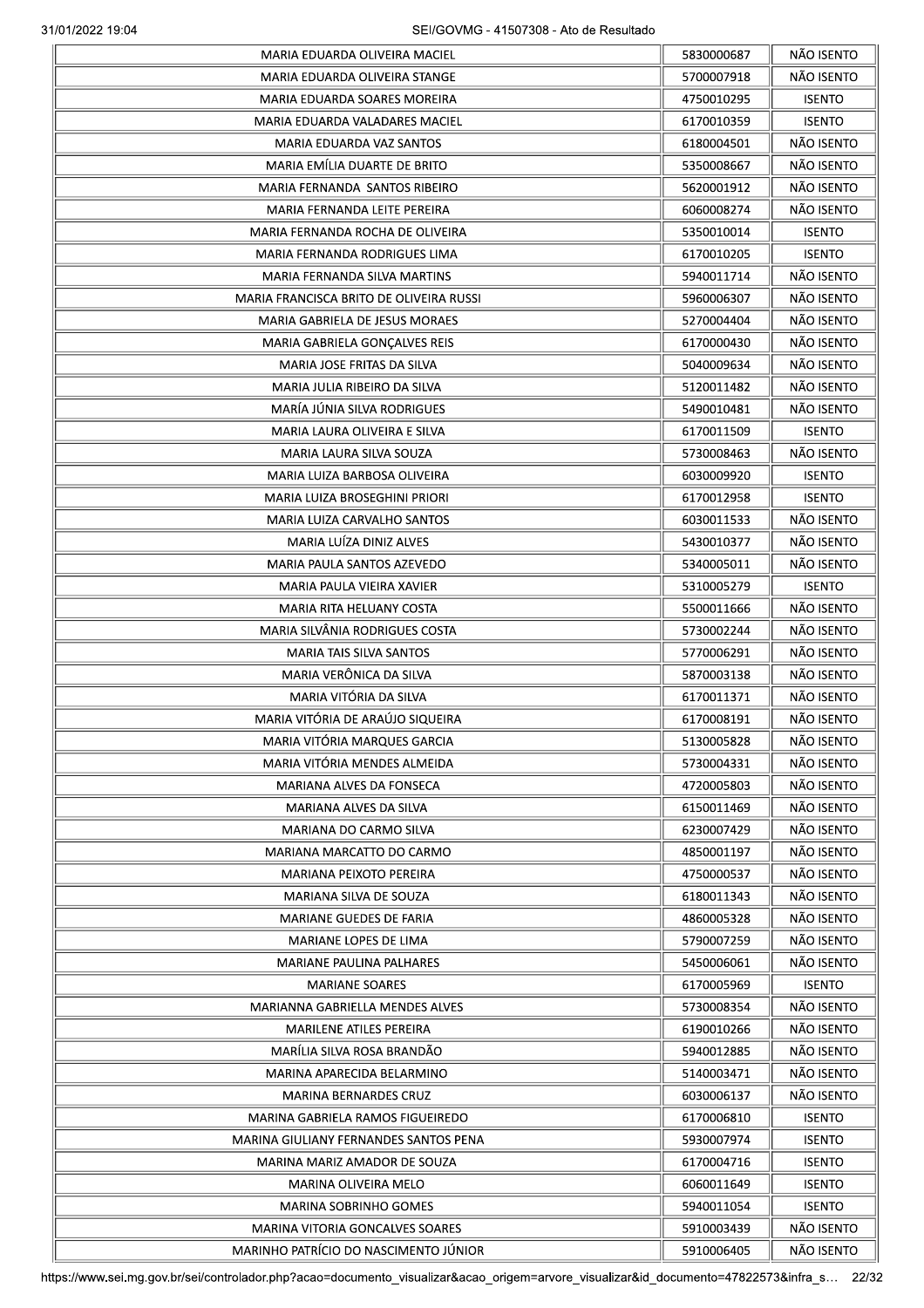|                                         | 5830000687 | NÃO ISENTO    |
|-----------------------------------------|------------|---------------|
| MARIA EDUARDA OLIVEIRA STANGE           | 5700007918 | NÃO ISENTO    |
| MARIA EDUARDA SOARES MOREIRA            | 4750010295 | <b>ISENTO</b> |
| MARIA EDUARDA VALADARES MACIEL          | 6170010359 | <b>ISENTO</b> |
| MARIA EDUARDA VAZ SANTOS                | 6180004501 | NÃO ISENTO    |
| MARIA EMÍLIA DUARTE DE BRITO            | 5350008667 | NÃO ISENTO    |
| MARIA FERNANDA SANTOS RIBEIRO           | 5620001912 | NÃO ISENTO    |
| MARIA FERNANDA LEITE PEREIRA            | 6060008274 | NÃO ISENTO    |
| MARIA FERNANDA ROCHA DE OLIVEIRA        | 5350010014 | <b>ISENTO</b> |
| MARIA FERNANDA RODRIGUES LIMA           | 6170010205 | <b>ISENTO</b> |
| MARIA FERNANDA SILVA MARTINS            | 5940011714 | NÃO ISENTO    |
| MARIA FRANCISCA BRITO DE OLIVEIRA RUSSI | 5960006307 | NÃO ISENTO    |
| MARIA GABRIELA DE JESUS MORAES          | 5270004404 | NÃO ISENTO    |
| MARIA GABRIELA GONÇALVES REIS           | 6170000430 | NÃO ISENTO    |
| MARIA JOSE FRITAS DA SILVA              | 5040009634 | NÃO ISENTO    |
| MARIA JULIA RIBEIRO DA SILVA            | 5120011482 | NÃO ISENTO    |
| MARÍA JÚNIA SILVA RODRIGUES             | 5490010481 | NÃO ISENTO    |
| MARIA LAURA OLIVEIRA E SILVA            | 6170011509 | <b>ISENTO</b> |
| MARIA LAURA SILVA SOUZA                 | 5730008463 | NÃO ISENTO    |
| MARIA LUIZA BARBOSA OLIVEIRA            | 6030009920 | <b>ISENTO</b> |
| MARIA LUIZA BROSEGHINI PRIORI           | 6170012958 | <b>ISENTO</b> |
| MARIA LUIZA CARVALHO SANTOS             | 6030011533 | NÃO ISENTO    |
| MARIA LUIZA DINIZ ALVES                 | 5430010377 | NÃO ISENTO    |
| MARIA PAULA SANTOS AZEVEDO              | 5340005011 | NÃO ISENTO    |
| MARIA PAULA VIEIRA XAVIER               | 5310005279 | <b>ISENTO</b> |
| MARIA RITA HELUANY COSTA                | 5500011666 | NÃO ISENTO    |
| MARIA SILVÂNIA RODRIGUES COSTA          | 5730002244 | NÃO ISENTO    |
| <b>MARIA TAIS SILVA SANTOS</b>          | 5770006291 | NÃO ISENTO    |
| MARIA VERÔNICA DA SILVA                 | 5870003138 | NÃO ISENTO    |
| MARIA VITÓRIA DA SILVA                  |            | NÃO ISENTO    |
| MARIA VITÓRIA DE ARAÚJO SIQUEIRA        | 6170011371 | NÃO ISENTO    |
| MARIA VITÓRIA MAROUFS GARCIA            | 6170008191 |               |
|                                         | 5130005828 | NÃO ISENTO    |
| MARIA VITÓRIA MENDES ALMEIDA            | 5730004331 | NÃO ISENTO    |
| <b>MARIANA ALVES DA FONSECA</b>         | 4720005803 | NÃO ISENTO    |
| MARIANA ALVES DA SILVA                  | 6150011469 | NÃO ISENTO    |
| MARIANA DO CARMO SILVA                  | 6230007429 | NÃO ISENTO    |
| MARIANA MARCATTO DO CARMO               | 4850001197 | NÃO ISENTO    |
| MARIANA PEIXOTO PEREIRA                 | 4750000537 | NÃO ISENTO    |
| MARIANA SILVA DE SOUZA                  | 6180011343 | NÃO ISENTO    |
| <b>MARIANE GUEDES DE FARIA</b>          | 4860005328 | NÃO ISENTO    |
| MARIANE LOPES DE LIMA                   | 5790007259 | NÃO ISENTO    |
| MARIANE PAULINA PALHARES                | 5450006061 | NÃO ISENTO    |
| <b>MARIANE SOARES</b>                   | 6170005969 | <b>ISENTO</b> |
| <b>MARIANNA GABRIELLA MENDES ALVES</b>  | 5730008354 | NÃO ISENTO    |
| MARILENE ATILES PEREIRA                 | 6190010266 | NÃO ISENTO    |
| MARÍLIA SILVA ROSA BRANDÃO              | 5940012885 | NÃO ISENTO    |
| MARINA APARECIDA BELARMINO              | 5140003471 | NÃO ISENTO    |
| MARINA BERNARDES CRUZ                   | 6030006137 | NÃO ISENTO    |
| MARINA GABRIELA RAMOS FIGUEIREDO        | 6170006810 | <b>ISENTO</b> |
| MARINA GIULIANY FERNANDES SANTOS PENA   | 5930007974 | <b>ISENTO</b> |
| MARINA MARIZ AMADOR DE SOUZA            | 6170004716 | <b>ISENTO</b> |
| MARINA OLIVEIRA MELO                    | 6060011649 | <b>ISENTO</b> |
| MARINA SOBRINHO GOMES                   | 5940011054 | <b>ISENTO</b> |
| MARINA VITORIA GONCALVES SOARES         | 5910003439 | NÃO ISENTO    |
| MARINHO PATRÍCIO DO NASCIMENTO JÚNIOR   | 5910006405 | NÃO ISENTO    |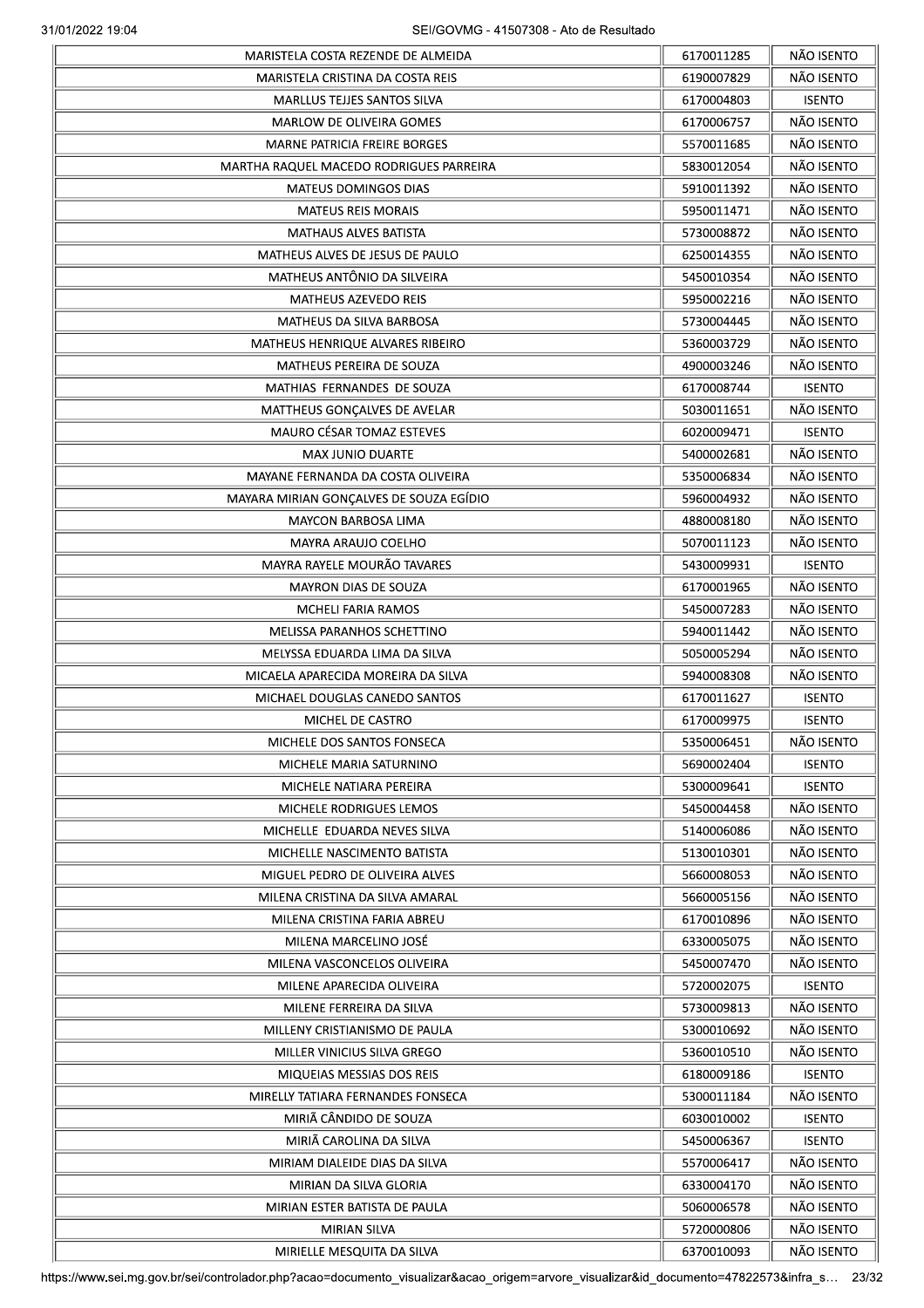|                                         | 6170011285 | NÃO ISENTO    |
|-----------------------------------------|------------|---------------|
| MARISTELA CRISTINA DA COSTA REIS        | 6190007829 | NÃO ISENTO    |
| <b>MARLLUS TEJJES SANTOS SILVA</b>      | 6170004803 | <b>ISENTO</b> |
| MARLOW DE OLIVEIRA GOMES                | 6170006757 | NÃO ISENTO    |
| <b>MARNE PATRICIA FREIRE BORGES</b>     | 5570011685 | NÃO ISENTO    |
| MARTHA RAQUEL MACEDO RODRIGUES PARREIRA | 5830012054 | NÃO ISENTO    |
| MATEUS DOMINGOS DIAS                    | 5910011392 | NÃO ISENTO    |
| <b>MATEUS REIS MORAIS</b>               | 5950011471 | NÃO ISENTO    |
| <b>MATHAUS ALVES BATISTA</b>            | 5730008872 | NÃO ISENTO    |
| MATHEUS ALVES DE JESUS DE PAULO         | 6250014355 | NÃO ISENTO    |
| MATHEUS ANTÔNIO DA SILVEIRA             | 5450010354 | NÃO ISENTO    |
| <b>MATHEUS AZEVEDO REIS</b>             | 5950002216 | NÃO ISENTO    |
| MATHEUS DA SILVA BARBOSA                | 5730004445 | NÃO ISENTO    |
| MATHEUS HENRIQUE ALVARES RIBEIRO        | 5360003729 | NÃO ISENTO    |
| MATHEUS PEREIRA DE SOUZA                | 4900003246 | NÃO ISENTO    |
| MATHIAS FERNANDES DE SOUZA              | 6170008744 | <b>ISENTO</b> |
|                                         |            | NÃO ISENTO    |
| MATTHEUS GONÇALVES DE AVELAR            | 5030011651 |               |
| MAURO CÉSAR TOMAZ ESTEVES               | 6020009471 | <b>ISENTO</b> |
| <b>MAX JUNIO DUARTE</b>                 | 5400002681 | NÃO ISENTO    |
| MAYANE FERNANDA DA COSTA OLIVEIRA       | 5350006834 | NÃO ISENTO    |
| MAYARA MIRIAN GONÇALVES DE SOUZA EGÍDIO | 5960004932 | NÃO ISENTO    |
| <b>MAYCON BARBOSA LIMA</b>              | 4880008180 | NÃO ISENTO    |
| MAYRA ARAUJO COELHO                     | 5070011123 | NÃO ISENTO    |
| MAYRA RAYELE MOURÃO TAVARES             | 5430009931 | <b>ISENTO</b> |
| <b>MAYRON DIAS DE SOUZA</b>             | 6170001965 | NÃO ISENTO    |
| MCHELI FARIA RAMOS                      | 5450007283 | NÃO ISENTO    |
| MELISSA PARANHOS SCHETTINO              | 5940011442 | NÃO ISENTO    |
| MELYSSA EDUARDA LIMA DA SILVA           | 5050005294 | NÃO ISENTO    |
| MICAELA APARECIDA MOREIRA DA SILVA      | 5940008308 | NÃO ISENTO    |
| MICHAEL DOUGLAS CANEDO SANTOS           | 6170011627 | <b>ISENTO</b> |
| MICHEL DE CASTRO                        | 6170009975 | <b>ISENTO</b> |
| MICHELE DOS SANTOS FONSECA              | 5350006451 | NÃO ISENTO    |
| MICHELE MARIA SATURNINO                 | 5690002404 | <b>ISENTO</b> |
| MICHELE NATIARA PEREIRA                 | 5300009641 | <b>ISENTO</b> |
| MICHELE RODRIGUES LEMOS                 | 5450004458 | NÃO ISENTO    |
| MICHELLE EDUARDA NEVES SILVA            | 5140006086 | NÃO ISENTO    |
| MICHELLE NASCIMENTO BATISTA             | 5130010301 | NÃO ISENTO    |
| MIGUEL PEDRO DE OLIVEIRA ALVES          | 5660008053 | NÃO ISENTO    |
|                                         | 5660005156 | NÃO ISENTO    |
| MILENA CRISTINA DA SILVA AMARAL         |            | NÃO ISENTO    |
| MILENA CRISTINA FARIA ABREU             | 6170010896 |               |
| MILENA MARCELINO JOSÉ                   | 6330005075 | NÃO ISENTO    |
| MILENA VASCONCELOS OLIVEIRA             | 5450007470 | NÃO ISENTO    |
| MILENE APARECIDA OLIVEIRA               | 5720002075 | <b>ISENTO</b> |
| MILENE FERREIRA DA SILVA                | 5730009813 | NÃO ISENTO    |
| MILLENY CRISTIANISMO DE PAULA           | 5300010692 | NÃO ISENTO    |
| MILLER VINICIUS SILVA GREGO             | 5360010510 | NÃO ISENTO    |
| MIQUEIAS MESSIAS DOS REIS               | 6180009186 | <b>ISENTO</b> |
| MIRELLY TATIARA FERNANDES FONSECA       | 5300011184 | NÃO ISENTO    |
| MIRIÃ CÂNDIDO DE SOUZA                  | 6030010002 | <b>ISENTO</b> |
| MIRIÃ CAROLINA DA SILVA                 | 5450006367 | <b>ISENTO</b> |
| MIRIAM DIALEIDE DIAS DA SILVA           | 5570006417 | NÃO ISENTO    |
| MIRIAN DA SILVA GLORIA                  | 6330004170 | NÃO ISENTO    |
| MIRIAN ESTER BATISTA DE PAULA           | 5060006578 | NÃO ISENTO    |
| <b>MIRIAN SILVA</b>                     | 5720000806 | NÃO ISENTO    |
| MIRIELLE MESQUITA DA SILVA              | 6370010093 | NÃO ISENTO    |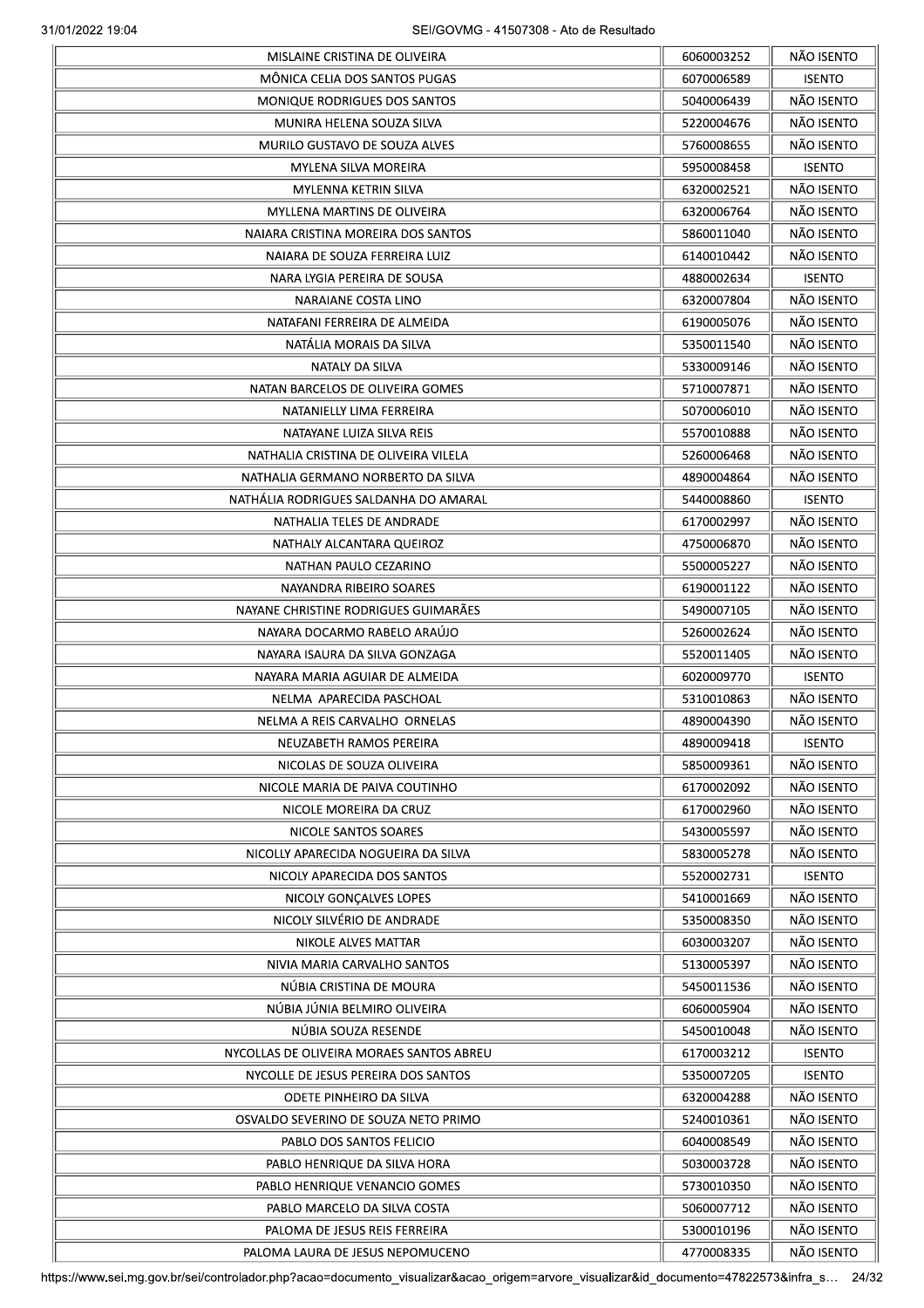|                                          | 6060003252 | NÃO ISENTO    |
|------------------------------------------|------------|---------------|
| MÔNICA CELIA DOS SANTOS PUGAS            | 6070006589 | <b>ISENTO</b> |
| <b>MONIQUE RODRIGUES DOS SANTOS</b>      | 5040006439 | NÃO ISENTO    |
| MUNIRA HELENA SOUZA SILVA                | 5220004676 | NÃO ISENTO    |
| MURILO GUSTAVO DE SOUZA ALVES            | 5760008655 | NÃO ISENTO    |
| MYLENA SILVA MOREIRA                     | 5950008458 | <b>ISENTO</b> |
| MYLENNA KETRIN SILVA                     | 6320002521 | NÃO ISENTO    |
| <b>MYLLENA MARTINS DE OLIVEIRA</b>       | 6320006764 | NÃO ISENTO    |
| NAIARA CRISTINA MOREIRA DOS SANTOS       | 5860011040 | NÃO ISENTO    |
| NAIARA DE SOUZA FERREIRA LUIZ            | 6140010442 | NÃO ISENTO    |
| NARA LYGIA PEREIRA DE SOUSA              | 4880002634 | <b>ISENTO</b> |
| NARAIANE COSTA LINO                      | 6320007804 | NÃO ISENTO    |
| NATAFANI FERREIRA DE ALMEIDA             | 6190005076 | NÃO ISENTO    |
| NATALIA MORAIS DA SILVA                  | 5350011540 | NÃO ISENTO    |
| NATALY DA SILVA                          | 5330009146 | NÃO ISENTO    |
| NATAN BARCELOS DE OLIVEIRA GOMES         | 5710007871 | NÃO ISENTO    |
| NATANIELLY LIMA FERREIRA                 | 5070006010 | NÃO ISENTO    |
| NATAYANE LUIZA SILVA REIS                | 5570010888 | NÃO ISENTO    |
| NATHALIA CRISTINA DE OLIVEIRA VILELA     | 5260006468 | NÃO ISENTO    |
| NATHALIA GERMANO NORBERTO DA SILVA       | 4890004864 | NÃO ISENTO    |
| NATHALIA RODRIGUES SALDANHA DO AMARAL    | 5440008860 | <b>ISENTO</b> |
| NATHALIA TELES DE ANDRADE                | 6170002997 | NÃO ISENTO    |
| NATHALY ALCANTARA QUEIROZ                | 4750006870 | NÃO ISENTO    |
| NATHAN PAULO CEZARINO                    | 5500005227 | NÃO ISENTO    |
| NAYANDRA RIBEIRO SOARES                  |            | NÃO ISENTO    |
|                                          | 6190001122 | NÃO ISENTO    |
| NAYANE CHRISTINE RODRIGUES GUIMARÃES     | 5490007105 |               |
| NAYARA DOCARMO RABELO ARAÚJO             | 5260002624 | NÃO ISENTO    |
| NAYARA ISAURA DA SILVA GONZAGA           | 5520011405 | NÃO ISENTO    |
| NAYARA MARIA AGUIAR DE ALMEIDA           | 6020009770 | <b>ISENTO</b> |
| NELMA APARECIDA PASCHOAL                 | 5310010863 | NÃO ISENTO    |
| NELMA A REIS CARVALHO ORNELAS            | 4890004390 | NÃO ISENTO    |
| NEUZABETH RAMOS PEREIRA                  | 4890009418 | <b>ISENTO</b> |
| NICOLAS DE SOUZA OLIVEIRA                | 5850009361 | NÃO ISENTO    |
| NICOLE MARIA DE PAIVA COUTINHO           | 6170002092 | NÃO ISENTO    |
| NICOLE MOREIRA DA CRUZ                   | 6170002960 | NÃO ISENTO    |
| NICOLE SANTOS SOARES                     | 5430005597 | NÃO ISENTO    |
| NICOLLY APARECIDA NOGUEIRA DA SILVA      | 5830005278 | NÃO ISENTO    |
| NICOLY APARECIDA DOS SANTOS              | 5520002731 | <b>ISENTO</b> |
| NICOLY GONÇALVES LOPES                   | 5410001669 | NÃO ISENTO    |
| NICOLY SILVÉRIO DE ANDRADE               | 5350008350 | NÃO ISENTO    |
| NIKOLE ALVES MATTAR                      | 6030003207 | NÃO ISENTO    |
| NIVIA MARIA CARVALHO SANTOS              | 5130005397 | NÃO ISENTO    |
| NÚBIA CRISTINA DE MOURA                  | 5450011536 | NÃO ISENTO    |
| NÚBIA JÚNIA BELMIRO OLIVEIRA             | 6060005904 | NÃO ISENTO    |
| NÚBIA SOUZA RESENDE                      | 5450010048 | NÃO ISENTO    |
| NYCOLLAS DE OLIVEIRA MORAES SANTOS ABREU | 6170003212 | <b>ISENTO</b> |
| NYCOLLE DE JESUS PEREIRA DOS SANTOS      | 5350007205 | <b>ISENTO</b> |
| ODETE PINHEIRO DA SILVA                  | 6320004288 | NÃO ISENTO    |
| OSVALDO SEVERINO DE SOUZA NETO PRIMO     | 5240010361 | NÃO ISENTO    |
| PABLO DOS SANTOS FELICIO                 | 6040008549 | NÃO ISENTO    |
| PABLO HENRIQUE DA SILVA HORA             | 5030003728 | NÃO ISENTO    |
| PABLO HENRIQUE VENANCIO GOMES            | 5730010350 | NÃO ISENTO    |
| PABLO MARCELO DA SILVA COSTA             | 5060007712 | NÃO ISENTO    |
| PALOMA DE JESUS REIS FERREIRA            | 5300010196 | NÃO ISENTO    |
| PALOMA LAURA DE JESUS NEPOMUCENO         | 4770008335 | NÃO ISENTO    |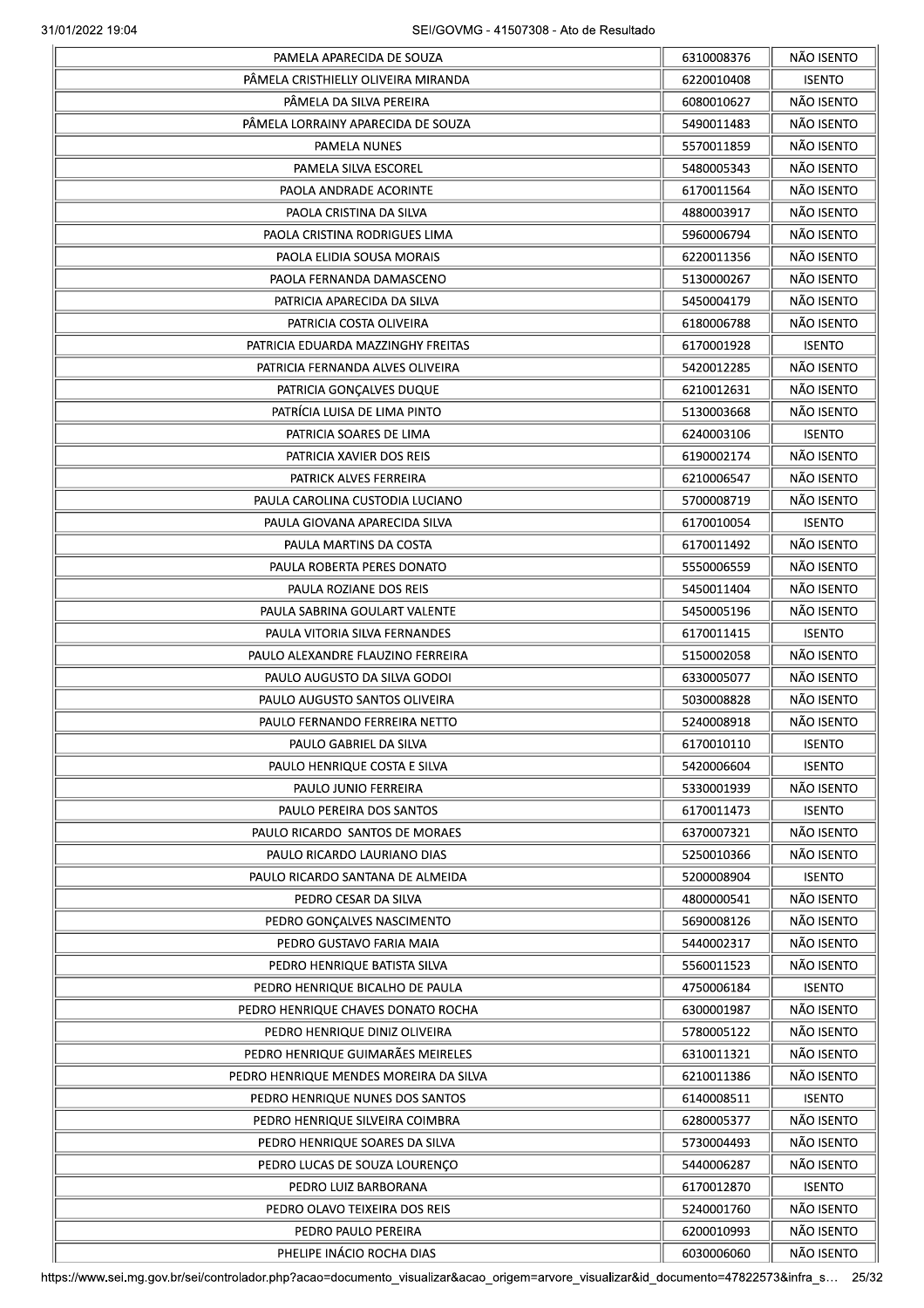| PAMELA APARECIDA DE SOUZA              | 6310008376 | NÃO ISENTO                  |
|----------------------------------------|------------|-----------------------------|
| PÂMELA CRISTHIELLY OLIVEIRA MIRANDA    | 6220010408 | <b>ISENTO</b>               |
| PĂMELA DA SILVA PEREIRA                | 6080010627 | NÃO ISENTO                  |
| PÂMELA LORRAINY APARECIDA DE SOUZA     | 5490011483 | NÃO ISENTO                  |
| PAMELA NUNES                           | 5570011859 | NÃO ISENTO                  |
| PAMELA SILVA ESCOREL                   | 5480005343 | NÃO ISENTO                  |
| PAOLA ANDRADE ACORINTE                 | 6170011564 | NÃO ISENTO                  |
| PAOLA CRISTINA DA SILVA                | 4880003917 | NÃO ISENTO                  |
| PAOLA CRISTINA RODRIGUES LIMA          | 5960006794 | NÃO ISENTO                  |
| PAOLA ELIDIA SOUSA MORAIS              | 6220011356 | NÃO ISENTO                  |
| PAOLA FERNANDA DAMASCENO               | 5130000267 | NÃO ISENTO                  |
| PATRICIA APARECIDA DA SILVA            | 5450004179 | NÃO ISENTO                  |
| PATRICIA COSTA OLIVEIRA                | 6180006788 | NÃO ISENTO                  |
|                                        |            |                             |
| PATRICIA EDUARDA MAZZINGHY FREITAS     | 6170001928 | <b>ISENTO</b><br>NÃO ISENTO |
| PATRICIA FERNANDA ALVES OLIVEIRA       | 5420012285 |                             |
| PATRICIA GONÇALVES DUQUE               | 6210012631 | NÃO ISENTO                  |
| PATRÍCIA LUISA DE LIMA PINTO           | 5130003668 | NÃO ISENTO                  |
| PATRICIA SOARES DE LIMA                | 6240003106 | <b>ISENTO</b>               |
| PATRICIA XAVIER DOS REIS               | 6190002174 | NÃO ISENTO                  |
| PATRICK ALVES FERREIRA                 | 6210006547 | NÃO ISENTO                  |
| PAULA CAROLINA CUSTODIA LUCIANO        | 5700008719 | NÃO ISENTO                  |
| PAULA GIOVANA APARECIDA SILVA          | 6170010054 | <b>ISENTO</b>               |
| PAULA MARTINS DA COSTA                 | 6170011492 | NÃO ISENTO                  |
| PAULA ROBERTA PERES DONATO             | 5550006559 | NÃO ISENTO                  |
| PAULA ROZIANE DOS REIS                 | 5450011404 | NÃO ISENTO                  |
| PAULA SABRINA GOULART VALENTE          | 5450005196 | NÃO ISENTO                  |
| PAULA VITORIA SILVA FERNANDES          | 6170011415 | <b>ISENTO</b>               |
| PAULO ALEXANDRE FLAUZINO FERREIRA      | 5150002058 | NÃO ISENTO                  |
| PAULO AUGUSTO DA SILVA GODOI           | 6330005077 | NÃO ISENTO                  |
| PAULO AUGUSTO SANTOS OLIVEIRA          | 5030008828 | NÃO ISENTO                  |
| PAULO FERNANDO FERREIRA NETTO          | 5240008918 | NÃO ISENTO                  |
| PAULO GABRIEL DA SILVA                 | 61/0010110 | <b>ISENTO</b>               |
| PAULO HENRIQUE COSTA E SILVA           | 5420006604 | <b>ISENTO</b>               |
| PAULO JUNIO FERREIRA                   | 5330001939 | NÃO ISENTO                  |
| PAULO PEREIRA DOS SANTOS               | 6170011473 | <b>ISENTO</b>               |
| PAULO RICARDO SANTOS DE MORAES         | 6370007321 | NÃO ISENTO                  |
| PAULO RICARDO LAURIANO DIAS            | 5250010366 | NÃO ISENTO                  |
| PAULO RICARDO SANTANA DE ALMEIDA       | 5200008904 | <b>ISENTO</b>               |
| PEDRO CESAR DA SILVA                   | 4800000541 | NÃO ISENTO                  |
| PEDRO GONÇALVES NASCIMENTO             | 5690008126 | NÃO ISENTO                  |
| PEDRO GUSTAVO FARIA MAIA               | 5440002317 | NÃO ISENTO                  |
| PEDRO HENRIQUE BATISTA SILVA           | 5560011523 | NÃO ISENTO                  |
| PEDRO HENRIQUE BICALHO DE PAULA        | 4750006184 | <b>ISENTO</b>               |
|                                        |            |                             |
| PEDRO HENRIQUE CHAVES DONATO ROCHA     | 6300001987 | NÃO ISENTO                  |
| PEDRO HENRIQUE DINIZ OLIVEIRA          | 5780005122 | NÃO ISENTO                  |
| PEDRO HENRIQUE GUIMARÃES MEIRELES      | 6310011321 | NÃO ISENTO                  |
| PEDRO HENRIQUE MENDES MOREIRA DA SILVA | 6210011386 | NÃO ISENTO                  |
| PEDRO HENRIQUE NUNES DOS SANTOS        | 6140008511 | <b>ISENTO</b>               |
| PEDRO HENRIQUE SILVEIRA COIMBRA        | 6280005377 | NÃO ISENTO                  |
| PEDRO HENRIQUE SOARES DA SILVA         | 5730004493 | NÃO ISENTO                  |
| PEDRO LUCAS DE SOUZA LOURENÇO          | 5440006287 | NÃO ISENTO                  |
| PEDRO LUIZ BARBORANA                   | 6170012870 | <b>ISENTO</b>               |
| PEDRO OLAVO TEIXEIRA DOS REIS          | 5240001760 | NÃO ISENTO                  |
| PEDRO PAULO PEREIRA                    | 6200010993 | NÃO ISENTO                  |
|                                        |            | NÃO ISENTO                  |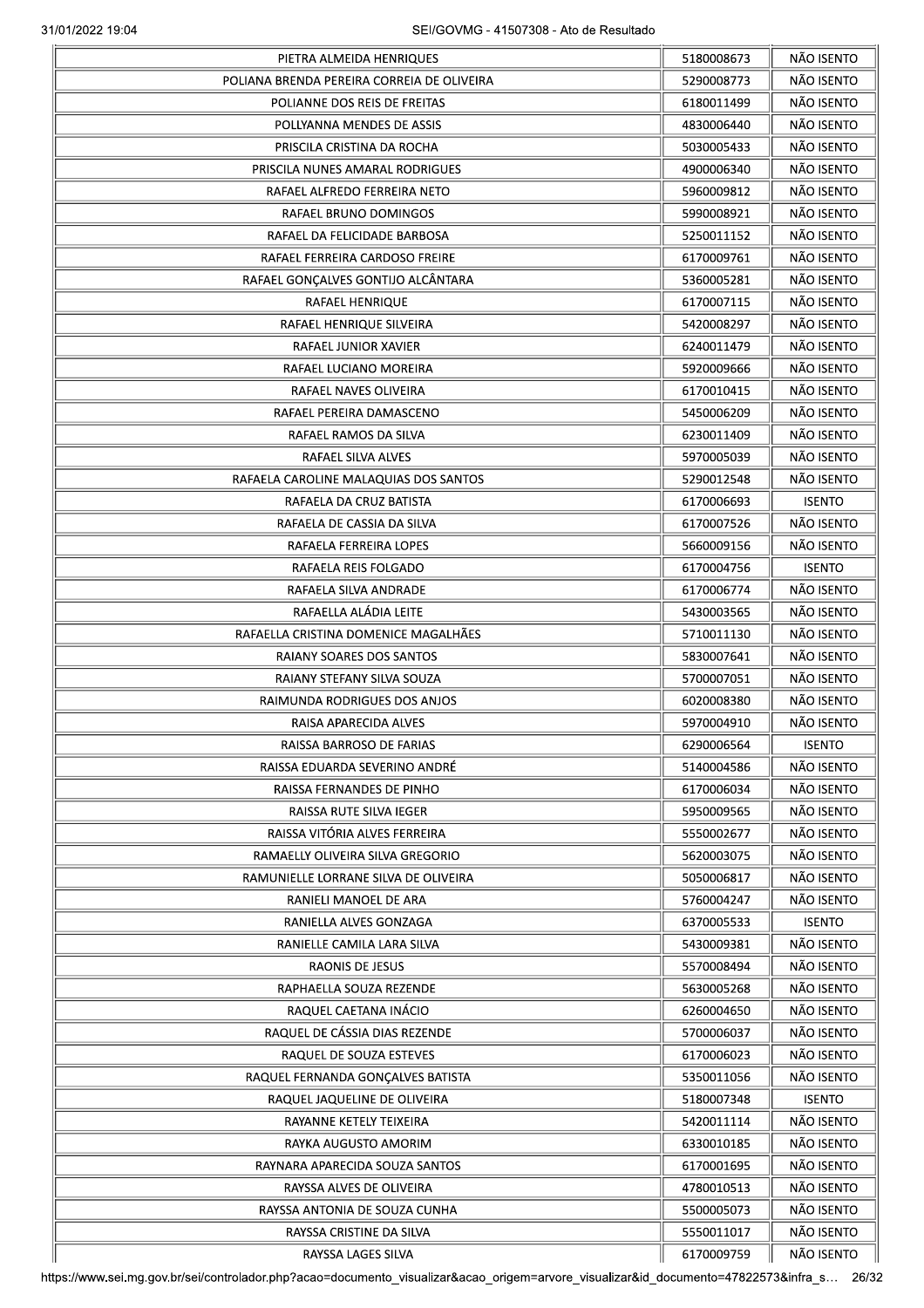| PIETRA ALMEIDA HENRIQUES                   | 5180008673 | NÃO ISENTO    |
|--------------------------------------------|------------|---------------|
| POLIANA BRENDA PEREIRA CORREIA DE OLIVEIRA | 5290008773 | NÃO ISENTO    |
| POLIANNE DOS REIS DE FREITAS               | 6180011499 | NÃO ISENTO    |
| POLLYANNA MENDES DE ASSIS                  | 4830006440 | NÃO ISENTO    |
| PRISCILA CRISTINA DA ROCHA                 | 5030005433 | NÃO ISENTO    |
| PRISCILA NUNES AMARAL RODRIGUES            | 4900006340 | NÃO ISENTO    |
| RAFAEL ALFREDO FERREIRA NETO               | 5960009812 | NÃO ISENTO    |
| RAFAEL BRUNO DOMINGOS                      | 5990008921 | NÃO ISENTO    |
| RAFAEL DA FELICIDADE BARBOSA               | 5250011152 | NÃO ISENTO    |
| RAFAEL FERREIRA CARDOSO FREIRE             | 6170009761 | NÃO ISENTO    |
| RAFAEL GONÇALVES GONTIJO ALCÂNTARA         | 5360005281 | NÃO ISENTO    |
| RAFAEL HENRIQUE                            | 6170007115 | NÃO ISENTO    |
| RAFAEL HENRIQUE SILVEIRA                   | 5420008297 | NÃO ISENTO    |
| RAFAEL JUNIOR XAVIER                       | 6240011479 | NÃO ISENTO    |
| RAFAEL LUCIANO MOREIRA                     | 5920009666 | NÃO ISENTO    |
| RAFAEL NAVES OLIVEIRA                      | 6170010415 | NÃO ISENTO    |
| RAFAEL PEREIRA DAMASCENO                   | 5450006209 | NÃO ISENTO    |
| RAFAEL RAMOS DA SILVA                      | 6230011409 | NÃO ISENTO    |
| RAFAEL SILVA ALVES                         |            | NÃO ISENTO    |
|                                            | 5970005039 |               |
| RAFAELA CAROLINE MALAQUIAS DOS SANTOS      | 5290012548 | NÃO ISENTO    |
| RAFAELA DA CRUZ BATISTA                    | 6170006693 | <b>ISENTO</b> |
| RAFAELA DE CASSIA DA SILVA                 | 6170007526 | NÃO ISENTO    |
| RAFAELA FERREIRA LOPES                     | 5660009156 | NÃO ISENTO    |
| RAFAELA REIS FOLGADO                       | 6170004756 | <b>ISENTO</b> |
| RAFAELA SILVA ANDRADE                      | 6170006774 | NÃO ISENTO    |
| RAFAELLA ALÁDIA LEITE                      | 5430003565 | NÃO ISENTO    |
| RAFAELLA CRISTINA DOMENICE MAGALHÃES       | 5710011130 | NÃO ISENTO    |
| RAIANY SOARES DOS SANTOS                   | 5830007641 | NÃO ISENTO    |
| RAIANY STEFANY SILVA SOUZA                 | 5700007051 | NÃO ISENTO    |
| RAIMUNDA RODRIGUES DOS ANJOS               | 6020008380 | NÃO ISENTO    |
| RAISA APARECIDA ALVES                      | 5970004910 | NÃO ISENTO    |
| RAISSA BARROSO DE FARIAS                   | 6290006564 | <b>ISENTO</b> |
| RAISSA EDUARDA SEVERINO ANDRÉ              | 5140004586 | NÃO ISENTO    |
| RAISSA FERNANDES DE PINHO                  | 6170006034 | NÃO ISENTO    |
| RAISSA RUTE SILVA IEGER                    | 5950009565 | NÃO ISENTO    |
| RAISSA VITÓRIA ALVES FERREIRA              | 5550002677 | NÃO ISENTO    |
| RAMAELLY OLIVEIRA SILVA GREGORIO           | 5620003075 | NÃO ISENTO    |
| RAMUNIELLE LORRANE SILVA DE OLIVEIRA       | 5050006817 | NÃO ISENTO    |
| RANIELI MANOEL DE ARA                      | 5760004247 | NÃO ISENTO    |
| RANIELLA ALVES GONZAGA                     | 6370005533 | <b>ISENTO</b> |
| RANIELLE CAMILA LARA SILVA                 | 5430009381 | NÃO ISENTO    |
| RAONIS DE JESUS                            | 5570008494 | NÃO ISENTO    |
| RAPHAELLA SOUZA REZENDE                    | 5630005268 | NÃO ISENTO    |
| RAQUEL CAETANA INÁCIO                      | 6260004650 | NÃO ISENTO    |
| RAQUEL DE CÁSSIA DIAS REZENDE              |            | NÃO ISENTO    |
|                                            | 5700006037 |               |
| RAQUEL DE SOUZA ESTEVES                    | 6170006023 | NÃO ISENTO    |
| RAQUEL FERNANDA GONÇALVES BATISTA          | 5350011056 | NÃO ISENTO    |
| RAQUEL JAQUELINE DE OLIVEIRA               | 5180007348 | <b>ISENTO</b> |
| RAYANNE KETELY TEIXEIRA                    | 5420011114 | NÃO ISENTO    |
| RAYKA AUGUSTO AMORIM                       | 6330010185 | NÃO ISENTO    |
| RAYNARA APARECIDA SOUZA SANTOS             | 6170001695 | NÃO ISENTO    |
| RAYSSA ALVES DE OLIVEIRA                   | 4780010513 | NÃO ISENTO    |
| RAYSSA ANTONIA DE SOUZA CUNHA              | 5500005073 | NÃO ISENTO    |
| RAYSSA CRISTINE DA SILVA                   | 5550011017 | NÃO ISENTO    |
| RAYSSA LAGES SILVA                         | 6170009759 | NÃO ISENTO    |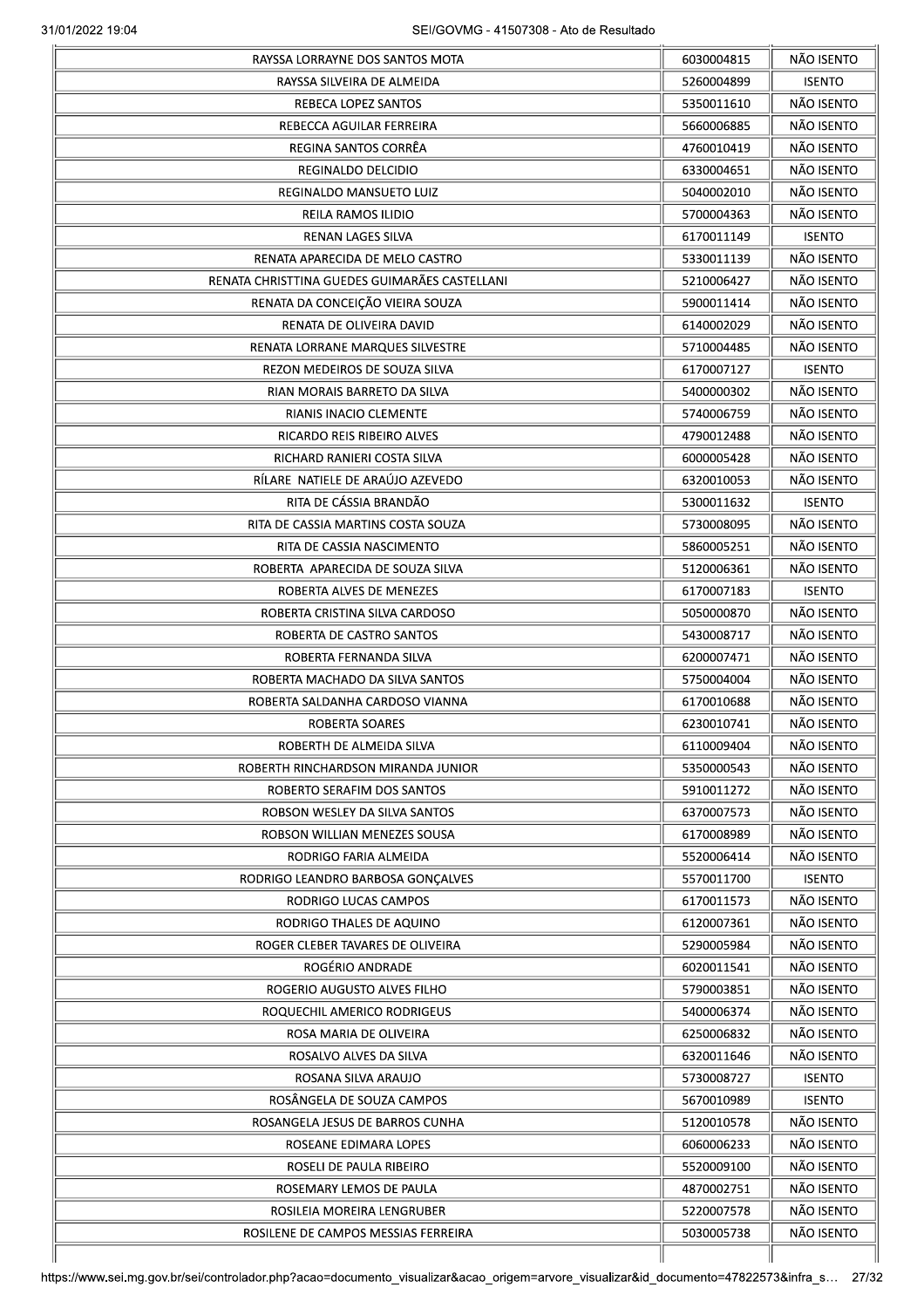| RAYSSA LORRAYNE DOS SANTOS MOTA               | 6030004815 | NÃO ISENTO    |
|-----------------------------------------------|------------|---------------|
| RAYSSA SILVEIRA DE ALMEIDA                    | 5260004899 | <b>ISENTO</b> |
| <b>REBECA LOPEZ SANTOS</b>                    | 5350011610 | NÃO ISENTO    |
| REBECCA AGUILAR FERREIRA                      | 5660006885 | NÃO ISENTO    |
| REGINA SANTOS CORRÊA                          | 4760010419 | NÃO ISENTO    |
| REGINALDO DELCIDIO                            | 6330004651 | NÃO ISENTO    |
| REGINALDO MANSUETO LUIZ                       | 5040002010 | NÃO ISENTO    |
| REILA RAMOS ILIDIO                            | 5700004363 | NÃO ISENTO    |
| <b>RENAN LAGES SILVA</b>                      | 6170011149 | <b>ISENTO</b> |
| RENATA APARECIDA DE MELO CASTRO               | 5330011139 | NÃO ISENTO    |
| RENATA CHRISTTINA GUEDES GUIMARÃES CASTELLANI | 5210006427 | NÃO ISENTO    |
| RENATA DA CONCEIÇÃO VIEIRA SOUZA              | 5900011414 | NÃO ISENTO    |
| RENATA DE OLIVEIRA DAVID                      |            | NÃO ISENTO    |
|                                               | 6140002029 |               |
| RENATA LORRANE MARQUES SILVESTRE              | 5710004485 | NÃO ISENTO    |
| REZON MEDEIROS DE SOUZA SILVA                 | 6170007127 | <b>ISENTO</b> |
| RIAN MORAIS BARRETO DA SILVA                  | 5400000302 | NÃO ISENTO    |
| RIANIS INACIO CLEMENTE                        | 5740006759 | NÃO ISENTO    |
| RICARDO REIS RIBEIRO ALVES                    | 4790012488 | NÃO ISENTO    |
| RICHARD RANIERI COSTA SILVA                   | 6000005428 | NÃO ISENTO    |
| RÍLARE NATIELE DE ARAÚJO AZEVEDO              | 6320010053 | NÃO ISENTO    |
| RITA DE CÁSSIA BRANDÃO                        | 5300011632 | <b>ISENTO</b> |
| RITA DE CASSIA MARTINS COSTA SOUZA            | 5730008095 | NÃO ISENTO    |
| RITA DE CASSIA NASCIMENTO                     | 5860005251 | NÃO ISENTO    |
| ROBERTA APARECIDA DE SOUZA SILVA              | 5120006361 | NÃO ISENTO    |
| ROBERTA ALVES DE MENEZES                      | 6170007183 | <b>ISENTO</b> |
| ROBERTA CRISTINA SILVA CARDOSO                | 5050000870 | NÃO ISENTO    |
| ROBERTA DE CASTRO SANTOS                      | 5430008717 | NÃO ISENTO    |
| ROBERTA FERNANDA SILVA                        | 6200007471 | NÃO ISENTO    |
| ROBERTA MACHADO DA SILVA SANTOS               | 5750004004 | NÃO ISENTO    |
| ROBERTA SALDANHA CARDOSO VIANNA               | 6170010688 | NÃO ISENTO    |
| ROBERTA SOARES                                | 6230010741 | NÃO ISENTO    |
| ROBERTH DE ALMEIDA SILVA                      | 6110009404 | NÃO ISENTO    |
| ROBERTH RINCHARDSON MIRANDA JUNIOR            | 5350000543 | NÃO ISENTO    |
| ROBERTO SERAFIM DOS SANTOS                    | 5910011272 | NÃO ISENTO    |
| ROBSON WESLEY DA SILVA SANTOS                 | 6370007573 | NÃO ISENTO    |
|                                               |            | NÃO ISENTO    |
| ROBSON WILLIAN MENEZES SOUSA                  | 6170008989 |               |
| RODRIGO FARIA ALMEIDA                         | 5520006414 | NÃO ISENTO    |
| RODRIGO LEANDRO BARBOSA GONCALVES             | 5570011700 | <b>ISENTO</b> |
| RODRIGO LUCAS CAMPOS                          | 6170011573 | NÃO ISENTO    |
| RODRIGO THALES DE AQUINO                      | 6120007361 | NÃO ISENTO    |
| ROGER CLEBER TAVARES DE OLIVEIRA              | 5290005984 | NÃO ISENTO    |
| ROGÉRIO ANDRADE                               | 6020011541 | NÃO ISENTO    |
| ROGERIO AUGUSTO ALVES FILHO                   | 5790003851 | NÃO ISENTO    |
| ROQUECHIL AMERICO RODRIGEUS                   | 5400006374 | NÃO ISENTO    |
| ROSA MARIA DE OLIVEIRA                        | 6250006832 | NÃO ISENTO    |
| ROSALVO ALVES DA SILVA                        | 6320011646 | NÃO ISENTO    |
| ROSANA SILVA ARAUJO                           | 5730008727 | <b>ISENTO</b> |
| ROSÂNGELA DE SOUZA CAMPOS                     | 5670010989 | <b>ISENTO</b> |
| ROSANGELA JESUS DE BARROS CUNHA               | 5120010578 | NÃO ISENTO    |
| ROSEANE EDIMARA LOPES                         | 6060006233 | NÃO ISENTO    |
| ROSELI DE PAULA RIBEIRO                       | 5520009100 | NÃO ISENTO    |
| ROSEMARY LEMOS DE PAULA                       | 4870002751 | NÃO ISENTO    |
| ROSILEIA MOREIRA LENGRUBER                    | 5220007578 | NÃO ISENTO    |
|                                               |            |               |
| ROSILENE DE CAMPOS MESSIAS FERREIRA           | 5030005738 | NÃO ISENTO    |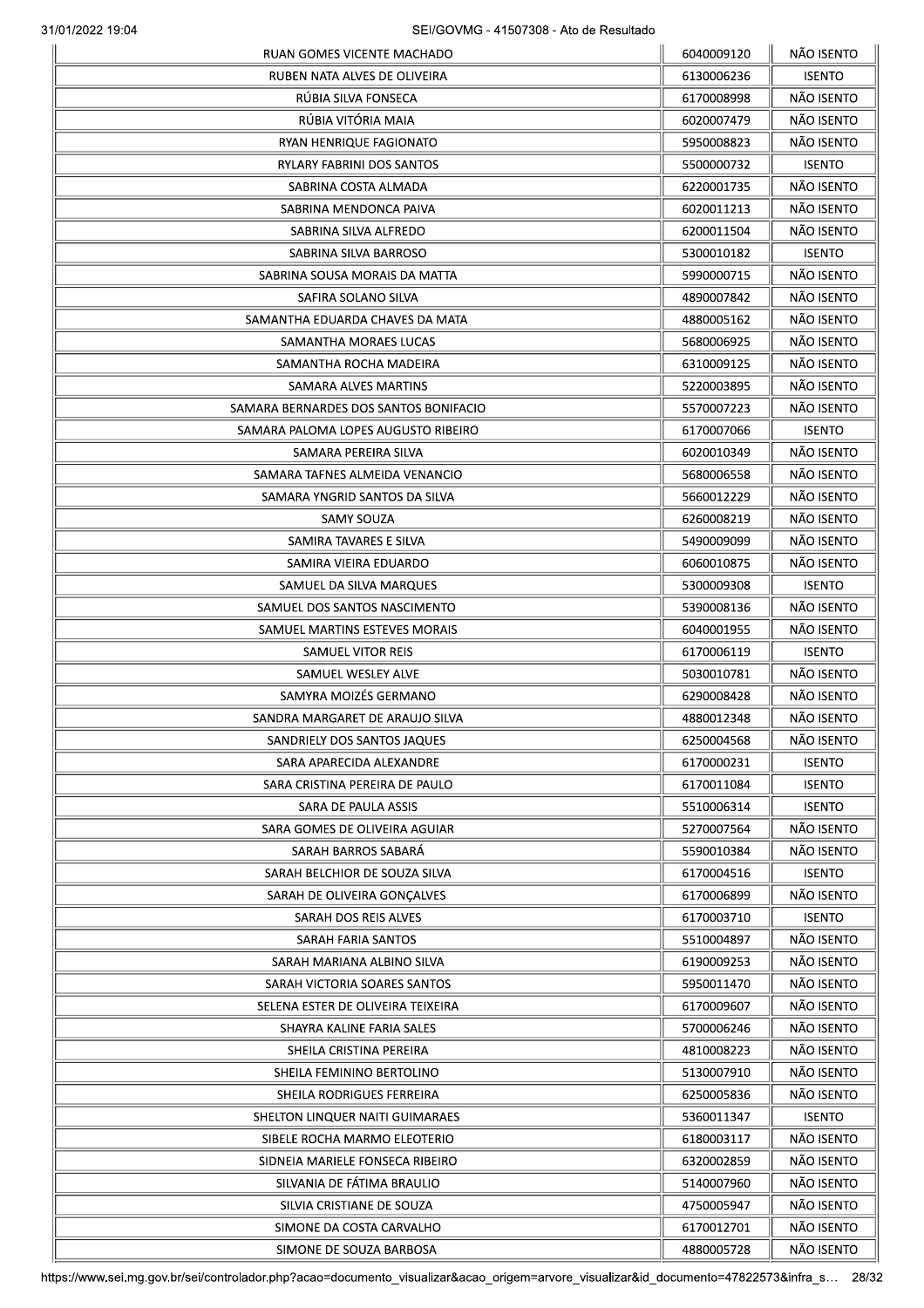| RUAN GOMES VICENTE MACHADO            | 6040009120               | NÃO ISENTO    |
|---------------------------------------|--------------------------|---------------|
| RUBEN NATA ALVES DE OLIVEIRA          | 6130006236               | <b>ISENTO</b> |
| RUBIA SILVA FONSECA                   | 6170008998               | NÃO ISENTO    |
| RÚBIA VITÓRIA MAIA                    | 6020007479               | NÃO ISENTO    |
| RYAN HENRIQUE FAGIONATO               | 5950008823               | NÃO ISENTO    |
| RYLARY FABRINI DOS SANTOS             | 5500000732               | <b>ISENTO</b> |
| SABRINA COSTA ALMADA                  | 6220001735               | NÃO ISENTO    |
| SABRINA MENDONCA PAIVA                | 6020011213               | NÃO ISENTO    |
| SABRINA SILVA ALFREDO                 | 6200011504               | NÃO ISENTO    |
| SABRINA SILVA BARROSO                 | 5300010182               | <b>ISENTO</b> |
| SABRINA SOUSA MORAIS DA MATTA         | 5990000715               | NÃO ISENTO    |
| SAFIRA SOLANO SILVA                   | 4890007842               | NÃO ISENTO    |
| SAMANTHA EDUARDA CHAVES DA MATA       | 4880005162               | NÃO ISENTO    |
| SAMANTHA MORAES LUCAS                 | 5680006925               | NÃO ISENTO    |
| SAMANTHA ROCHA MADEIRA                | 6310009125               | NÃO ISENTO    |
| SAMARA ALVES MARTINS                  | 5220003895               | NÃO ISENTO    |
| SAMARA BERNARDES DOS SANTOS BONIFACIO | 5570007223               | NÃO ISENTO    |
| SAMARA PALOMA LOPES AUGUSTO RIBEIRO   | 6170007066               | <b>ISENTO</b> |
| SAMARA PEREIRA SILVA                  | 6020010349               | NÃO ISENTO    |
| SAMARA TAFNES ALMEIDA VENANCIO        | 5680006558               | NÃO ISENTO    |
| SAMARA YNGRID SANTOS DA SILVA         | 5660012229               | NÃO ISENTO    |
|                                       | 6260008219               | NÃO ISENTO    |
| SAMY SOUZA                            |                          | NÃO ISENTO    |
| SAMIRA TAVARES E SILVA                | 5490009099               |               |
| SAMIRA VIEIRA EDUARDO                 | 6060010875               | NÃO ISENTO    |
| SAMUEL DA SILVA MARQUES               | 5300009308               | <b>ISENTO</b> |
| SAMUEL DOS SANTOS NASCIMENTO          | 5390008136               | NÃO ISENTO    |
| SAMUEL MARTINS ESTEVES MORAIS         | 6040001955               | NÃO ISENTO    |
| SAMUEL VITOR REIS                     | 6170006119               | <b>ISENTO</b> |
| SAMUEL WESLEY ALVE                    | 5030010781               | NÃO ISENTO    |
| SAMYRA MOIZÉS GERMANO                 | 6290008428               | NÃO ISENTO    |
| SANDRA MARGARET DE ARAUJO SILVA       | 4880012348               | NÃO ISENTO    |
| SANDRIELY DOS SANTOS JAQUES           | 6250004568               | NÃO ISENTO    |
| SARA APARECIDA ALEXANDRE              | 6170000231               | <b>ISENTO</b> |
| SARA CRISTINA PEREIRA DE PAULO        | 6170011084               | <b>ISENTO</b> |
| SARA DE PAULA ASSIS                   | 5510006314               | <b>ISENTO</b> |
| SARA GOMES DE OLIVEIRA AGUIAR         | 5270007564               | NÃO ISENTO    |
| SARAH BARROS SABARÁ                   | 5590010384               | NÃO ISENTO    |
| SARAH BELCHIOR DE SOUZA SILVA         | 6170004516               | <b>ISENTO</b> |
| SARAH DE OLIVEIRA GONÇALVES           | 6170006899               | NÃO ISENTO    |
| SARAH DOS REIS ALVES                  | 6170003710               | <b>ISENTO</b> |
| SARAH FARIA SANTOS                    | 5510004897               | NÃO ISENTO    |
| SARAH MARIANA ALBINO SILVA            | 6190009253               | NÃO ISENTO    |
| SARAH VICTORIA SOARES SANTOS          | 5950011470               | NÃO ISENTO    |
| SELENA ESTER DE OLIVEIRA TEIXEIRA     | 6170009607               | NÃO ISENTO    |
| SHAYRA KALINE FARIA SALES             | 5700006246               | NÃO ISENTO    |
| SHEILA CRISTINA PEREIRA               | 4810008223               | NÃO ISENTO    |
| SHEILA FEMININO BERTOLINO             | 5130007910               | NÃO ISENTO    |
| SHEILA RODRIGUES FERREIRA             | 6250005836               | NÃO ISENTO    |
| SHELTON LINQUER NAITI GUIMARAES       | 5360011347               | <b>ISENTO</b> |
| SIBELE ROCHA MARMO ELEOTERIO          | 6180003117               | NÃO ISENTO    |
| SIDNEIA MARIELE FONSECA RIBEIRO       | 6320002859               | NÃO ISENTO    |
| SILVANIA DE FÁTIMA BRAULIO            | 5140007960               | NÃO ISENTO    |
| SILVIA CRISTIANE DE SOUZA             | 4750005947               | NÃO ISENTO    |
|                                       |                          | NÃO ISENTO    |
| SIMONE DA COSTA CARVALHO              | 6170012701<br>4880005728 | NÃO ISENTO    |
| SIMONE DE SOUZA BARBOSA               |                          |               |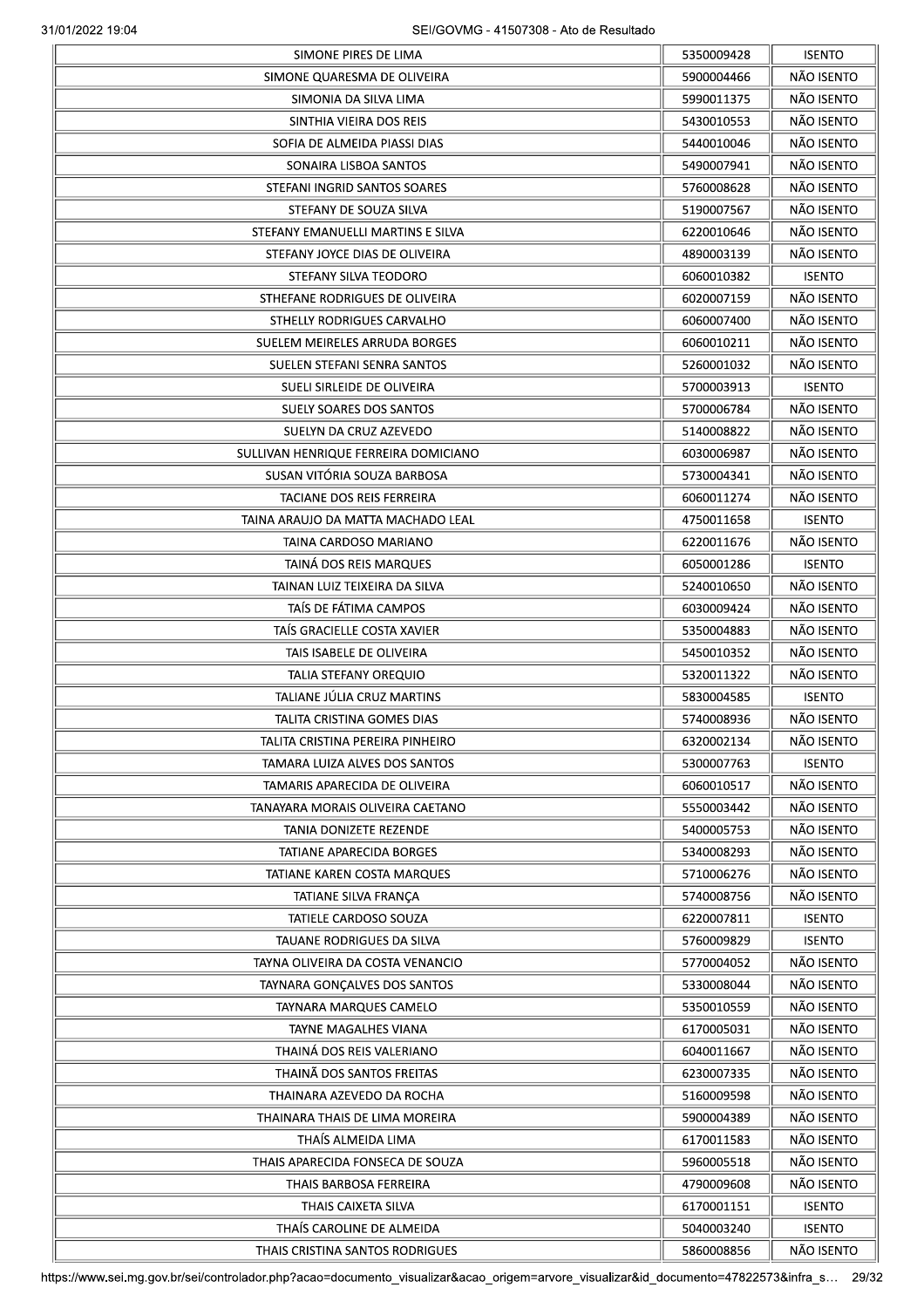|                                                      | 5350009428 | <b>ISENTO</b> |
|------------------------------------------------------|------------|---------------|
| SIMONE QUARESMA DE OLIVEIRA                          | 5900004466 | NÃO ISENTO    |
| SIMONIA DA SILVA LIMA                                | 5990011375 | NÃO ISENTO    |
| SINTHIA VIEIRA DOS REIS                              | 5430010553 | NÃO ISENTO    |
| SOFIA DE ALMEIDA PIASSI DIAS                         | 5440010046 | NÃO ISENTO    |
| SONAIRA LISBOA SANTOS                                | 5490007941 | NÃO ISENTO    |
| STEFANI INGRID SANTOS SOARES                         | 5760008628 | NÃO ISENTO    |
| STEFANY DE SOUZA SILVA                               | 5190007567 | NÃO ISENTO    |
| STEFANY EMANUELLI MARTINS E SILVA                    | 6220010646 | NÃO ISENTO    |
| STEFANY JOYCE DIAS DE OLIVEIRA                       | 4890003139 | NÃO ISENTO    |
| STEFANY SILVA TEODORO                                | 6060010382 | <b>ISENTO</b> |
| STHEFANE RODRIGUES DE OLIVEIRA                       | 6020007159 | NÃO ISENTO    |
| STHELLY RODRIGUES CARVALHO                           | 6060007400 | NÃO ISENTO    |
| SUELEM MEIRELES ARRUDA BORGES                        | 6060010211 | NÃO ISENTO    |
| SUELEN STEFANI SENRA SANTOS                          | 5260001032 | NÃO ISENTO    |
| SUELI SIRLEIDE DE OLIVEIRA                           |            |               |
|                                                      | 5700003913 | <b>ISENTO</b> |
| SUELY SOARES DOS SANTOS                              | 5700006784 | NÃO ISENTO    |
| SUELYN DA CRUZ AZEVEDO                               | 5140008822 | NÃO ISENTO    |
| SULLIVAN HENRIQUE FERREIRA DOMICIANO                 | 6030006987 | NÃO ISENTO    |
| SUSAN VITÓRIA SOUZA BARBOSA                          | 5730004341 | NÃO ISENTO    |
| TACIANE DOS REIS FERREIRA                            | 6060011274 | NÃO ISENTO    |
| TAINA ARAUJO DA MATTA MACHADO LEAL                   | 4750011658 | <b>ISENTO</b> |
| TAINA CARDOSO MARIANO                                | 6220011676 | NÃO ISENTO    |
| TAINA DOS REIS MARQUES                               | 6050001286 | <b>ISENTO</b> |
| TAINAN LUIZ TEIXEIRA DA SILVA                        | 5240010650 | NÃO ISENTO    |
| TAÍS DE FÁTIMA CAMPOS                                | 6030009424 | NÃO ISENTO    |
| TAÍS GRACIELLE COSTA XAVIER                          | 5350004883 | NÃO ISENTO    |
| TAIS ISABELE DE OLIVEIRA                             | 5450010352 | NÃO ISENTO    |
| TALIA STEFANY OREQUIO                                | 5320011322 | NÃO ISENTO    |
| TALIANE JÚLIA CRUZ MARTINS                           | 5830004585 | <b>ISENTO</b> |
| TALITA CRISTINA GOMES DIAS                           | 5740008936 | NÃO ISENTO    |
| TALITA CRISTINA PEREIRA PINHEIRO                     | 6320002134 | NÃO ISENTO    |
| TAMARA LUIZA ALVES DOS SANTOS                        | 5300007763 | <b>ISENTO</b> |
| TAMARIS APARECIDA DE OLIVEIRA                        | 6060010517 | NÃO ISENTO    |
| TANAYARA MORAIS OLIVEIRA CAETANO                     | 5550003442 | NÃO ISENTO    |
| TANIA DONIZETE REZENDE                               | 5400005753 | NÃO ISENTO    |
| TATIANE APARECIDA BORGES                             | 5340008293 | NÃO ISENTO    |
| TATIANE KAREN COSTA MARQUES                          | 5710006276 | NÃO ISENTO    |
|                                                      | 5740008756 | NÃO ISENTO    |
| TATIANE SILVA FRANÇA<br><b>TATIELE CARDOSO SOUZA</b> |            |               |
|                                                      | 6220007811 | <b>ISENTO</b> |
| TAUANE RODRIGUES DA SILVA                            | 5760009829 | <b>ISENTO</b> |
| TAYNA OLIVEIRA DA COSTA VENANCIO                     | 5770004052 | NÃO ISENTO    |
| TAYNARA GONÇALVES DOS SANTOS                         | 5330008044 | NÃO ISENTO    |
| TAYNARA MARQUES CAMELO                               | 5350010559 | NÃO ISENTO    |
| TAYNE MAGALHES VIANA                                 | 6170005031 | NÃO ISENTO    |
| THAINÁ DOS REIS VALERIANO                            | 6040011667 | NÃO ISENTO    |
| THAINÃ DOS SANTOS FREITAS                            | 6230007335 | NÃO ISENTO    |
| THAINARA AZEVEDO DA ROCHA                            | 5160009598 | NÃO ISENTO    |
| THAINARA THAIS DE LIMA MOREIRA                       | 5900004389 | NÃO ISENTO    |
| THAÍS ALMEIDA LIMA                                   | 6170011583 | NÃO ISENTO    |
| THAIS APARECIDA FONSECA DE SOUZA                     | 5960005518 | NÃO ISENTO    |
| THAIS BARBOSA FERREIRA                               | 4790009608 | NÃO ISENTO    |
| THAIS CAIXETA SILVA                                  | 6170001151 | <b>ISENTO</b> |
| THAÍS CAROLINE DE ALMEIDA                            | 5040003240 | <b>ISENTO</b> |
| THAIS CRISTINA SANTOS RODRIGUES                      | 5860008856 | NÃO ISENTO    |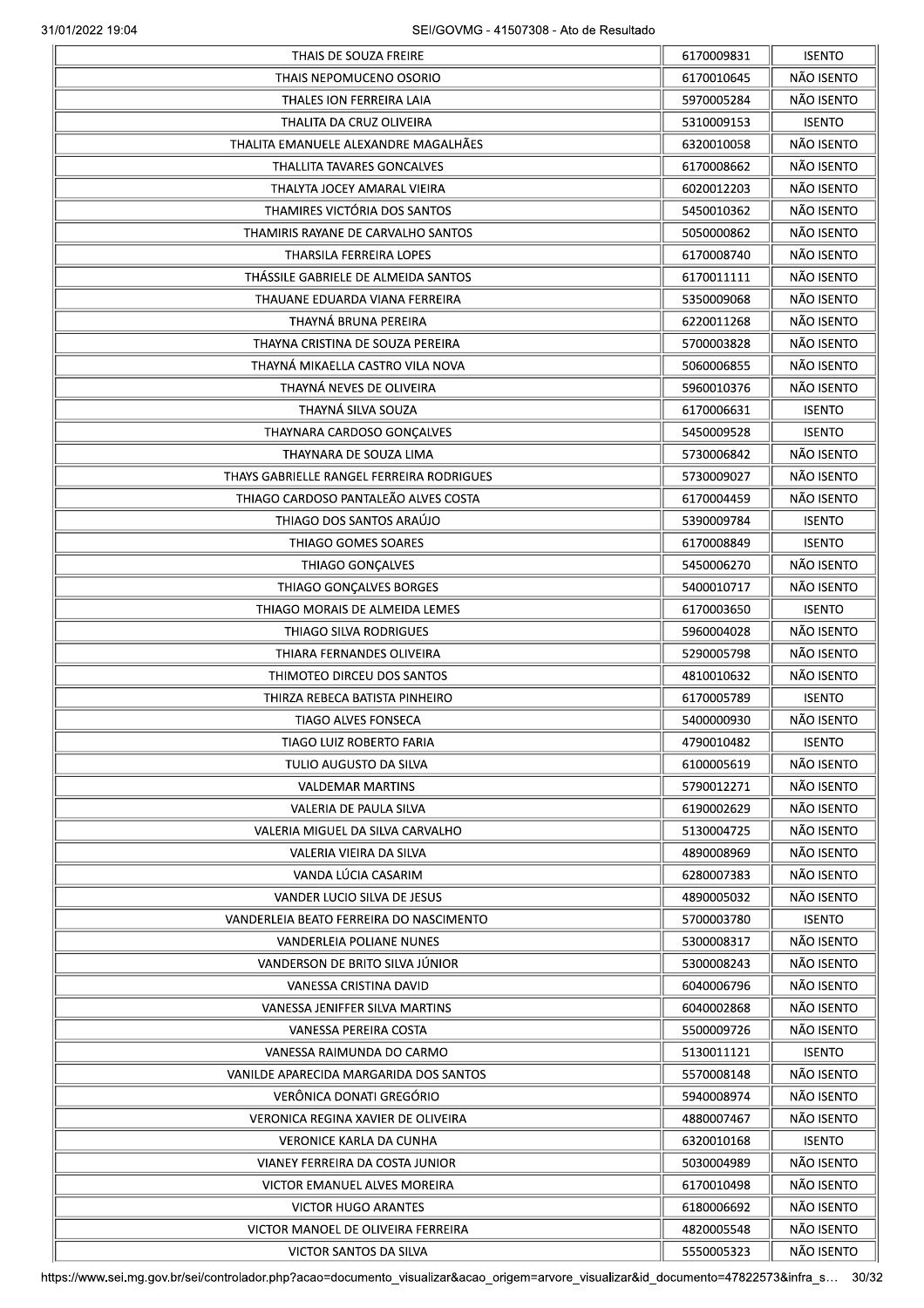|                                           | 6170009831 | <b>ISENTO</b> |
|-------------------------------------------|------------|---------------|
| THAIS NEPOMUCENO OSORIO                   | 6170010645 | NÃO ISENTO    |
| THALES ION FERREIRA LAIA                  | 5970005284 | NÃO ISENTO    |
| THALITA DA CRUZ OLIVEIRA                  | 5310009153 | <b>ISENTO</b> |
| THALITA EMANUELE ALEXANDRE MAGALHÃES      | 6320010058 | NÃO ISENTO    |
| THALLITA TAVARES GONCALVES                | 6170008662 | NÃO ISENTO    |
| THALYTA JOCEY AMARAL VIEIRA               | 6020012203 | NÃO ISENTO    |
| THAMIRES VICTÓRIA DOS SANTOS              | 5450010362 | NÃO ISENTO    |
| THAMIRIS RAYANE DE CARVALHO SANTOS        | 5050000862 | NÃO ISENTO    |
| THARSILA FERREIRA LOPES                   | 6170008740 | NÃO ISENTO    |
| THÁSSILE GABRIELE DE ALMEIDA SANTOS       | 6170011111 | NÃO ISENTO    |
| THAUANE EDUARDA VIANA FERREIRA            | 5350009068 | NÃO ISENTO    |
| THAYNÁ BRUNA PEREIRA                      | 6220011268 | NÃO ISENTO    |
| THAYNA CRISTINA DE SOUZA PEREIRA          | 5700003828 | NÃO ISENTO    |
|                                           |            |               |
| THAYNÁ MIKAELLA CASTRO VILA NOVA          | 5060006855 | NÃO ISENTO    |
| THAYNÁ NEVES DE OLIVEIRA                  | 5960010376 | NÃO ISENTO    |
| THAYNÁ SILVA SOUZA                        | 6170006631 | <b>ISENTO</b> |
| THAYNARA CARDOSO GONÇALVES                | 5450009528 | <b>ISENTO</b> |
| THAYNARA DE SOUZA LIMA                    | 5730006842 | NÃO ISENTO    |
| THAYS GABRIELLE RANGEL FERREIRA RODRIGUES | 5730009027 | NÃO ISENTO    |
| THIAGO CARDOSO PANTALEÃO ALVES COSTA      | 6170004459 | NÃO ISENTO    |
| THIAGO DOS SANTOS ARAÚJO                  | 5390009784 | <b>ISENTO</b> |
| THIAGO GOMES SOARES                       | 6170008849 | <b>ISENTO</b> |
| THIAGO GONÇALVES                          | 5450006270 | NÃO ISENTO    |
| THIAGO GONÇALVES BORGES                   | 5400010717 | NÃO ISENTO    |
| THIAGO MORAIS DE ALMEIDA LEMES            | 6170003650 | <b>ISENTO</b> |
| THIAGO SILVA RODRIGUES                    | 5960004028 | NÃO ISENTO    |
| THIARA FERNANDES OLIVEIRA                 | 5290005798 | NÃO ISENTO    |
| THIMOTEO DIRCEU DOS SANTOS                | 4810010632 | NÃO ISENTO    |
| THIRZA REBECA BATISTA PINHEIRO            | 6170005789 | <b>ISENTO</b> |
| <b>TIAGO ALVES FONSECA</b>                | 5400000930 | NÃO ISENTO    |
| TIAGO LUIZ ROBERTO FARIA                  | 4790010482 | <b>ISENTO</b> |
| TULIO AUGUSTO DA SILVA                    | 6100005619 | NÃO ISENTO    |
| <b>VALDEMAR MARTINS</b>                   | 5790012271 | NÃO ISENTO    |
| <b>VALERIA DE PAULA SILVA</b>             | 6190002629 | NÃO ISENTO    |
| VALERIA MIGUEL DA SILVA CARVALHO          | 5130004725 | NÃO ISENTO    |
| VALERIA VIEIRA DA SILVA                   | 4890008969 | NÃO ISENTO    |
| VANDA LÚCIA CASARIM                       | 6280007383 | NÃO ISENTO    |
|                                           |            | NÃO ISENTO    |
| VANDER LUCIO SILVA DE JESUS               | 4890005032 |               |
| VANDERLEIA BEATO FERREIRA DO NASCIMENTO   | 5700003780 | <b>ISENTO</b> |
| VANDERLEIA POLIANE NUNES                  | 5300008317 | NÃO ISENTO    |
| VANDERSON DE BRITO SILVA JÚNIOR           | 5300008243 | NÃO ISENTO    |
| VANESSA CRISTINA DAVID                    | 6040006796 | NÃO ISENTO    |
| VANESSA JENIFFER SILVA MARTINS            | 6040002868 | NÃO ISENTO    |
| VANESSA PEREIRA COSTA                     | 5500009726 | NÃO ISENTO    |
| VANESSA RAIMUNDA DO CARMO                 | 5130011121 | <b>ISENTO</b> |
| VANILDE APARECIDA MARGARIDA DOS SANTOS    | 5570008148 | NÃO ISENTO    |
| VERÔNICA DONATI GREGÓRIO                  | 5940008974 | NÃO ISENTO    |
| VERONICA REGINA XAVIER DE OLIVEIRA        | 4880007467 | NÃO ISENTO    |
| <b>VERONICE KARLA DA CUNHA</b>            | 6320010168 | <b>ISENTO</b> |
| VIANEY FERREIRA DA COSTA JUNIOR           | 5030004989 | NÃO ISENTO    |
| VICTOR EMANUEL ALVES MOREIRA              | 6170010498 | NÃO ISENTO    |
| <b>VICTOR HUGO ARANTES</b>                | 6180006692 | NÃO ISENTO    |
| VICTOR MANOEL DE OLIVEIRA FERREIRA        | 4820005548 | NÃO ISENTO    |
|                                           | 5550005323 | NÃO ISENTO    |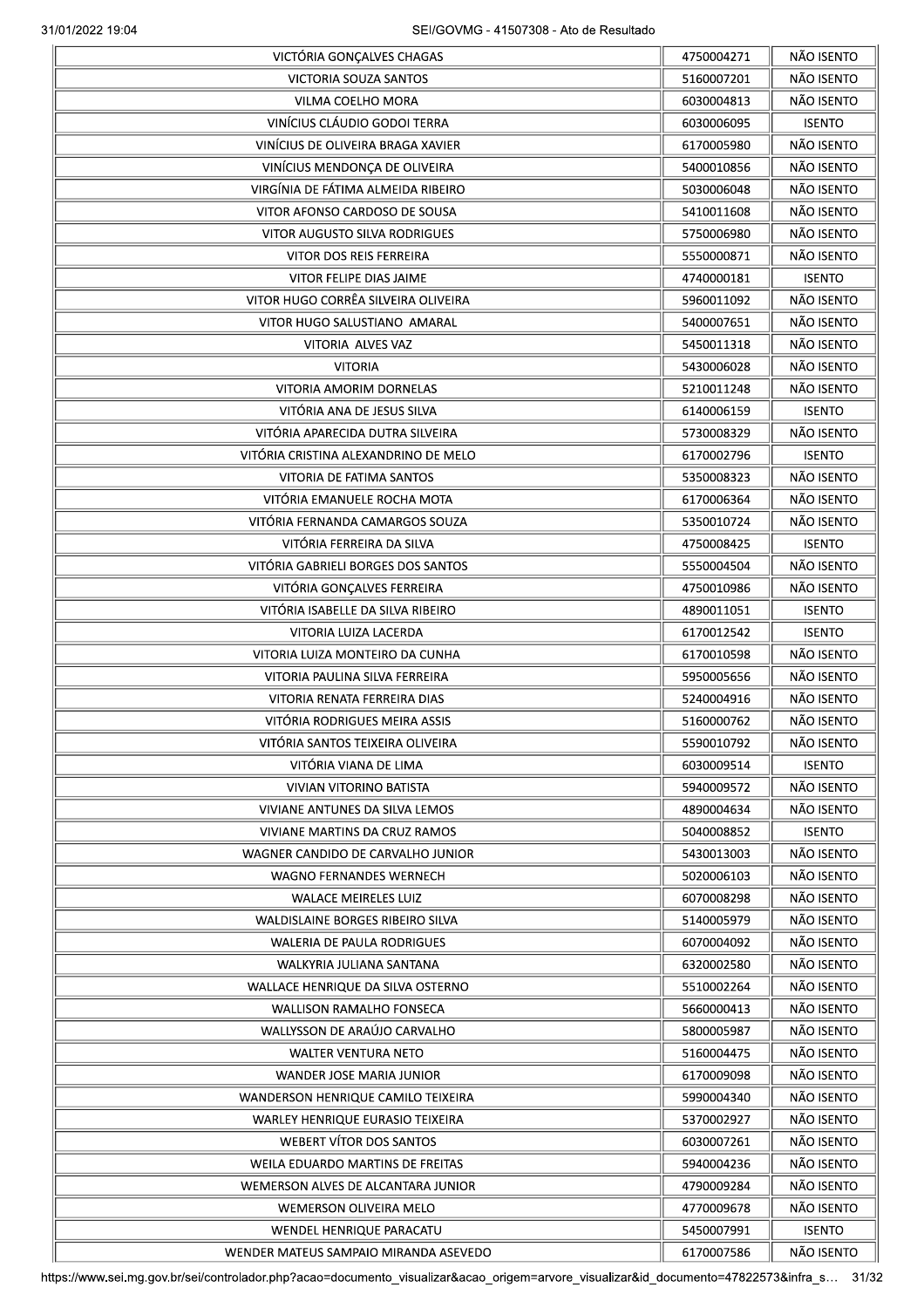|                                         | 4750004271 | NÃO ISENTO    |
|-----------------------------------------|------------|---------------|
| VICTORIA SOUZA SANTOS                   | 5160007201 | NÃO ISENTO    |
| VILMA COELHO MORA                       | 6030004813 | NÃO ISENTO    |
| VINÍCIUS CLÁUDIO GODOI TERRA            | 6030006095 | <b>ISENTO</b> |
| VINÍCIUS DE OLIVEIRA BRAGA XAVIER       | 6170005980 | NÃO ISENTO    |
| VINÍCIUS MENDONÇA DE OLIVEIRA           | 5400010856 | NÃO ISENTO    |
| VIRGÍNIA DE FÁTIMA ALMEIDA RIBEIRO      | 5030006048 | NÃO ISENTO    |
| VITOR AFONSO CARDOSO DE SOUSA           | 5410011608 | NÃO ISENTO    |
| VITOR AUGUSTO SILVA RODRIGUES           | 5750006980 | NÃO ISENTO    |
| <b>VITOR DOS REIS FERREIRA</b>          | 5550000871 | NÃO ISENTO    |
| VITOR FELIPE DIAS JAIME                 | 4740000181 | <b>ISENTO</b> |
| VITOR HUGO CORRÊA SILVEIRA OLIVEIRA     | 5960011092 | NÃO ISENTO    |
| VITOR HUGO SALUSTIANO AMARAL            | 5400007651 | NÃO ISENTO    |
| VITORIA ALVES VAZ                       | 5450011318 | NÃO ISENTO    |
| <b>VITORIA</b>                          | 5430006028 | NÃO ISENTO    |
| VITORIA AMORIM DORNELAS                 |            | NÃO ISENTO    |
|                                         | 5210011248 |               |
| VITÓRIA ANA DE JESUS SILVA              | 6140006159 | <b>ISENTO</b> |
| VITÓRIA APARECIDA DUTRA SILVEIRA        | 5730008329 | NÃO ISENTO    |
| VITÓRIA CRISTINA ALEXANDRINO DE MELO    | 6170002796 | <b>ISENTO</b> |
| VITORIA DE FATIMA SANTOS                | 5350008323 | NÃO ISENTO    |
| VITÓRIA EMANUELE ROCHA MOTA             | 6170006364 | NÃO ISENTO    |
| VITÓRIA FERNANDA CAMARGOS SOUZA         | 5350010724 | NÃO ISENTO    |
| VITÓRIA FERREIRA DA SILVA               | 4750008425 | <b>ISENTO</b> |
| VITÓRIA GABRIELI BORGES DOS SANTOS      | 5550004504 | NÃO ISENTO    |
| VITÓRIA GONÇALVES FERREIRA              | 4750010986 | NÃO ISENTO    |
| VITÓRIA ISABELLE DA SILVA RIBEIRO       | 4890011051 | <b>ISENTO</b> |
| VITORIA LUIZA LACERDA                   | 6170012542 | <b>ISENTO</b> |
| VITORIA LUIZA MONTEIRO DA CUNHA         | 6170010598 | NÃO ISENTO    |
| VITORIA PAULINA SILVA FERREIRA          | 5950005656 | NÃO ISENTO    |
| VITORIA RENATA FERREIRA DIAS            | 5240004916 | NÃO ISENTO    |
| VITÓRIA RODRIGUES MEIRA ASSIS           | 5160000762 | NÃO ISENTO    |
| VITÓRIA SANTOS TEIXEIRA OLIVEIRA        | 5590010792 | NÃO ISENTO    |
| VITÓRIA VIANA DE LIMA                   | 6030009514 | <b>ISENTO</b> |
| <b>VIVIAN VITORINO BATISTA</b>          | 5940009572 | NÃO ISENTO    |
| VIVIANE ANTUNES DA SILVA LEMOS          | 4890004634 | NÃO ISENTO    |
| VIVIANE MARTINS DA CRUZ RAMOS           | 5040008852 | <b>ISENTO</b> |
| WAGNER CANDIDO DE CARVALHO JUNIOR       | 5430013003 | NÃO ISENTO    |
| WAGNO FERNANDES WERNECH                 | 5020006103 | NÃO ISENTO    |
| <b>WALACE MEIRELES LUIZ</b>             | 6070008298 | NÃO ISENTO    |
|                                         |            | NÃO ISENTO    |
| WALDISLAINE BORGES RIBEIRO SILVA        | 5140005979 |               |
| WALERIA DE PAULA RODRIGUES              | 6070004092 | NÃO ISENTO    |
| WALKYRIA JULIANA SANTANA                | 6320002580 | NÃO ISENTO    |
| WALLACE HENRIQUE DA SILVA OSTERNO       | 5510002264 | NÃO ISENTO    |
| <b>WALLISON RAMALHO FONSECA</b>         | 5660000413 | NÃO ISENTO    |
| WALLYSSON DE ARAÚJO CARVALHO            | 5800005987 | NÃO ISENTO    |
| <b>WALTER VENTURA NETO</b>              | 5160004475 | NÃO ISENTO    |
| WANDER JOSE MARIA JUNIOR                | 6170009098 | NÃO ISENTO    |
| WANDERSON HENRIQUE CAMILO TEIXEIRA      | 5990004340 | NÃO ISENTO    |
| <b>WARLEY HENRIQUE EURASIO TEIXEIRA</b> | 5370002927 | NÃO ISENTO    |
| WEBERT VÍTOR DOS SANTOS                 | 6030007261 | NÃO ISENTO    |
| WEILA EDUARDO MARTINS DE FREITAS        | 5940004236 | NÃO ISENTO    |
| WEMERSON ALVES DE ALCANTARA JUNIOR      | 4790009284 | NÃO ISENTO    |
| <b>WEMERSON OLIVEIRA MELO</b>           | 4770009678 | NÃO ISENTO    |
| WENDEL HENRIQUE PARACATU                | 5450007991 | <b>ISENTO</b> |
| WENDER MATEUS SAMPAIO MIRANDA ASEVEDO   | 6170007586 | NÃO ISENTO    |